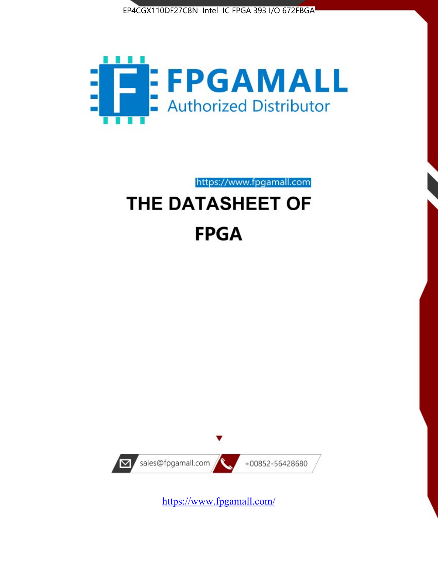



https://www.fpgamall.com THE DATASHEET OF

# **FPGA**



<https://www.fpgamall.com/>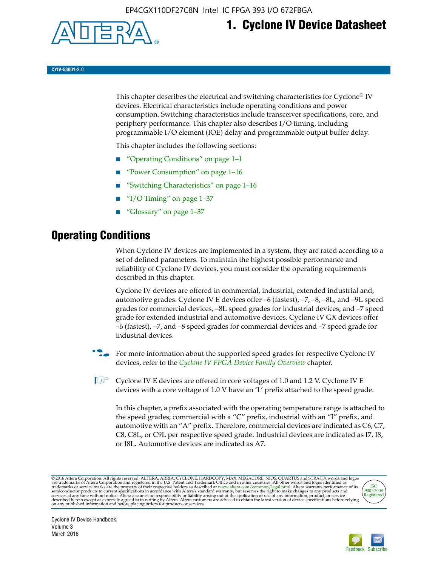

# **1. Cyclone IV Device Datasheet**

**CYIV-53001-2.0**

This chapter describes the electrical and switching characteristics for Cyclone<sup>®</sup> IV devices. Electrical characteristics include operating conditions and power consumption. Switching characteristics include transceiver specifications, core, and periphery performance. This chapter also describes I/O timing, including programmable I/O element (IOE) delay and programmable output buffer delay.

This chapter includes the following sections:

- "Operating Conditions" on page 1–1
- "Power Consumption" on page 1–16
- "Switching Characteristics" on page 1–16
- " $I/O$  Timing" on page  $1-37$
- "Glossary" on page 1–37

# **Operating Conditions**

When Cyclone IV devices are implemented in a system, they are rated according to a set of defined parameters. To maintain the highest possible performance and reliability of Cyclone IV devices, you must consider the operating requirements described in this chapter.

Cyclone IV devices are offered in commercial, industrial, extended industrial and, automotive grades. Cyclone IV E devices offer –6 (fastest), –7, –8, –8L, and –9L speed grades for commercial devices, –8L speed grades for industrial devices, and –7 speed grade for extended industrial and automotive devices. Cyclone IV GX devices offer –6 (fastest), –7, and –8 speed grades for commercial devices and –7 speed grade for industrial devices.

**For more information about the supported speed grades for respective Cyclone IV** devices, refer to the *[Cyclone IV FPGA Device Family Overview](http://www.altera.com/literature/hb/cyclone-iv/cyiv-51001.pdf)* chapter.

**1** Cyclone IV E devices are offered in core voltages of 1.0 and 1.2 V. Cyclone IV E devices with a core voltage of 1.0 V have an 'L' prefix attached to the speed grade.

In this chapter, a prefix associated with the operating temperature range is attached to the speed grades; commercial with a "C" prefix, industrial with an "I" prefix, and automotive with an "A" prefix. Therefore, commercial devices are indicated as C6, C7, C8, C8L, or C9L per respective speed grade. Industrial devices are indicated as I7, I8, or I8L. Automotive devices are indicated as A7.

@2016 Altera Corporation. All rights reserved. ALTERA, ARRIA, CYCLONE, HARDCOPY, MAX, MEGACORE, NIOS, QUARTUS and STRATIX words and logos are trademarks of Altera Corporation and registered in the U.S. Patent and Trademark



Cyclone IV Device Handbook, Volume 3 March 2016

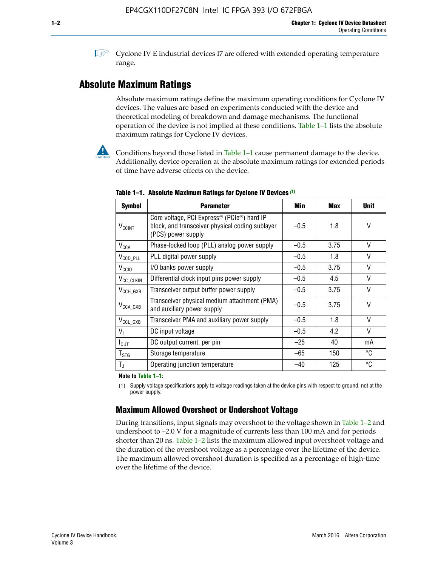**1 Cyclone IV E industrial devices I7 are offered with extended operating temperature** range.

# **Absolute Maximum Ratings**

Absolute maximum ratings define the maximum operating conditions for Cyclone IV devices. The values are based on experiments conducted with the device and theoretical modeling of breakdown and damage mechanisms. The functional operation of the device is not implied at these conditions. Table 1–1 lists the absolute maximum ratings for Cyclone IV devices.



**Conditions beyond those listed in Table 1–1 cause permanent damage to the device.** Additionally, device operation at the absolute maximum ratings for extended periods of time have adverse effects on the device.

| <b>Symbol</b>              | <b>Parameter</b>                                                                                                                             | Min    | Max  | <b>Unit</b>  |
|----------------------------|----------------------------------------------------------------------------------------------------------------------------------------------|--------|------|--------------|
| <b>V<sub>CCINT</sub></b>   | Core voltage, PCI Express <sup>®</sup> (PCIe <sup>®</sup> ) hard IP<br>block, and transceiver physical coding sublayer<br>(PCS) power supply | $-0.5$ | 1.8  | V            |
| $V_{CCA}$                  | Phase-locked loop (PLL) analog power supply                                                                                                  | $-0.5$ | 3.75 | V            |
| $V_{\text{CCD\_PLL}}$      | PLL digital power supply                                                                                                                     | $-0.5$ | 1.8  | V            |
| V <sub>CCIO</sub>          | I/O banks power supply                                                                                                                       | $-0.5$ | 3.75 | $\vee$       |
| V <sub>CC_CLKIN</sub>      | Differential clock input pins power supply                                                                                                   | $-0.5$ | 4.5  | $\mathsf{V}$ |
| $V_{CCH_GXB}$              | Transceiver output buffer power supply                                                                                                       | $-0.5$ | 3.75 | V            |
| $V_{\text{CCA\_GXB}}$      | Transceiver physical medium attachment (PMA)<br>and auxiliary power supply                                                                   | $-0.5$ | 3.75 | $\vee$       |
| $V_{CCL_GXB}$              | Transceiver PMA and auxiliary power supply                                                                                                   | $-0.5$ | 1.8  | $\mathsf{V}$ |
| $V_{1}$                    | DC input voltage                                                                                                                             | $-0.5$ | 4.2  | $\vee$       |
| $I_{\text{OUT}}$           | DC output current, per pin                                                                                                                   | $-25$  | 40   | mA           |
| ${\mathsf T}_{\text{STG}}$ | Storage temperature                                                                                                                          | $-65$  | 150  | °C           |
| $T_{\rm J}$                | Operating junction temperature                                                                                                               | $-40$  | 125  | °C           |

**Table 1–1. Absolute Maximum Ratings for Cyclone IV Devices** *(1)*

**Note to Table 1–1:**

(1) Supply voltage specifications apply to voltage readings taken at the device pins with respect to ground, not at the power supply.

# **Maximum Allowed Overshoot or Undershoot Voltage**

During transitions, input signals may overshoot to the voltage shown in Table 1–2 and undershoot to –2.0 V for a magnitude of currents less than 100 mA and for periods shorter than 20 ns. Table 1–2 lists the maximum allowed input overshoot voltage and the duration of the overshoot voltage as a percentage over the lifetime of the device. The maximum allowed overshoot duration is specified as a percentage of high-time over the lifetime of the device.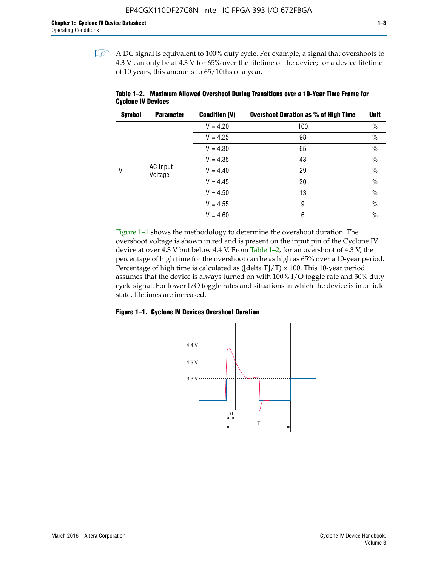$\mathbb{I}$  A DC signal is equivalent to 100% duty cycle. For example, a signal that overshoots to 4.3 V can only be at 4.3 V for 65% over the lifetime of the device; for a device lifetime of 10 years, this amounts to 65/10ths of a year.

| <b>Symbol</b> | <b>Parameter</b>    | <b>Condition (V)</b> | <b>Overshoot Duration as % of High Time</b> | <b>Unit</b>   |
|---------------|---------------------|----------------------|---------------------------------------------|---------------|
|               |                     | $V_1 = 4.20$         | 100                                         | $\%$          |
|               |                     | $V_1 = 4.25$         | 98                                          | $\%$          |
|               | AC Input<br>Voltage | $V_1 = 4.30$         | 65                                          | $\%$          |
|               |                     | $V_1 = 4.35$         | 43                                          | $\%$          |
| $V_i$         |                     | $V_1 = 4.40$         | 29                                          | $\frac{0}{0}$ |
|               |                     |                      | $V_1 = 4.45$                                | 20            |
|               |                     | $V_1 = 4.50$         | 13                                          | $\%$          |
|               |                     | $V_1 = 4.55$         | 9                                           | $\frac{0}{0}$ |
|               |                     | $V_1 = 4.60$         | 6                                           | $\%$          |

**Table 1–2. Maximum Allowed Overshoot During Transitions over a 10**-**Year Time Frame for Cyclone IV Devices**

Figure 1–1 shows the methodology to determine the overshoot duration. The overshoot voltage is shown in red and is present on the input pin of the Cyclone IV device at over 4.3 V but below 4.4 V. From Table 1–2, for an overshoot of 4.3 V, the percentage of high time for the overshoot can be as high as 65% over a 10-year period. Percentage of high time is calculated as ([delta  $T$ ]/T)  $\times$  100. This 10-year period assumes that the device is always turned on with 100% I/O toggle rate and 50% duty cycle signal. For lower I/O toggle rates and situations in which the device is in an idle state, lifetimes are increased.



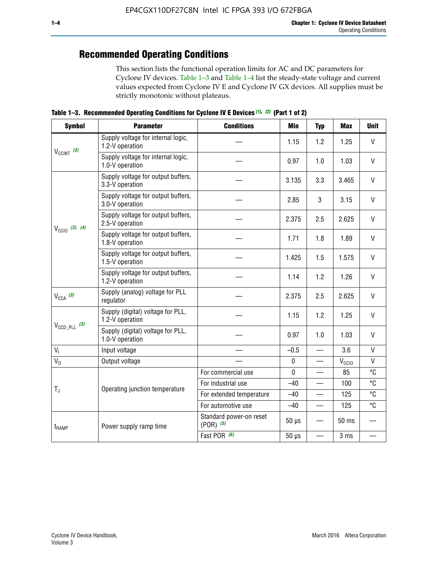# **Recommended Operating Conditions**

This section lists the functional operation limits for AC and DC parameters for Cyclone IV devices. Table 1–3 and Table 1–4 list the steady-state voltage and current values expected from Cyclone IV E and Cyclone IV GX devices. All supplies must be strictly monotonic without plateaus.

**Table 1–3. Recommended Operating Conditions for Cyclone IV E Devices** *(1)***,** *(2)* **(Part 1 of 2)**

| <b>Symbol</b>              | <b>Parameter</b>                                      | <b>Conditions</b>                        | Min         | <b>Typ</b>      | <b>Max</b>                                                             | <b>Unit</b>  |
|----------------------------|-------------------------------------------------------|------------------------------------------|-------------|-----------------|------------------------------------------------------------------------|--------------|
|                            | Supply voltage for internal logic,<br>1.2-V operation |                                          | 1.15        | 1.2             | 1.25                                                                   | V            |
| $V_{CClNT}$ (3)            | Supply voltage for internal logic,<br>1.0-V operation | 0.97                                     | 1.0         | 1.03            | $\mathsf{V}$                                                           |              |
| $V_{\text{CCIO}}$ (3), (4) | Supply voltage for output buffers,<br>3.3-V operation |                                          | 3.135       | 3.3             | 3.465                                                                  | $\vee$       |
|                            | Supply voltage for output buffers,<br>3.0-V operation |                                          | 2.85        | 3               | 3.15                                                                   | V            |
|                            | Supply voltage for output buffers,<br>2.5-V operation |                                          | 2.375       | 2.5             | 2.625                                                                  | $\vee$       |
|                            | Supply voltage for output buffers,<br>1.8-V operation |                                          | 1.71        | 1.8             | 1.89                                                                   | $\mathsf{V}$ |
|                            | Supply voltage for output buffers,<br>1.5-V operation |                                          | 1.425       | 1.5             | 1.575                                                                  | V            |
|                            | Supply voltage for output buffers,<br>1.2-V operation |                                          | 1.14        | 1.2             | 1.26                                                                   | V            |
| $V_{CCA}$ (3)              | Supply (analog) voltage for PLL<br>regulator          |                                          | 2.375       | $\vee$          |                                                                        |              |
|                            | Supply (digital) voltage for PLL,<br>1.2-V operation  |                                          | 1.15        | 1.2             | 1.25                                                                   | V            |
| $V_{\text{CCD\_PLL}}$ (3)  | Supply (digital) voltage for PLL,<br>1.0-V operation  |                                          | 0.97        | 1.0             | 1.03                                                                   | $\vee$       |
| $V_{I}$                    | Input voltage                                         |                                          | $-0.5$      | $\equiv$        | 3.6                                                                    | $\mathsf{V}$ |
| $V_0$                      | Output voltage                                        |                                          | $\pmb{0}$   |                 | $V_{\rm CClO}$                                                         | V            |
|                            |                                                       | For commercial use                       | $\mathbf 0$ |                 | 85                                                                     | °C           |
|                            | Operating junction temperature                        | For industrial use                       | $-40$       |                 | 100                                                                    | °C           |
| $T_{\rm J}$                |                                                       | For extended temperature                 | $-40$       |                 | 125                                                                    | °C           |
|                            |                                                       | For automotive use                       | $-40$       | $\qquad \qquad$ | 2.5<br>2.625<br>°C<br>125<br>50 ms<br>3 ms<br>$\overline{\phantom{0}}$ |              |
| $t_{\rm{RAMP}}$            | Power supply ramp time                                | Standard power-on reset<br>$(POR)$ $(5)$ | $50 \mu s$  |                 |                                                                        |              |
|                            |                                                       | Fast POR (6)                             | $50 \mu s$  |                 |                                                                        |              |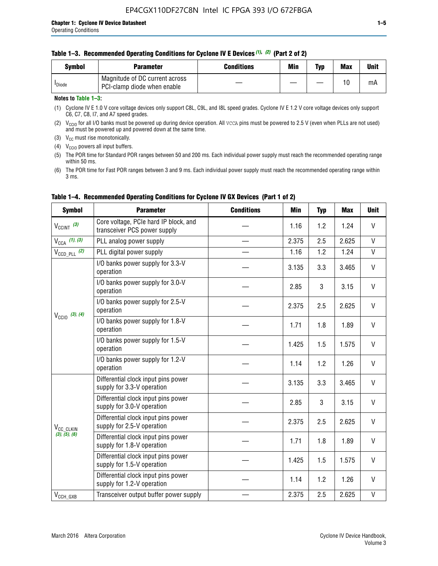|  | Table 1–3. Recommended Operating Conditions for Cyclone IV E Devices (1), (2) (Part 2 of 2) |  |  |  |
|--|---------------------------------------------------------------------------------------------|--|--|--|
|--|---------------------------------------------------------------------------------------------|--|--|--|

| Svmbol             | Parameter                                                     | Conditions | Min | Typ | <b>Max</b> | Unit |
|--------------------|---------------------------------------------------------------|------------|-----|-----|------------|------|
| <sup>I</sup> Diode | Magnitude of DC current across<br>PCI-clamp diode when enable |            |     | —   | 10         | mA   |

#### **Notes to Table 1–3:**

(1) Cyclone IV E 1.0 V core voltage devices only support C8L, C9L, and I8L speed grades. Cyclone IV E 1.2 V core voltage devices only support C6, C7, C8, I7, and A7 speed grades.

(2)  $V_{CCIO}$  for all I/O banks must be powered up during device operation. All vcca pins must be powered to 2.5 V (even when PLLs are not used) and must be powered up and powered down at the same time.

(3)  $V_{CC}$  must rise monotonically.

(4)  $V_{\text{CCIO}}$  powers all input buffers.

(5) The POR time for Standard POR ranges between 50 and 200 ms. Each individual power supply must reach the recommended operating range within 50 ms.

(6) The POR time for Fast POR ranges between 3 and 9 ms. Each individual power supply must reach the recommended operating range within 3 ms.

| <b>Symbol</b>                                                        | <b>Parameter</b>                                                      | <b>Conditions</b> | Min   | <b>Typ</b> | <b>Max</b> | <b>Unit</b>  |
|----------------------------------------------------------------------|-----------------------------------------------------------------------|-------------------|-------|------------|------------|--------------|
| $V_{CClNT}$ (3)                                                      | Core voltage, PCIe hard IP block, and<br>transceiver PCS power supply |                   | 1.16  | 1.2        | 1.24       | V            |
| $V_{CCA}$ (1), (3)                                                   | PLL analog power supply                                               |                   | 2.375 | 2.5        | 2.625      | $\mathsf{V}$ |
| $V_{\text{CCD\_PLL}}$ (2)                                            | PLL digital power supply                                              |                   | 1.16  | 1.2        | 1.24       | $\mathsf{V}$ |
|                                                                      | I/O banks power supply for 3.3-V<br>operation                         |                   | 3.135 | 3.3        | 3.465      | V            |
|                                                                      | I/O banks power supply for 3.0-V<br>operation                         |                   | 2.85  | 3          | 3.15       | $\vee$       |
|                                                                      | I/O banks power supply for 2.5-V<br>operation                         |                   | 2.375 | 2.5        | 2.625      | V            |
|                                                                      | I/O banks power supply for 1.8-V<br>operation                         |                   | 1.71  | 1.8        | 1.89       | V            |
|                                                                      | I/O banks power supply for 1.5-V<br>operation                         |                   | 1.425 | 1.5        | 1.575      | V            |
|                                                                      | I/O banks power supply for 1.2-V<br>operation                         |                   | 1.14  | 1.2        | 1.26       | $\vee$       |
| $V_{\text{CCIO}}$ (3), (4)<br>V <sub>CC_CLKIN</sub><br>(3), (5), (6) | Differential clock input pins power<br>supply for 3.3-V operation     |                   | 3.135 | 3.3        | 3.465      | V            |
|                                                                      | Differential clock input pins power<br>supply for 3.0-V operation     |                   | 2.85  | 3          | 3.15       | V            |
|                                                                      | Differential clock input pins power<br>supply for 2.5-V operation     |                   | 2.375 | 2.5        | 2.625      | V            |
|                                                                      | Differential clock input pins power<br>supply for 1.8-V operation     |                   | 1.71  | 1.8        | 1.89       | V            |
|                                                                      | Differential clock input pins power<br>supply for 1.5-V operation     |                   | 1.425 | 1.5        | 1.575      | V            |
|                                                                      | Differential clock input pins power<br>supply for 1.2-V operation     |                   | 1.14  | 1.2        | 1.26       | V            |
| $V_{CCH\_GXB}$                                                       | Transceiver output buffer power supply                                |                   | 2.375 | 2.5        | 2.625      | $\mathsf{V}$ |

#### **Table 1–4. Recommended Operating Conditions for Cyclone IV GX Devices (Part 1 of 2)**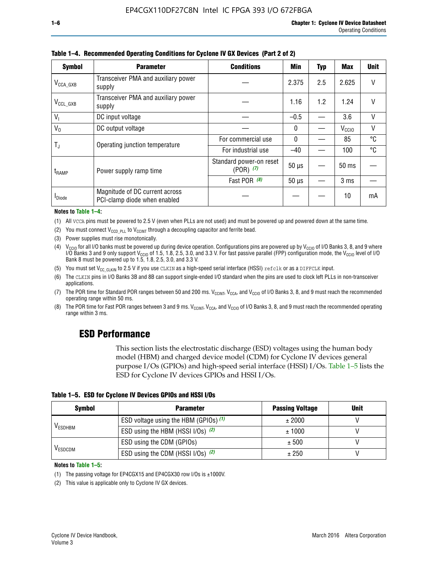| <b>Symbol</b>         | <b>Parameter</b>                                               | Min                                      | Typ          | Max | <b>Unit</b>       |    |
|-----------------------|----------------------------------------------------------------|------------------------------------------|--------------|-----|-------------------|----|
| $V_{\text{CCA\_GXB}}$ | Transceiver PMA and auxiliary power<br>supply                  |                                          | 2.375        | 2.5 | 2.625             | V  |
| $V_{CCL_GXB}$         | Transceiver PMA and auxiliary power<br>supply                  |                                          | 1.16         | 1.2 | 1.24              | V  |
| V <sub>1</sub>        | DC input voltage                                               |                                          | $-0.5$       |     | 3.6               | V  |
| $V_0$                 | DC output voltage                                              |                                          | $\mathbf{0}$ |     | V <sub>CCIO</sub> | V  |
|                       |                                                                | For commercial use                       | $\mathbf{0}$ |     | 85                | °C |
| T,                    | Operating junction temperature                                 | For industrial use                       | $-40$        |     | 100               | °C |
| $t_{\rm{RAMP}}$       | Power supply ramp time                                         | Standard power-on reset<br>$(POR)$ $(7)$ | $50 \mu s$   |     | 50 ms             |    |
|                       |                                                                | Fast POR (8)                             | $50 \mu s$   |     | 3 <sub>ms</sub>   |    |
| <b>I</b> Diode        | Magnitude of DC current across<br>PCI-clamp diode when enabled |                                          |              |     | 10                | mA |

**Table 1–4. Recommended Operating Conditions for Cyclone IV GX Devices (Part 2 of 2)**

**Notes to Table 1–4:**

- (1) All VCCA pins must be powered to 2.5 V (even when PLLs are not used) and must be powered up and powered down at the same time.
- (2) You must connect  $V_{CCD-PLL}$  to  $V_{CCINT}$  through a decoupling capacitor and ferrite bead.
- (3) Power supplies must rise monotonically.
- (4)  $V_{\text{CCIO}}$  for all I/O banks must be powered up during device operation. Configurations pins are powered up by V<sub>CCIO</sub> of I/O Banks 3, 8, and 9 where I/O Banks 3 and 9 only support V<sub>CCIO</sub> of 1.5, 1.8, 2.5, 3.0, and 3.3 V. For fast passive parallel (FPP) configuration mode, the V<sub>CCIO</sub> level of I/O<br>Bank 8 must be powered up to 1.5, 1.8, 2.5, 3.0, and 3.3 V.
- (5) You must set  $V_{CC_CCLKIN}$  to 2.5 V if you use CLKIN as a high-speed serial interface (HSSI) refclk or as a DIFFCLK input.
- (6) The CLKIN pins in I/O Banks 3B and 8B can support single-ended I/O standard when the pins are used to clock left PLLs in non-transceiver applications.
- (7) The POR time for Standard POR ranges between 50 and 200 ms.  $V_{\text{CCIA}}$ ,  $V_{\text{CCIA}}$ , and  $V_{\text{CCIO}}$  of I/O Banks 3, 8, and 9 must reach the recommended operating range within 50 ms.
- (8) The POR time for Fast POR ranges between 3 and 9 ms.  $V_{\text{CCH},T}$ ,  $V_{\text{CCA}}$ , and  $V_{\text{CCI}}$  of I/O Banks 3, 8, and 9 must reach the recommended operating range within 3 ms.

# **ESD Performance**

This section lists the electrostatic discharge (ESD) voltages using the human body model (HBM) and charged device model (CDM) for Cyclone IV devices general purpose I/Os (GPIOs) and high-speed serial interface (HSSI) I/Os. Table 1–5 lists the ESD for Cyclone IV devices GPIOs and HSSI I/Os.

| Table 1–5. ESD for Cyclone IV Devices GPIOs and HSSI I/Os |
|-----------------------------------------------------------|
|-----------------------------------------------------------|

| <b>Symbol</b>  | <b>Parameter</b>                      | <b>Passing Voltage</b> | <b>Unit</b> |
|----------------|---------------------------------------|------------------------|-------------|
|                | ESD voltage using the HBM (GPIOs) (1) | ± 2000                 |             |
| <b>VESDHBM</b> | ESD using the HBM (HSSI I/Os) (2)     | ± 1000                 |             |
|                | ESD using the CDM (GPIOs)             | ± 500                  |             |
| <b>VESDCDM</b> | ESD using the CDM (HSSI I/Os) (2)     | ± 250                  |             |

#### **Notes to Table 1–5:**

(1) The passing voltage for EP4CGX15 and EP4CGX30 row I/Os is ±1000V.

(2) This value is applicable only to Cyclone IV GX devices.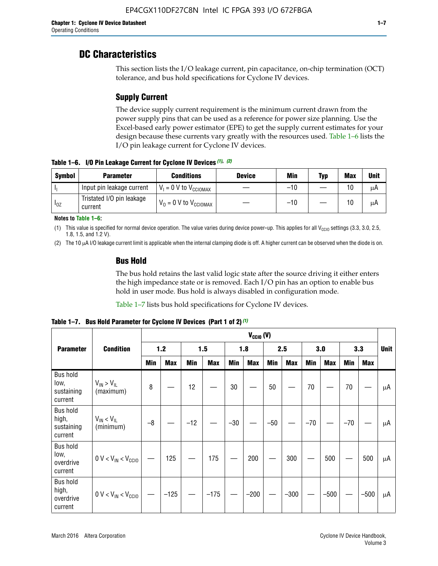# **DC Characteristics**

This section lists the I/O leakage current, pin capacitance, on-chip termination (OCT) tolerance, and bus hold specifications for Cyclone IV devices.

# **Supply Current**

The device supply current requirement is the minimum current drawn from the power supply pins that can be used as a reference for power size planning. Use the Excel-based early power estimator (EPE) to get the supply current estimates for your design because these currents vary greatly with the resources used. Table 1–6 lists the I/O pin leakage current for Cyclone IV devices.

**Table 1–6. I/O Pin Leakage Current for Cyclone IV Devices** *(1)***,** *(2)*

| <b>Symbol</b> | <b>Parameter</b>                     | <b>Conditions</b>                     | <b>Device</b> | Min   | Typ | <b>Max</b> | <b>Unit</b> |
|---------------|--------------------------------------|---------------------------------------|---------------|-------|-----|------------|-------------|
| -lı           | Input pin leakage current            | $V_1 = 0$ V to $V_{\text{CCIOMAX}}$   |               | $-10$ |     | 10         | μA          |
| $I_{0Z}$      | Tristated I/O pin leakage<br>current | $V_0 = 0 V$ to $V_{\text{CCIOMAX}}$ I |               | $-10$ |     | 10         | μA          |

**Notes to Table 1–6:**

(1) This value is specified for normal device operation. The value varies during device power-up. This applies for all V<sub>CCIO</sub> settings (3.3, 3.0, 2.5, 1.8, 1.5, and 1.2 V).

(2) The 10 µA I/O leakage current limit is applicable when the internal clamping diode is off. A higher current can be observed when the diode is on.

### **Bus Hold**

The bus hold retains the last valid logic state after the source driving it either enters the high impedance state or is removed. Each I/O pin has an option to enable bus hold in user mode. Bus hold is always disabled in configuration mode.

Table 1–7 lists bus hold specifications for Cyclone IV devices.

|                                                   |                                  | $V_{CClO}$ (V) |            |       |            |            |            |            |            |       |            |       |            |             |
|---------------------------------------------------|----------------------------------|----------------|------------|-------|------------|------------|------------|------------|------------|-------|------------|-------|------------|-------------|
| <b>Parameter</b>                                  | <b>Condition</b>                 |                | 1.2        |       | 1.5        |            | 1.8        |            | 2.5        |       | 3.0        |       | 3.3        | <b>Unit</b> |
|                                                   |                                  | <b>Min</b>     | <b>Max</b> | Min   | <b>Max</b> | <b>Min</b> | <b>Max</b> | <b>Min</b> | <b>Max</b> | Min   | <b>Max</b> | Min   | <b>Max</b> |             |
| <b>Bus hold</b><br>low,<br>sustaining<br>current  | $V_{IN}$ > $V_{IL}$<br>(maximum) | 8              |            | 12    |            | $30\,$     |            | 50         |            | 70    |            | 70    |            | μA          |
| <b>Bus hold</b><br>high,<br>sustaining<br>current | $V_{IN}$ < $V_{IL}$<br>(minimum) | $-8$           |            | $-12$ |            | $-30$      |            | $-50$      |            | $-70$ |            | $-70$ |            | μA          |
| <b>Bus hold</b><br>low,<br>overdrive<br>current   | $0 V < V_{IN} < V_{CG10}$        |                | 125        |       | 175        |            | 200        |            | 300        |       | 500        |       | 500        | μA          |
| <b>Bus hold</b><br>high,<br>overdrive<br>current  | $0 V < V_{IN} < V_{CG10}$        |                | $-125$     |       | $-175$     |            | $-200$     |            | $-300$     |       | $-500$     |       | $-500$     | μA          |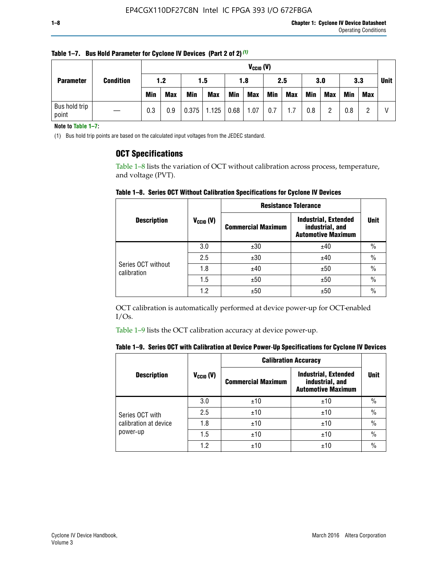|                                      |  |            | $V_{CGI0} (V)$ |            |            |            |            |     |            |            |            |            |     |             |
|--------------------------------------|--|------------|----------------|------------|------------|------------|------------|-----|------------|------------|------------|------------|-----|-------------|
| <b>Condition</b><br><b>Parameter</b> |  | 1.2        |                | 1.5        |            | 1.8        |            | 2.5 |            | 3.0        |            | 3.3        |     | <b>Unit</b> |
|                                      |  | <b>Min</b> | <b>Max</b>     | <b>Min</b> | <b>Max</b> | <b>Min</b> | <b>Max</b> | Min | <b>Max</b> | <b>Min</b> | <b>Max</b> | <b>Min</b> | Max |             |
| Bus hold trip<br>point               |  | 0.3        | 0.9            | 0.375      | 1.125      | 0.68       | 1.07       | 0.7 | 1.7        | 0.8        |            | 0.8        |     |             |

**Table 1–7. Bus Hold Parameter for Cyclone IV Devices (Part 2 of 2)** *(1)*

**Note to Table 1–7:**

(1) Bus hold trip points are based on the calculated input voltages from the JEDEC standard.

### **OCT Specifications**

Table 1–8 lists the variation of OCT without calibration across process, temperature, and voltage (PVT).

**Table 1–8. Series OCT Without Calibration Specifications for Cyclone IV Devices**

|                                   |                      | <b>Resistance Tolerance</b> |                                                                             |               |
|-----------------------------------|----------------------|-----------------------------|-----------------------------------------------------------------------------|---------------|
| <b>Description</b>                | $V_{\text{CCIO}}(V)$ | <b>Commercial Maximum</b>   | <b>Industrial, Extended</b><br>industrial, and<br><b>Automotive Maximum</b> | <b>Unit</b>   |
|                                   | 3.0                  | ±30                         | ±40                                                                         | $\frac{0}{0}$ |
|                                   | 2.5                  | ±30                         | ±40                                                                         | $\frac{0}{0}$ |
| Series OCT without<br>calibration | 1.8                  | ±40                         | ±50                                                                         | $\frac{0}{0}$ |
|                                   | 1.5                  | ±50                         | ±50                                                                         | $\frac{0}{0}$ |
|                                   | 1.2                  | ±50                         | ±50                                                                         | $\frac{0}{0}$ |

OCT calibration is automatically performed at device power-up for OCT-enabled I/Os.

Table 1–9 lists the OCT calibration accuracy at device power-up.

|  |  | Table 1–9. Series OCT with Calibration at Device Power-Up Specifications for Cyclone IV Devices |  |  |  |  |  |  |
|--|--|-------------------------------------------------------------------------------------------------|--|--|--|--|--|--|
|--|--|-------------------------------------------------------------------------------------------------|--|--|--|--|--|--|

|                       |                | <b>Calibration Accuracy</b> |                                                                             |               |  |
|-----------------------|----------------|-----------------------------|-----------------------------------------------------------------------------|---------------|--|
| <b>Description</b>    | $V_{CGI0} (V)$ | <b>Commercial Maximum</b>   | <b>Industrial, Extended</b><br>industrial, and<br><b>Automotive Maximum</b> | Unit          |  |
|                       | 3.0            | ±10                         | ±10                                                                         | $\%$          |  |
| Series OCT with       | 2.5            | ±10                         | ±10                                                                         | $\%$          |  |
| calibration at device | 1.8            | ±10                         | ±10                                                                         | $\frac{0}{0}$ |  |
| power-up              | 1.5            | ±10                         | ±10                                                                         | $\frac{0}{0}$ |  |
|                       | 1.2            | ±10                         | ±10                                                                         | $\frac{0}{0}$ |  |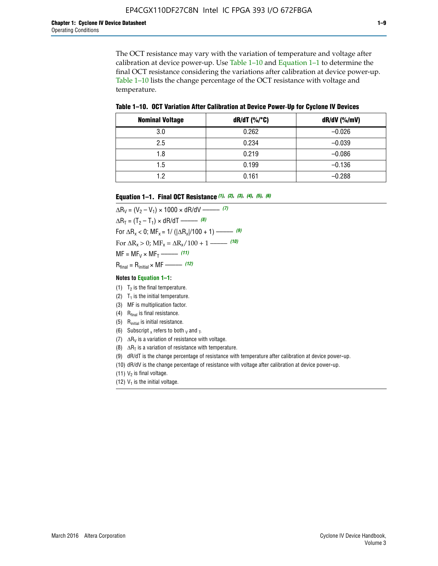The OCT resistance may vary with the variation of temperature and voltage after calibration at device power-up. Use Table 1–10 and Equation 1–1 to determine the final OCT resistance considering the variations after calibration at device power-up. Table 1–10 lists the change percentage of the OCT resistance with voltage and temperature.

**Table 1–10. OCT Variation After Calibration at Device Power**-**Up for Cyclone IV Devices**

| <b>Nominal Voltage</b> | $dR/dT$ (%/°C) | $dR/dV$ (%/mV) |
|------------------------|----------------|----------------|
| 3.0                    | 0.262          | $-0.026$       |
| 2.5                    | 0.234          | $-0.039$       |
| 1.8                    | 0.219          | $-0.086$       |
| 1.5                    | 0.199          | $-0.136$       |
| 1.2                    | 0.161          | $-0.288$       |

#### **Equation 1–1. Final OCT Resistance** *(1)***,** *(2)***,** *(3)***,** *(4)***,** *(5)***,** *(6)*

 $\Delta R_V = (V_2 - V_1) \times 1000 \times dR/dV$  ––––––––––––(7)  $\Delta R_T = (T_2 - T_1) \times dR/dT$  ––––––– (8) For  $\Delta R_x < 0$ ; MF<sub>x</sub> = 1/ ( $|\Delta R_x|/100 + 1$ ) –––––– (9) For  $\Delta R_x > 0$ ;  $\text{MF}_x = \Delta R_x / 100 + 1$  ——– (10)  $MF = MF_V \times MF_T$  –––––––––––(11) Rfinal = Rinitial × MF ––––– *(12)*

#### **Notes to Equation 1–1:**

- (1)  $T_2$  is the final temperature.
- (2)  $T_1$  is the initial temperature.
- (3) MF is multiplication factor.
- (4)  $R<sub>final</sub>$  is final resistance.
- (5) Rinitial is initial resistance.
- (6) Subscript x refers to both  $\sqrt{v}$  and  $\sqrt{v}$ .
- (7)  $\Delta R_V$  is a variation of resistance with voltage.
- (8)  $\Delta R_T$  is a variation of resistance with temperature.
- (9) dR/dT is the change percentage of resistance with temperature after calibration at device power-up.
- (10) dR/dV is the change percentage of resistance with voltage after calibration at device power-up.
- (11)  $V_2$  is final voltage.
- (12)  $V_1$  is the initial voltage.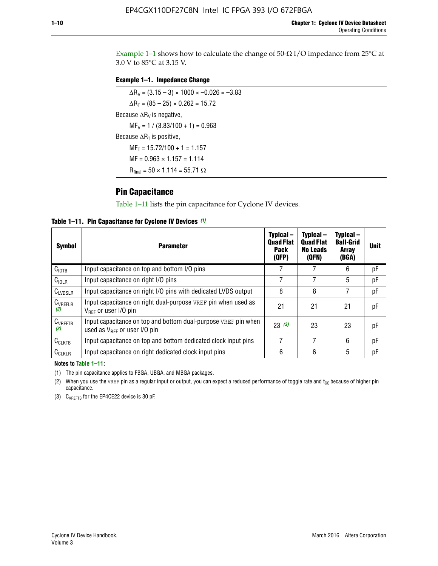Example 1-1 shows how to calculate the change of  $50$ - $\Omega$  I/O impedance from 25°C at 3.0 V to 85°C at 3.15 V.

#### **Example 1–1. Impedance Change**

 $\Delta R_V = (3.15 - 3) \times 1000 \times -0.026 = -3.83$  $\Delta R_T = (85 - 25) \times 0.262 = 15.72$ Because  $\Delta R_V$  is negative,  $MF_V = 1 / (3.83/100 + 1) = 0.963$ Because  $\Delta R_T$  is positive,  $MF_T = 15.72/100 + 1 = 1.157$  $MF = 0.963 \times 1.157 = 1.114$  $R_{final} = 50 \times 1.114 = 55.71 \Omega$ 

### **Pin Capacitance**

Table 1–11 lists the pin capacitance for Cyclone IV devices.

**Table 1–11. Pin Capacitance for Cyclone IV Devices** *(1)*

| Symbol              | <b>Parameter</b>                                                                                           | Typical-<br><b>Quad Flat</b><br>Pack<br>(QFP) | Typical-<br><b>Quad Flat</b><br><b>No Leads</b><br>(QFN) | Typical-<br><b>Ball-Grid</b><br><b>Array</b><br>(BGA) | <b>Unit</b> |
|---------------------|------------------------------------------------------------------------------------------------------------|-----------------------------------------------|----------------------------------------------------------|-------------------------------------------------------|-------------|
| C <sub>IOTB</sub>   | Input capacitance on top and bottom I/O pins                                                               |                                               |                                                          | 6                                                     | рF          |
| $C_{IOLR}$          | Input capacitance on right I/O pins                                                                        |                                               |                                                          | 5                                                     | рF          |
| $C_{LVDSLR}$        | Input capacitance on right I/O pins with dedicated LVDS output                                             | 8                                             | 8                                                        |                                                       | рF          |
| $C_{VREFLR}$<br>(2) | Input capacitance on right dual-purpose VREF pin when used as<br>$V_{BFE}$ or user I/O pin                 | 21                                            | 21                                                       | 21                                                    | pF          |
| $C_{VREFTB}$<br>(2) | Input capacitance on top and bottom dual-purpose VREF pin when<br>used as $V_{\text{RFF}}$ or user I/O pin | 23(3)                                         | 23                                                       | 23                                                    | pF          |
| $C_{CLKTB}$         | Input capacitance on top and bottom dedicated clock input pins                                             | 7                                             | 7                                                        | 6                                                     | pF          |
| $C_{CLKLR}$         | Input capacitance on right dedicated clock input pins                                                      | 6                                             | 6                                                        | 5                                                     | рF          |

#### **Notes to Table 1–11:**

(1) The pin capacitance applies to FBGA, UBGA, and MBGA packages.

(2) When you use the VREF pin as a regular input or output, you can expect a reduced performance of toggle rate and  $t_{\rm CO}$  because of higher pin capacitance.

(3) CVREFTB for the EP4CE22 device is 30 pF.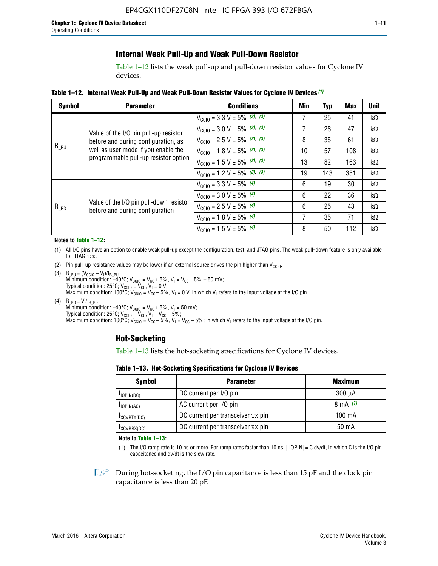### **Internal Weak Pull-Up and Weak Pull-Down Resistor**

Table 1–12 lists the weak pull-up and pull-down resistor values for Cyclone IV devices.

**Table 1–12. Internal Weak Pull**-**Up and Weak Pull**-**Down Resistor Values for Cyclone IV Devices** *(1)*

| <b>Symbol</b> | <b>Parameter</b>                                                                                                                                            | <b>Conditions</b>                                  | Min | <b>Typ</b> | <b>Max</b> | <b>Unit</b> |
|---------------|-------------------------------------------------------------------------------------------------------------------------------------------------------------|----------------------------------------------------|-----|------------|------------|-------------|
|               |                                                                                                                                                             | $V_{\text{CC10}} = 3.3 \text{ V} \pm 5\%$ (2), (3) | 7   | 25         | 41         | $k\Omega$   |
| $R_{PU}$      | Value of the I/O pin pull-up resistor<br>before and during configuration, as<br>well as user mode if you enable the<br>programmable pull-up resistor option | $V_{\text{CC10}} = 3.0 \text{ V} \pm 5\%$ (2), (3) | 7   | 28         | 47         | $k\Omega$   |
|               |                                                                                                                                                             | $V_{\text{CC10}} = 2.5 V \pm 5\%$ (2), (3)         | 8   | 35         | 61         | kΩ          |
|               |                                                                                                                                                             | $V_{\text{CGI0}} = 1.8 V \pm 5\%$ (2), (3)         | 10  | 57         | 108        | $k\Omega$   |
|               |                                                                                                                                                             | $V_{\text{CC10}} = 1.5 V \pm 5\%$ (2), (3)         | 13  | 82         | 163        | $k\Omega$   |
|               |                                                                                                                                                             | $V_{\text{CC10}} = 1.2 V \pm 5\%$ (2), (3)         | 19  | 143        | 351        | $k\Omega$   |
|               |                                                                                                                                                             | $V_{\text{CC10}} = 3.3 V \pm 5\%$ (4)              | 6   | 19         | 30         | kΩ          |
|               |                                                                                                                                                             | $V_{\text{CC10}} = 3.0 V \pm 5\%$ (4)              | 6   | 22         | 36         | kΩ          |
| $R_{p0}$      | Value of the I/O pin pull-down resistor<br>before and during configuration                                                                                  | $V_{\text{CC10}} = 2.5 V \pm 5\%$ (4)              | 6   | 25         | 43         | $k\Omega$   |
|               |                                                                                                                                                             | $V_{\text{CC10}} = 1.8 \text{ V} \pm 5\%$ (4)      | 7   | 35         | 71         | $k\Omega$   |
|               |                                                                                                                                                             | $V_{\text{CC10}} = 1.5 V \pm 5\%$ (4)              | 8   | 50         | 112        | $k\Omega$   |

#### **Notes to Table 1–12:**

- (1) All I/O pins have an option to enable weak pull-up except the configuration, test, and JTAG pins. The weak pull-down feature is only available for JTAG TCK.
- (2) Pin pull-up resistance values may be lower if an external source drives the pin higher than  $V_{\text{CCIO}}$ .
- (3)  $R_{PU} = (V_{CC10} V_1)/I_{R_PU}$ Minimum condition: –40°C; V<sub>CCIO</sub> = V<sub>CC</sub> + 5%, V<sub>I</sub> = V<sub>CC</sub> + 5% – 50 mV; Typical condition: 25°C; V<sub>CCIO</sub> = V<sub>CC</sub>, V<sub>I</sub> = 0 V; Maximum condition: 100°C;  $V_{\text{CCIO}} = V_{\text{CC}} - 5\%$ ,  $V_1 = 0$  V; in which V<sub>I</sub> refers to the input voltage at the I/O pin.
- (4)  $R_{PD} = V_I/I_{R_PD}$ Minimum condition:  $-40^{\circ}$ C; V<sub>CCIO</sub> = V<sub>CC</sub> + 5%, V<sub>I</sub> = 50 mV; Typical condition: 25°C;  $V_{\text{CCIO}} = V_{\text{CC}}$ ,  $V_{\text{I}} = V_{\text{CC}} - 5\%$ ; Maximum condition: 100°C; V<sub>CClO</sub> = V<sub>CC</sub> – 5%, V<sub>I</sub> = V<sub>CC</sub> – 5%; in which V<sub>I</sub> refers to the input voltage at the I/O pin.

#### **Hot-Socketing**

Table 1–13 lists the hot-socketing specifications for Cyclone IV devices.

**Table 1–13. Hot**-**Socketing Specifications for Cyclone IV Devices**

| <b>Symbol</b> | <b>Parameter</b>                  |             |  |  |  |
|---------------|-----------------------------------|-------------|--|--|--|
| $I$ IOPIN(DC) | DC current per I/O pin            | $300 \mu A$ |  |  |  |
| $I$ IOPIN(AC) | AC current per I/O pin            | 8 mA $(1)$  |  |  |  |
| IXCVRTX(DC)   | DC current per transceiver TX pin | 100 mA      |  |  |  |
| IXCVRRX(DC)   | DC current per transceiver RX pin | 50 mA       |  |  |  |

**Note to Table 1–13:**

(1) The I/O ramp rate is 10 ns or more. For ramp rates faster than 10 ns, |IIOPIN| = C dv/dt, in which C is the I/O pin capacitance and dv/dt is the slew rate.

 $\mathbb{I} \rightarrow \mathbb{I}$  During hot-socketing, the I/O pin capacitance is less than 15 pF and the clock pin capacitance is less than 20 pF.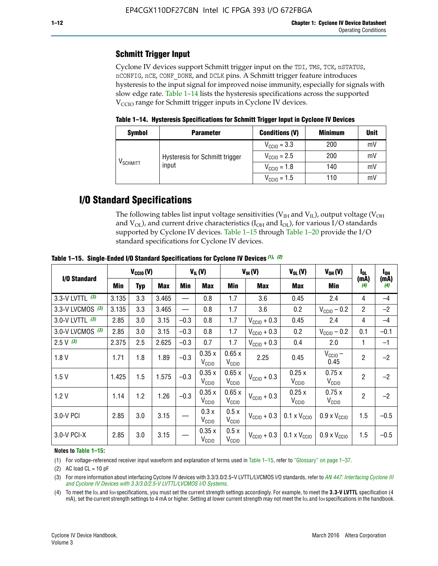# **Schmitt Trigger Input**

Cyclone IV devices support Schmitt trigger input on the TDI, TMS, TCK, nSTATUS, nCONFIG, nCE, CONF\_DONE, and DCLK pins. A Schmitt trigger feature introduces hysteresis to the input signal for improved noise immunity, especially for signals with slow edge rate. Table 1–14 lists the hysteresis specifications across the supported  $V<sub>CCIO</sub>$  range for Schmitt trigger inputs in Cyclone IV devices.

**Table 1–14. Hysteresis Specifications for Schmitt Trigger Input in Cyclone IV Devices**

| <b>Symbol</b>                  | <b>Parameter</b>               | <b>Conditions (V)</b>   | <b>Minimum</b> | <b>Unit</b> |
|--------------------------------|--------------------------------|-------------------------|----------------|-------------|
|                                |                                | $V_{\text{CGI0}} = 3.3$ | 200            | mV          |
|                                | Hysteresis for Schmitt trigger | $V_{\text{CGI0}} = 2.5$ | 200            | mV          |
| $\mathsf{V}_{\mathsf{SCHMIT}}$ | input                          | $V_{\text{CCIO}} = 1.8$ | 140            | mV          |
|                                |                                | $V_{\text{CC10}} = 1.5$ | 110            | mV          |

# **I/O Standard Specifications**

The following tables list input voltage sensitivities ( $V<sub>IH</sub>$  and  $V<sub>II</sub>$ ), output voltage ( $V<sub>OH</sub>$ and  $V_{OL}$ ), and current drive characteristics ( $I_{OH}$  and  $I_{OL}$ ), for various I/O standards supported by Cyclone IV devices. Table 1–15 through Table 1–20 provide the I/O standard specifications for Cyclone IV devices.

|                    | $V_{CClO}(V)$ |     |            | $V_{IL}(V)$ |                            | $V_{IH} (V)$               |                         | $V_{OL}(V)$                                     | $V_{OH} (V)$                 | I <sub>OL</sub> | l <sub>oh</sub> |
|--------------------|---------------|-----|------------|-------------|----------------------------|----------------------------|-------------------------|-------------------------------------------------|------------------------------|-----------------|-----------------|
| I/O Standard       | <b>Min</b>    | Typ | <b>Max</b> | Min         | <b>Max</b>                 | Min                        | <b>Max</b>              | Max                                             | Min                          | (mA)<br>(4)     | (mA)<br>(4)     |
| 3.3-V LVTTL (3)    | 3.135         | 3.3 | 3.465      |             | 0.8                        | 1.7                        | 3.6                     | 0.45                                            | 2.4                          | 4               | $-4$            |
| 3.3-V LVCMOS $(3)$ | 3.135         | 3.3 | 3.465      |             | 0.8                        | 1.7                        | 3.6                     | 0.2                                             | $V_{\text{CC10}} - 0.2$      | $\overline{2}$  | $-2$            |
| 3.0-V LVTTL $(3)$  | 2.85          | 3.0 | 3.15       | $-0.3$      | 0.8                        | 1.7                        | $V_{\text{CC10}} + 0.3$ | 0.45                                            | 2.4                          | 4               | $-4$            |
| 3.0-V LVCMOS (3)   | 2.85          | 3.0 | 3.15       | $-0.3$      | 0.8                        | 1.7                        | $V_{\text{CC10}} + 0.3$ | 0.2                                             | $V_{\text{CC10}} - 0.2$      | 0.1             | $-0.1$          |
| $2.5 V$ (3)        | 2.375         | 2.5 | 2.625      | $-0.3$      | 0.7                        | 1.7                        | $V_{\text{CC10}} + 0.3$ | 0.4                                             | 2.0                          | 1               | $-1$            |
| 1.8V               | 1.71          | 1.8 | 1.89       | $-0.3$      | 0.35x<br>V <sub>CCIO</sub> | 0.65x<br>V <sub>CCIO</sub> | 2.25                    | 0.45                                            | $V_{\text{CCIO}} -$<br>0.45  | $\overline{2}$  | $-2$            |
| 1.5V               | 1.425         | 1.5 | 1.575      | $-0.3$      | 0.35x<br>V <sub>CCIO</sub> | 0.65x<br>V <sub>CCIO</sub> | $V_{\text{CC10}} + 0.3$ | 0.25x<br>V <sub>CCIO</sub>                      | 0.75x<br>V <sub>CCIO</sub>   | $\overline{2}$  | $-2$            |
| 1.2V               | 1.14          | 1.2 | 1.26       | $-0.3$      | 0.35x<br>V <sub>CCIO</sub> | 0.65x<br>V <sub>CCIO</sub> | $V_{\text{CC10}} + 0.3$ | 0.25x<br>V <sub>CCIO</sub>                      | 0.75x<br>V <sub>CCIO</sub>   | $\overline{2}$  | $-2$            |
| 3.0-V PCI          | 2.85          | 3.0 | 3.15       |             | 0.3x<br>V <sub>CCIO</sub>  | 0.5x<br>V <sub>CCIO</sub>  | $V_{\text{CCI0}} + 0.3$ | $0.1 \times V_{CC10}$                           | $0.9 \times V_{\text{CC10}}$ | 1.5             | $-0.5$          |
| $3.0 - V$ PCI-X    | 2.85          | 3.0 | 3.15       |             | 0.35x<br>V <sub>CCIO</sub> | 0.5x<br>V <sub>CCIO</sub>  |                         | $V_{\text{CC10}} + 0.3$ 0.1 x $V_{\text{CC10}}$ | $0.9 \times V_{\text{CC10}}$ | 1.5             | $-0.5$          |

**Table 1–15. Single**-**Ended I/O Standard Specifications for Cyclone IV Devices** *(1)***,** *(2)*

#### **Notes to Table 1–15:**

(1) For voltage-referenced receiver input waveform and explanation of terms used in Table 1–15, refer to "Glossary" on page 1–37.

(2) AC load  $CL = 10$  pF

(3) For more information about interfacing Cyclone IV devices with 3.3/3.0/2.5-V LVTTL/LVCMOS I/O standards, refer to *[AN 447: Interfacing Cyclone III](http://www.altera.com/literature/an/an447.pdf)  [and Cyclone IV Devices with 3.3/3.0/2.5-V LVTTL/LVCMOS I/O Systems](http://www.altera.com/literature/an/an447.pdf)*.

(4) To meet the IOL and IOH specifications, you must set the current strength settings accordingly. For example, to meet the **3.3-V LVTTL** specification (4 mA), set the current strength settings to 4 mA or higher. Setting at lower current strength may not meet the lou and lon specifications in the handbook.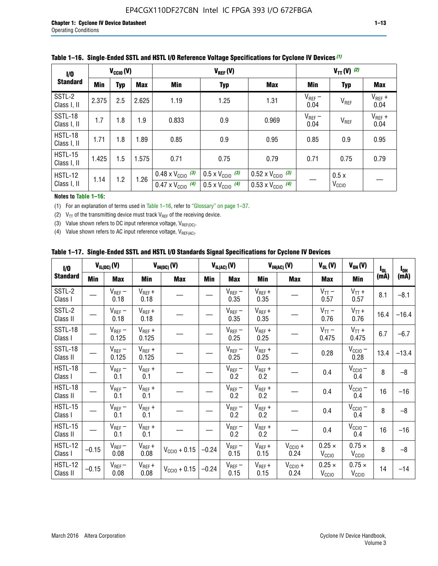| 1/0                           | $V_{\text{CC10}}(V)$            |     |       |                                                                        |                                                                      | $V_{TT}(V)^{(2)}$                                                      |                     |                           |                     |
|-------------------------------|---------------------------------|-----|-------|------------------------------------------------------------------------|----------------------------------------------------------------------|------------------------------------------------------------------------|---------------------|---------------------------|---------------------|
| <b>Standard</b>               | Min<br><b>Max</b><br><b>Typ</b> |     | Min   | <b>Typ</b>                                                             | Max                                                                  | Min                                                                    | <b>Typ</b>          | <b>Max</b>                |                     |
| SSTL-2<br>Class I, II         | 2.375                           | 2.5 | 2.625 | 1.19                                                                   | 1.25                                                                 | 1.31                                                                   | $V_{REF}$ –<br>0.04 | V <sub>REF</sub>          | $V_{REF}$ +<br>0.04 |
| SSTL-18<br>Class I, II        | 1.7                             | 1.8 | 1.9   | 0.833                                                                  | 0.9                                                                  | 0.969                                                                  | $V_{REF}$ –<br>0.04 | V <sub>REF</sub>          | $V_{REF}$ +<br>0.04 |
| HSTL-18<br>Class I, II        | 1.71                            | 1.8 | 1.89  | 0.85                                                                   | 0.9                                                                  | 0.95                                                                   | 0.85                | 0.9                       | 0.95                |
| <b>HSTL-15</b><br>Class I, II | 1.425                           | 1.5 | 1.575 | 0.71                                                                   | 0.75                                                                 | 0.79                                                                   | 0.71                | 0.75                      | 0.79                |
| HSTL-12<br>Class I, II        | 1.14                            | 1.2 | 1.26  | $0.48 \times V_{\text{CC10}}$ (3)<br>$0.47 \times V_{\text{CC10}}$ (4) | $0.5 \times V_{\text{CC10}}$ (3)<br>$0.5 \times V_{\text{CC10}}$ (4) | $0.52 \times V_{\text{CC10}}$ (3)<br>$0.53 \times V_{\text{CC10}}$ (4) |                     | 0.5x<br>V <sub>CCIO</sub> |                     |

|  |  |  |  | Table 1–16. Single-Ended SSTL and HSTL I/O Reference Voltage Specifications for Cyclone IV Devices (1) |
|--|--|--|--|--------------------------------------------------------------------------------------------------------|
|--|--|--|--|--------------------------------------------------------------------------------------------------------|

**Notes to Table 1–16:**

(1) For an explanation of terms used in Table 1–16, refer to "Glossary" on page 1–37.

(2)  $V_{TT}$  of the transmitting device must track  $V_{REF}$  of the receiving device.

(3) Value shown refers to DC input reference voltage,  $V_{REF(DC)}$ .

(4) Value shown refers to AC input reference voltage,  $V_{REF(AC)}$ .

|  |  |  |  |  | Table 1–17.  Single-Ended SSTL and HSTL I/O Standards Signal Specifications for Cyclone IV Devices |
|--|--|--|--|--|----------------------------------------------------------------------------------------------------|
|--|--|--|--|--|----------------------------------------------------------------------------------------------------|

| I/O                        |            | $V_{IL(DC)}(V)$      |                                       | $V_{IH(DC)}(V)$       |         | $V_{IL(AC)}(V)$     |                     | $V_{IH(AC)}(V)$      | $V_{OL}(V)$                        | $V_{OH} (V)$                       | $I_{0L}$ | $I_{0H}$ |
|----------------------------|------------|----------------------|---------------------------------------|-----------------------|---------|---------------------|---------------------|----------------------|------------------------------------|------------------------------------|----------|----------|
| <b>Standard</b>            | <b>Min</b> | <b>Max</b>           | Min                                   | <b>Max</b>            | Min     | <b>Max</b>          | Min                 | <b>Max</b>           | <b>Max</b>                         | Min                                | (mA)     | (mA)     |
| SSTL-2<br>Class I          |            | $V_{REF}$ –<br>0.18  | $V_{REF} +$<br>0.18                   |                       |         | $V_{REF}$ –<br>0.35 | $V_{REF} +$<br>0.35 |                      | $V_{TT}$ –<br>0.57                 | $V_{TT}$ +<br>0.57                 | 8.1      | $-8.1$   |
| SSTL-2<br>Class II         |            | $V_{REF}$ –<br>0.18  | $V_{REF} +$<br>0.18                   |                       |         | $V_{REF}$ –<br>0.35 | $V_{REF} +$<br>0.35 |                      | $V_{TT}$ –<br>0.76                 | $V_{TT}$ +<br>0.76                 | 16.4     | $-16.4$  |
| SSTL-18<br>Class I         |            | $V_{REF}$ –<br>0.125 | $V_{REF}$ +<br>0.125                  |                       |         | $V_{REF}$ –<br>0.25 | $V_{REF}$ +<br>0.25 |                      | $V_{TT}$ –<br>0.475                | $V_{TT}$ +<br>0.475                | 6.7      | $-6.7$   |
| <b>SSTL-18</b><br>Class II |            | $V_{REF}$ –<br>0.125 | $V_{REF}$ +<br>0.125                  |                       |         | $V_{REF}$ –<br>0.25 | $V_{REF}$ +<br>0.25 |                      | 0.28                               | $V_{\text{CCIO}}-$<br>0.28         | 13.4     | $-13.4$  |
| HSTL-18<br>Class I         |            | $V_{REF}$ –<br>0.1   | $V_{REF}$ +<br>0.1                    |                       |         | $V_{REF}$ –<br>0.2  | $V_{REF}$ +<br>0.2  |                      | 0.4                                | $V_{CCIO}$ –<br>0.4                | 8        | $-8$     |
| HSTL-18<br>Class II        |            | $V_{REF}$ –<br>0.1   | $V_{REF}$ +<br>0.1                    |                       |         | $V_{REF}$ –<br>0.2  | $V_{REF}$ +<br>0.2  |                      | 0.4                                | $V_{CC10} -$<br>0.4                | 16       | $-16$    |
| HSTL-15<br>Class I         |            | $V_{REF}$ –<br>0.1   | $V_{REF}$ +<br>0.1                    |                       |         | $V_{REF}$ –<br>0.2  | $V_{REF}$ +<br>0.2  |                      | 0.4                                | $V_{CCIO}$ –<br>0.4                | 8        | $-8$     |
| HSTL-15<br>Class II        |            | $V_{REF}$ –<br>0.1   | $V_{REF} +$<br>0.1                    |                       |         | $V_{REF}-$<br>0.2   | $V_{REF}$ +<br>0.2  |                      | 0.4                                | $V_{\text{CC1O}} -$<br>0.4         | 16       | $-16$    |
| <b>HSTL-12</b><br>Class I  | $-0.15$    | $V_{REF}-$<br>0.08   | $V_{REF} +$<br>0.08                   | $V_{\rm CClO} + 0.15$ | $-0.24$ | $V_{REF}$ –<br>0.15 | $V_{REF} +$<br>0.15 | $V_{CCIO}$ +<br>0.24 | $0.25 \times$<br>$V_{\rm CClO}$    | $0.75 \times$<br>V <sub>CClO</sub> | 8        | $-8$     |
| <b>HSTL-12</b><br>Class II | $-0.15$    | $V_{REF}$ –<br>0.08  | $\mathsf{V}_{\mathsf{REF}}$ +<br>0.08 | $V_{CGI0} + 0.15$     | $-0.24$ | $V_{REF}$ –<br>0.15 | $V_{REF} +$<br>0.15 | $V_{CC10}$ +<br>0.24 | $0.25 \times$<br>V <sub>CCIO</sub> | $0.75 \times$<br>V <sub>CCIO</sub> | 14       | $-14$    |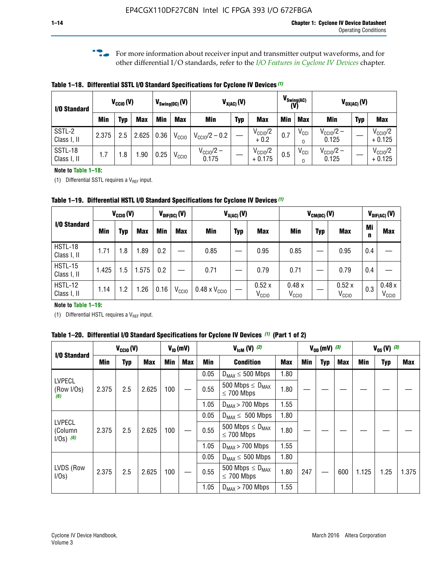**f For more information about receiver input and transmitter output waveforms, and for** other differential I/O standards, refer to the *[I/O Features in Cyclone IV Devices](http://www.altera.com/literature/hb/cyclone-iv/cyiv-51006.pdf)* chapter*.*

**Table 1–18. Differential SSTL I/O Standard Specifications for Cyclone IV Devices** *(1)*

| I/O Standard           |       | $V_{\text{CCIO}}(V)$ |            |      | $V_{\text{Swing(DC)}}(V)$ |                           | $V_{X(AC)}(V)$ |                                 |            | $V_{\text{Swing}(AC)}$<br>(V) |                                | $V_{OX(AC)}(V)$ |                                 |
|------------------------|-------|----------------------|------------|------|---------------------------|---------------------------|----------------|---------------------------------|------------|-------------------------------|--------------------------------|-----------------|---------------------------------|
|                        | Min   | Typ                  | <b>Max</b> | Min  | <b>Max</b>                | <b>Min</b>                | <b>Typ</b>     | <b>Max</b>                      | <b>Min</b> | <b>Max</b>                    | Min                            | <b>Typ</b>      | <b>Max</b>                      |
| SSTL-2<br>Class I, II  | 2.375 | 2.5                  | 2.625      | 0.36 | V <sub>CCIO</sub>         | $V_{\text{CC10}}/2 - 0.2$ |                | $V_{\text{CC10}}/2$<br>$+0.2$   | 0.7        | $V_{\rm CCI}$                 | $V_{\text{CC10}}/2 -$<br>0.125 |                 | $V_{\text{CC10}}/2$<br>$+0.125$ |
| SSTL-18<br>Class I, II | 1.7   | .8                   | .90        | 0.25 | V <sub>CCIO</sub>         | $V_{CClO}/2 -$<br>0.175   |                | $V_{\text{CC10}}/2$<br>$+0.175$ | 0.5        | $V_{\rm CCI}$                 | $V_{\text{CC10}}/2 -$<br>0.125 |                 | $V_{\text{CC10}}/2$<br>$+0.125$ |

#### **Note to Table 1–18:**

(1) Differential SSTL requires a  $V_{REF}$  input.

**Table 1–19. Differential HSTL I/O Standard Specifications for Cyclone IV Devices** *(1)*

|                               |       | $V_{CClO}(V)$ |            |         | $V_{\text{DIF(DC)}}(V)$ |                               | $V_{X(AC)}(V)$ |                            |                            | $V_{CM(DC)}(V)$ |                            |         | $V_{\text{DIF(AC)}}(V)$    |
|-------------------------------|-------|---------------|------------|---------|-------------------------|-------------------------------|----------------|----------------------------|----------------------------|-----------------|----------------------------|---------|----------------------------|
| I/O Standard                  | Min   | Typ           | <b>Max</b> | Min     | <b>Max</b>              | Min                           | <b>Typ</b>     | <b>Max</b>                 | Min                        | <b>Typ</b>      | <b>Max</b>                 | Mi<br>n | <b>Max</b>                 |
| HSTL-18<br>Class I, II        | 1.71  | 1.8           | .89        | 0.2     |                         | 0.85                          |                | 0.95                       | 0.85                       |                 | 0.95                       | 0.4     |                            |
| <b>HSTL-15</b><br>Class I, II | 1.425 | 1.5           | .575       | $0.2\,$ |                         | 0.71                          |                | 0.79                       | 0.71                       |                 | 0.79                       | 0.4     |                            |
| <b>HSTL-12</b><br>Class I, II | 1.14  | 1.2           | 1.26       | 0.16    | V <sub>CCIO</sub>       | $0.48 \times V_{\text{CC10}}$ |                | 0.52x<br>V <sub>CCIO</sub> | 0.48x<br>V <sub>CCIO</sub> |                 | 0.52x<br>V <sub>CCIO</sub> | 0.3     | 0.48x<br>V <sub>CCIO</sub> |

#### **Note to Table 1–19:**

(1) Differential HSTL requires a  $V_{REF}$  input.

**Table 1–20. Differential I/O Standard Specifications for Cyclone IV Devices** *(1)* **(Part 1 of 2)**

| I/O Standard                            |       | $V_{CCl0} (V)$ |            |            | $V_{ID}$ (mV) |      | $V_{\text{lcm}}(V)^{(2)}$                           |            |     | $V_{0D}$ (mV) $(3)$ |     |       | $V_{0S} (V)^{(3)}$ |       |
|-----------------------------------------|-------|----------------|------------|------------|---------------|------|-----------------------------------------------------|------------|-----|---------------------|-----|-------|--------------------|-------|
|                                         | Min   | Typ            | <b>Max</b> | <b>Min</b> | <b>Max</b>    | Min  | <b>Condition</b>                                    | <b>Max</b> | Min | Typ                 | Max | Min   | <b>Typ</b>         | Max   |
|                                         |       |                |            |            |               | 0.05 | $D_{MAX} \leq 500$ Mbps                             | 1.80       |     |                     |     |       |                    |       |
| <b>LVPECL</b><br>(Row I/Os)<br>(6)      | 2.375 | 2.5            | 2.625      | 100        |               | 0.55 | 500 Mbps $\leq$ D <sub>MAX</sub><br>$\leq$ 700 Mbps | 1.80       |     |                     |     |       |                    |       |
|                                         |       |                |            |            |               | 1.05 | $D_{MAX}$ > 700 Mbps                                | 1.55       |     |                     |     |       |                    |       |
|                                         |       |                |            |            |               | 0.05 | $D_{MAX} \leq 500$ Mbps                             | 1.80       |     |                     |     |       |                    |       |
| <b>LVPECL</b><br>(Column<br>$1/Os)$ (6) | 2.375 | 2.5            | 2.625      | 100        |               | 0.55 | 500 Mbps $\leq D_{MAX}$<br>$\leq$ 700 Mbps          | 1.80       |     |                     |     |       |                    |       |
|                                         |       |                |            |            |               | 1.05 | $D_{MAX}$ > 700 Mbps                                | 1.55       |     |                     |     |       |                    |       |
|                                         |       |                |            |            |               | 0.05 | $D_{MAX} \leq 500$ Mbps                             | 1.80       |     |                     |     |       |                    |       |
| LVDS (Row<br>I/Os)                      | 2.375 | 2.5            | 2.625      | 100        |               | 0.55 | 500 Mbps $\leq D_{MAX}$<br>$\leq 700$ Mbps          | 1.80       | 247 |                     | 600 | 1.125 | 1.25               | 1.375 |
|                                         |       |                |            |            |               | 1.05 | $D_{MAX}$ > 700 Mbps                                | 1.55       |     |                     |     |       |                    |       |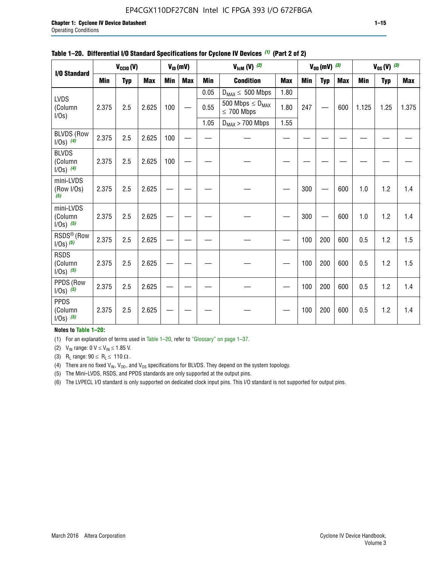#### EP4CGX110DF27C8N Intel IC FPGA 393 I/O 672FBGA

|                                          |            | $V_{\text{CCIO}}(V)$ |            |     | $V_{ID}(mV)$ |            | $V_{\text{ICM}}(V)$ (2)                    |            |     | $V_{OD}$ (mV) $(3)$ |            |            | $V_{0S} (V)$ (3) |            |
|------------------------------------------|------------|----------------------|------------|-----|--------------|------------|--------------------------------------------|------------|-----|---------------------|------------|------------|------------------|------------|
| I/O Standard                             |            |                      |            |     |              |            |                                            |            |     |                     |            |            |                  |            |
|                                          | <b>Min</b> | <b>Typ</b>           | <b>Max</b> | Min | <b>Max</b>   | <b>Min</b> | <b>Condition</b>                           | <b>Max</b> | Min | <b>Typ</b>          | <b>Max</b> | <b>Min</b> | <b>Typ</b>       | <b>Max</b> |
| <b>LVDS</b>                              |            |                      |            |     |              | 0.05       | $D_{MAX} \leq 500$ Mbps                    | 1.80       |     |                     |            |            |                  |            |
| (Column<br>I/Os)                         | 2.375      | 2.5                  | 2.625      | 100 |              | 0.55       | 500 Mbps $\leq D_{MAX}$<br>$\leq 700$ Mbps | 1.80       | 247 |                     | 600        | 1.125      | 1.25             | 1.375      |
|                                          |            |                      |            |     |              | 1.05       | $D_{MAX}$ > 700 Mbps                       | 1.55       |     |                     |            |            |                  |            |
| <b>BLVDS (Row</b><br>$I/Os)$ (4)         | 2.375      | 2.5                  | 2.625      | 100 |              |            |                                            |            |     |                     |            |            |                  |            |
| <b>BLVDS</b><br>(Column<br>$1/0s)$ (4)   | 2.375      | 2.5                  | 2.625      | 100 |              |            |                                            |            |     |                     |            |            |                  |            |
| mini-LVDS<br>(Row I/Os)<br>(5)           | 2.375      | 2.5                  | 2.625      |     |              |            |                                            |            | 300 |                     | 600        | 1.0        | 1.2              | 1.4        |
| mini-LVDS<br>(Column<br>$1/Os)$ (5)      | 2.375      | 2.5                  | 2.625      |     |              |            |                                            |            | 300 |                     | 600        | 1.0        | 1.2              | 1.4        |
| RSDS <sup>®</sup> (Row<br>$1/0s$ ) $(5)$ | 2.375      | 2.5                  | 2.625      |     |              |            |                                            |            | 100 | 200                 | 600        | 0.5        | 1.2              | 1.5        |
| <b>RSDS</b><br>(Column<br>$1/Os)$ (5)    | 2.375      | 2.5                  | 2.625      |     |              |            |                                            |            | 100 | 200                 | 600        | 0.5        | 1.2              | 1.5        |
| PPDS (Row<br>$1/0s)$ (5)                 | 2.375      | 2.5                  | 2.625      |     |              |            |                                            |            | 100 | 200                 | 600        | 0.5        | 1.2              | 1.4        |
| <b>PPDS</b><br>(Column<br>$1/0s)$ (5)    | 2.375      | 2.5                  | 2.625      |     |              |            |                                            |            | 100 | 200                 | 600        | 0.5        | 1.2              | 1.4        |

#### **Table 1–20. Differential I/O Standard Specifications for Cyclone IV Devices** *(1)* **(Part 2 of 2)**

#### **Notes to Table 1–20:**

(1) For an explanation of terms used in Table 1–20, refer to "Glossary" on page 1–37.

(2)  $V_{IN}$  range: 0  $V \le V_{IN} \le 1.85$  V.

(3) R<sub>L</sub> range:  $90 \le R_L \le 110 \Omega$ .

(4) There are no fixed  $V_{IN}$ ,  $V_{OD}$ , and  $V_{OS}$  specifications for BLVDS. They depend on the system topology.

(5) The Mini-LVDS, RSDS, and PPDS standards are only supported at the output pins.

(6) The LVPECL I/O standard is only supported on dedicated clock input pins. This I/O standard is not supported for output pins.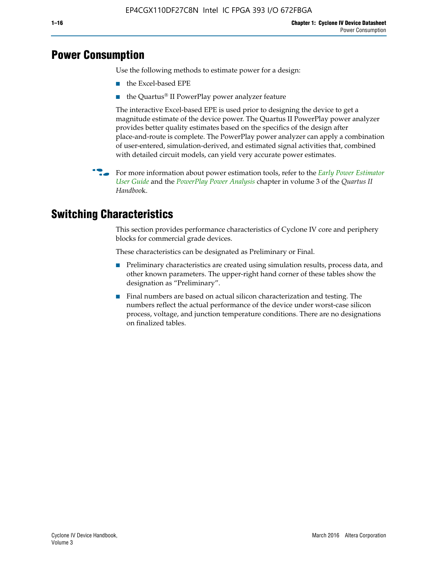# **Power Consumption**

Use the following methods to estimate power for a design:

- the Excel-based EPE
- the Quartus® II PowerPlay power analyzer feature

The interactive Excel-based EPE is used prior to designing the device to get a magnitude estimate of the device power. The Quartus II PowerPlay power analyzer provides better quality estimates based on the specifics of the design after place-and-route is complete. The PowerPlay power analyzer can apply a combination of user-entered, simulation-derived, and estimated signal activities that, combined with detailed circuit models, can yield very accurate power estimates.

f For more information about power estimation tools, refer to the *[Early Power Estimator](http://www.altera.com/literature/ug/ug_epe.pdf
)  [User Guide](http://www.altera.com/literature/ug/ug_epe.pdf
)* and the *[PowerPlay Power Analysis](http://www.altera.com/literature/hb/qts/qts_qii53013.pdf)* chapter in volume 3 of the *Quartus II Handboo*k.

# **Switching Characteristics**

This section provides performance characteristics of Cyclone IV core and periphery blocks for commercial grade devices.

These characteristics can be designated as Preliminary or Final.

- Preliminary characteristics are created using simulation results, process data, and other known parameters. The upper-right hand corner of these tables show the designation as "Preliminary".
- Final numbers are based on actual silicon characterization and testing. The numbers reflect the actual performance of the device under worst-case silicon process, voltage, and junction temperature conditions. There are no designations on finalized tables.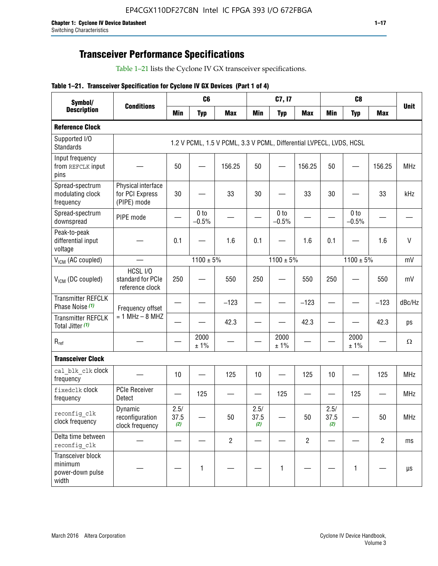# **Transceiver Performance Specifications**

Table 1–21 lists the Cyclone IV GX transceiver specifications.

|  |  |  |  | Table 1-21. Transceiver Specification for Cyclone IV GX Devices (Part 1 of 4) |  |
|--|--|--|--|-------------------------------------------------------------------------------|--|
|--|--|--|--|-------------------------------------------------------------------------------|--|

| Symbol/                                                   | C <sub>6</sub><br>C7, I7<br><b>Conditions</b><br><b>Min</b><br><b>Min</b><br><b>Typ</b><br><b>Max</b><br><b>Typ</b><br><b>Max</b> |                     |                            |                                                                     | C <sub>8</sub>      |                            |                |                     |                            |                |             |
|-----------------------------------------------------------|-----------------------------------------------------------------------------------------------------------------------------------|---------------------|----------------------------|---------------------------------------------------------------------|---------------------|----------------------------|----------------|---------------------|----------------------------|----------------|-------------|
| <b>Description</b>                                        |                                                                                                                                   |                     |                            |                                                                     |                     |                            |                | <b>Min</b>          | <b>Typ</b>                 | <b>Max</b>     | <b>Unit</b> |
| <b>Reference Clock</b>                                    |                                                                                                                                   |                     |                            |                                                                     |                     |                            |                |                     |                            |                |             |
| Supported I/O<br><b>Standards</b>                         |                                                                                                                                   |                     |                            | 1.2 V PCML, 1.5 V PCML, 3.3 V PCML, Differential LVPECL, LVDS, HCSL |                     |                            |                |                     |                            |                |             |
| Input frequency<br>from REFCLK input<br>pins              |                                                                                                                                   | 50                  |                            | 156.25                                                              | 50                  |                            | 156.25         | 50                  | $\overline{\phantom{0}}$   | 156.25         | <b>MHz</b>  |
| Spread-spectrum<br>modulating clock<br>frequency          | Physical interface<br>for PCI Express<br>(PIPE) mode                                                                              | 30                  |                            | 33                                                                  | 30                  |                            | 33             | 30                  |                            | 33             | kHz         |
| Spread-spectrum<br>downspread                             | PIPE mode                                                                                                                         |                     | 0 <sub>to</sub><br>$-0.5%$ |                                                                     |                     | 0 <sub>to</sub><br>$-0.5%$ |                |                     | 0 <sub>to</sub><br>$-0.5%$ |                |             |
| Peak-to-peak<br>differential input<br>voltage             |                                                                                                                                   | 0.1                 |                            | 1.6                                                                 | 0.1                 |                            | 1.6            | 0.1                 |                            | 1.6            | $\vee$      |
| V <sub>ICM</sub> (AC coupled)                             |                                                                                                                                   |                     | $1100 \pm 5\%$             |                                                                     |                     | $1100 \pm 5\%$             |                |                     | $1100 \pm 5\%$             |                | mV          |
| $V_{ICM}$ (DC coupled)                                    | HCSL I/O<br>standard for PCIe<br>reference clock                                                                                  | 250                 |                            | 550                                                                 | 250                 |                            | 550            | 250                 |                            | 550            | mV          |
| <b>Transmitter REFCLK</b><br>Phase Noise (1)              | Frequency offset                                                                                                                  |                     |                            | $-123$                                                              |                     |                            | $-123$         |                     |                            | $-123$         | dBc/Hz      |
| <b>Transmitter REFCLK</b><br>Total Jitter (1)             | $= 1$ MHz $- 8$ MHZ                                                                                                               |                     |                            | 42.3                                                                |                     |                            | 42.3           |                     |                            | 42.3           | ps          |
| $\mathsf{R}_{\mathsf{ref}}$                               |                                                                                                                                   |                     | 2000<br>± 1%               |                                                                     |                     | 2000<br>± 1%               |                |                     | 2000<br>± 1%               |                | Ω           |
| <b>Transceiver Clock</b>                                  |                                                                                                                                   |                     |                            |                                                                     |                     |                            |                |                     |                            |                |             |
| cal blk clk clock<br>frequency                            |                                                                                                                                   | 10                  |                            | 125                                                                 | 10                  |                            | 125            | 10                  |                            | 125            | <b>MHz</b>  |
| fixedclk Clock<br>frequency                               | <b>PCIe Receiver</b><br>Detect                                                                                                    |                     | 125                        |                                                                     |                     | 125                        |                |                     | 125                        |                | <b>MHz</b>  |
| reconfig clk<br>clock frequency                           | Dynamic<br>reconfiguration<br>clock frequency                                                                                     | 2.5/<br>37.5<br>(2) |                            | 50                                                                  | 2.5/<br>37.5<br>(2) |                            | 50             | 2.5/<br>37.5<br>(2) |                            | 50             | <b>MHz</b>  |
| Delta time between<br>reconfig clk                        |                                                                                                                                   |                     |                            | $\overline{2}$                                                      |                     |                            | $\overline{2}$ |                     |                            | $\overline{2}$ | ms          |
| Transceiver block<br>minimum<br>power-down pulse<br>width |                                                                                                                                   |                     | $\mathbf{1}$               |                                                                     |                     | 1                          |                |                     | $\mathbf{1}$               |                | $\mu s$     |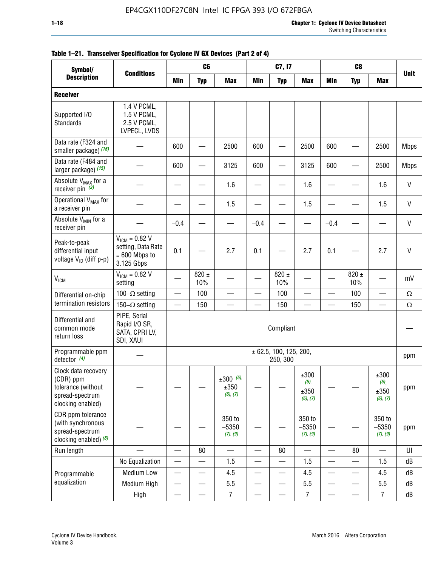| Symbol/                                                                                        |                                                                           |                          | C <sub>6</sub>           |                                 |                          | C7, I7                             |                                     |            | C <sub>8</sub>   |                                                |              |
|------------------------------------------------------------------------------------------------|---------------------------------------------------------------------------|--------------------------|--------------------------|---------------------------------|--------------------------|------------------------------------|-------------------------------------|------------|------------------|------------------------------------------------|--------------|
| <b>Description</b>                                                                             | <b>Conditions</b>                                                         | <b>Min</b>               | <b>Typ</b>               | <b>Max</b>                      | <b>Min</b>               | <b>Typ</b>                         | <b>Max</b>                          | <b>Min</b> | <b>Typ</b>       | <b>Max</b>                                     | <b>Unit</b>  |
| <b>Receiver</b>                                                                                |                                                                           |                          |                          |                                 |                          |                                    |                                     |            |                  |                                                |              |
| Supported I/O<br>Standards                                                                     | 1.4 V PCML,<br>1.5 V PCML,<br>2.5 V PCML,<br>LVPECL, LVDS                 |                          |                          |                                 |                          |                                    |                                     |            |                  |                                                |              |
| Data rate (F324 and<br>smaller package) (15)                                                   |                                                                           | 600                      |                          | 2500                            | 600                      |                                    | 2500                                | 600        |                  | 2500                                           | <b>Mbps</b>  |
| Data rate (F484 and<br>larger package) (15)                                                    |                                                                           | 600                      |                          | 3125                            | 600                      |                                    | 3125                                | 600        |                  | 2500                                           | <b>Mbps</b>  |
| Absolute V <sub>MAX</sub> for a<br>receiver pin $(3)$                                          |                                                                           |                          |                          | 1.6                             |                          |                                    | 1.6                                 |            |                  | 1.6                                            | $\mathsf{V}$ |
| Operational V <sub>MAX</sub> for<br>a receiver pin                                             |                                                                           |                          |                          | 1.5                             |                          |                                    | 1.5                                 |            |                  | 1.5                                            | V            |
| Absolute V <sub>MIN</sub> for a<br>receiver pin                                                |                                                                           | $-0.4$                   |                          |                                 | $-0.4$                   |                                    |                                     | $-0.4$     |                  |                                                | $\mathsf{V}$ |
| Peak-to-peak<br>differential input<br>voltage V <sub>ID</sub> (diff p-p)                       | $V_{ICM} = 0.82 V$<br>setting, Data Rate<br>$= 600$ Mbps to<br>3.125 Gbps | 0.1                      |                          | 2.7                             | 0.1                      |                                    | 2.7                                 | 0.1        |                  | 2.7                                            | $\mathsf{V}$ |
| <b>V<sub>ICM</sub></b>                                                                         | $V_{IGM} = 0.82 V$<br>setting                                             |                          | $820 \pm$<br>10%         |                                 |                          | 820 $\pm$<br>10%                   |                                     |            | $820 \pm$<br>10% |                                                | mV           |
| Differential on-chip                                                                           | 100 $-\Omega$ setting                                                     |                          | 100                      |                                 |                          | 100                                |                                     |            | 100              | $\overline{\phantom{0}}$                       | $\Omega$     |
| termination resistors                                                                          | 150 $-\Omega$ setting                                                     |                          | 150                      |                                 |                          | 150                                |                                     |            | 150              |                                                | $\Omega$     |
| Differential and<br>common mode<br>return loss                                                 | PIPE, Serial<br>Rapid I/O SR,<br>SATA, CPRI LV,<br>SDI, XAUI              |                          |                          |                                 |                          | Compliant                          |                                     |            |                  |                                                |              |
| Programmable ppm<br>detector $(4)$                                                             |                                                                           |                          |                          |                                 |                          | ± 62.5, 100, 125, 200,<br>250, 300 |                                     |            |                  |                                                | ppm          |
| Clock data recovery<br>(CDR) ppm<br>tolerance (without<br>spread-spectrum<br>clocking enabled) |                                                                           |                          |                          | $±300$ (5),<br>±350<br>(6), (7) |                          |                                    | ±300<br>$(5)$ ,<br>±350<br>(6), (7) |            |                  | ±300<br>$(5)$ <sub>,</sub><br>±350<br>(6), (7) | ppm          |
| CDR ppm tolerance<br>(with synchronous<br>spread-spectrum<br>clocking enabled) (8)             |                                                                           |                          |                          | 350 to<br>$-5350$<br>(7), (9)   |                          |                                    | 350 to<br>$-5350$<br>(7), (9)       |            |                  | 350 to<br>$-5350$<br>(7), (9)                  | ppm          |
| Run length                                                                                     |                                                                           |                          | 80                       |                                 |                          | 80                                 |                                     |            | 80               |                                                | UI           |
|                                                                                                | No Equalization                                                           |                          |                          | 1.5                             |                          |                                    | 1.5                                 | e e        |                  | 1.5                                            | ${\sf dB}$   |
| Programmable                                                                                   | <b>Medium Low</b>                                                         |                          | —                        | 4.5                             |                          | $\overline{\phantom{0}}$           | 4.5                                 |            | $\qquad \qquad$  | 4.5                                            | dB           |
| equalization                                                                                   | Medium High                                                               | $\overline{\phantom{0}}$ |                          | $5.5\,$                         | $\overline{\phantom{0}}$ |                                    | 5.5                                 | —          | —                | 5.5                                            | dB           |
|                                                                                                | High                                                                      | $\overline{\phantom{0}}$ | $\overline{\phantom{0}}$ | $\overline{7}$                  | $\overline{\phantom{0}}$ |                                    | $\overline{7}$                      | —          |                  | $\overline{7}$                                 | dB           |

#### **Table 1–21. Transceiver Specification for Cyclone IV GX Devices (Part 2 of 4)**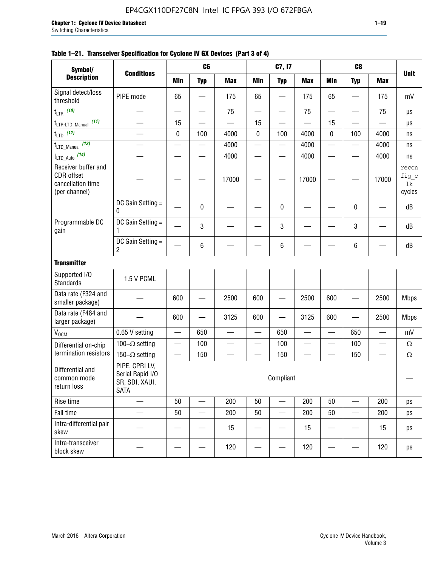| Symbol/                                                                 |                                                                     |            | C <sub>6</sub>           |                                |                          | C7, I7                   |            |                          | C <sub>8</sub> |            |                                |
|-------------------------------------------------------------------------|---------------------------------------------------------------------|------------|--------------------------|--------------------------------|--------------------------|--------------------------|------------|--------------------------|----------------|------------|--------------------------------|
| <b>Description</b>                                                      | <b>Conditions</b>                                                   | <b>Min</b> | <b>Typ</b>               | <b>Max</b>                     | <b>Min</b>               | <b>Typ</b>               | <b>Max</b> | <b>Min</b>               | <b>Typ</b>     | <b>Max</b> | <b>Unit</b>                    |
| Signal detect/loss<br>threshold                                         | PIPE mode                                                           | 65         |                          | 175                            | 65                       |                          | 175        | 65                       |                | 175        | mV                             |
| t <sub>LTR</sub> (10)                                                   |                                                                     |            | $\overline{\phantom{0}}$ | 75                             |                          |                          | 75         | $\overline{\phantom{0}}$ |                | 75         | μs                             |
| (11)<br>t <sub>LTR-LTD_Manual</sub>                                     | $\overline{\phantom{a}}$                                            | 15         |                          |                                | 15                       |                          |            | 15                       |                |            | μs                             |
| $t_{\text{LTD}}$ (12)                                                   |                                                                     | $\pmb{0}$  | 100                      | 4000                           | 0                        | 100                      | 4000       | 0                        | 100            | 4000       | ns                             |
| (13)<br>t <sub>LTD_Manual</sub>                                         | $\overline{\phantom{0}}$                                            |            | $\overline{\phantom{0}}$ | 4000                           |                          |                          | 4000       | $\overline{\phantom{0}}$ |                | 4000       | ns                             |
| t <sub>LTD_Auto</sub> (14)                                              |                                                                     |            | —                        | 4000                           | $\overline{\phantom{0}}$ | $\overline{\phantom{0}}$ | 4000       | $\overline{\phantom{0}}$ |                | 4000       | ns                             |
| Receiver buffer and<br>CDR offset<br>cancellation time<br>(per channel) |                                                                     |            |                          | 17000                          |                          |                          | 17000      |                          |                | 17000      | recon<br>fig_c<br>lk<br>cycles |
|                                                                         | DC Gain Setting =<br>0                                              |            | 0                        |                                |                          | 0                        |            |                          | 0              |            | dB                             |
| Programmable DC<br>gain                                                 | DC Gain Setting =<br>1                                              |            | 3                        |                                |                          | 3                        |            |                          | 3              |            | dB                             |
|                                                                         | DC Gain Setting $=$<br>2                                            |            | 6                        |                                |                          | 6                        |            |                          | 6              |            | dB                             |
| <b>Transmitter</b>                                                      |                                                                     |            |                          |                                |                          |                          |            |                          |                |            |                                |
| Supported I/O<br><b>Standards</b>                                       | 1.5 V PCML                                                          |            |                          |                                |                          |                          |            |                          |                |            |                                |
| Data rate (F324 and<br>smaller package)                                 |                                                                     | 600        |                          | 2500                           | 600                      |                          | 2500       | 600                      |                | 2500       | <b>Mbps</b>                    |
| Data rate (F484 and<br>larger package)                                  |                                                                     | 600        |                          | 3125                           | 600                      |                          | 3125       | 600                      |                | 2500       | <b>Mbps</b>                    |
| V <sub>OCM</sub>                                                        | 0.65 V setting                                                      |            | 650                      |                                |                          | 650                      |            |                          | 650            |            | mV                             |
| Differential on-chip                                                    | 100 $-\Omega$ setting                                               | —          | 100                      | $\qquad \qquad \longleftarrow$ |                          | 100                      |            | —                        | 100            | —          | $\Omega$                       |
| termination resistors                                                   | 150 $-\Omega$ setting                                               |            | 150                      |                                |                          | 150                      |            |                          | 150            |            | $\Omega$                       |
| Differential and<br>common mode<br>return loss                          | PIPE, CPRI LV,<br>Serial Rapid I/O<br>SR, SDI, XAUI,<br><b>SATA</b> |            |                          |                                |                          | Compliant                |            |                          |                |            |                                |
| Rise time                                                               | $\overline{\phantom{0}}$                                            | 50         |                          | 200                            | 50                       | $\overline{\phantom{0}}$ | 200        | 50                       |                | 200        | ps                             |
| Fall time                                                               |                                                                     | 50         |                          | 200                            | 50                       |                          | 200        | 50                       |                | 200        | ps                             |
| Intra-differential pair<br>skew                                         |                                                                     |            |                          | 15                             |                          |                          | 15         |                          |                | 15         | ps                             |
| Intra-transceiver<br>block skew                                         |                                                                     |            |                          | 120                            |                          |                          | 120        |                          |                | 120        | ps                             |

### **Table 1–21. Transceiver Specification for Cyclone IV GX Devices (Part 3 of 4)**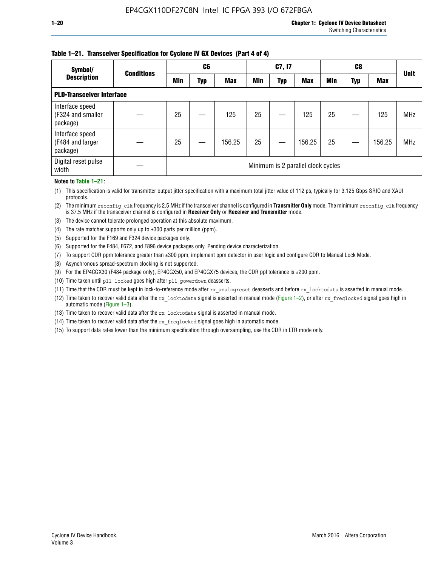#### **Table 1–21. Transceiver Specification for Cyclone IV GX Devices (Part 4 of 4)**

| Symbol/                                          | <b>Conditions</b> |            | C <sub>6</sub> |            |            | C7, I7     |                                    |            | C8  |            | <b>Unit</b> |
|--------------------------------------------------|-------------------|------------|----------------|------------|------------|------------|------------------------------------|------------|-----|------------|-------------|
| <b>Description</b>                               |                   | <b>Min</b> | Typ            | <b>Max</b> | <b>Min</b> | <b>Typ</b> | <b>Max</b>                         | <b>Min</b> | Typ | <b>Max</b> |             |
| <b>PLD-Transceiver Interface</b>                 |                   |            |                |            |            |            |                                    |            |     |            |             |
| Interface speed<br>(F324 and smaller<br>package) |                   | 25         |                | 125        | 25         |            | 125                                | 25         |     | 125        | <b>MHz</b>  |
| Interface speed<br>(F484 and larger<br>package)  |                   | 25         |                | 156.25     | 25         |            | 156.25                             | 25         |     | 156.25     | <b>MHz</b>  |
| Digital reset pulse<br>width                     |                   |            |                |            |            |            | Minimum is 2 parallel clock cycles |            |     |            |             |

#### **Notes to Table 1–21:**

(1) This specification is valid for transmitter output jitter specification with a maximum total jitter value of 112 ps, typically for 3.125 Gbps SRIO and XAUI protocols.

(2) The minimum reconfig\_clk frequency is 2.5 MHz if the transceiver channel is configured in **Transmitter Only** mode. The minimum reconfig\_clk frequency is 37.5 MHz if the transceiver channel is configured in **Receiver Only** or **Receiver and Transmitter** mode.

(3) The device cannot tolerate prolonged operation at this absolute maximum.

- (4) The rate matcher supports only up to  $\pm 300$  parts per million (ppm).
- (5) Supported for the F169 and F324 device packages only.
- (6) Supported for the F484, F672, and F896 device packages only. Pending device characterization.
- (7) To support CDR ppm tolerance greater than ±300 ppm, implement ppm detector in user logic and configure CDR to Manual Lock Mode.
- (8) Asynchronous spread-spectrum clocking is not supported.
- (9) For the EP4CGX30 (F484 package only), EP4CGX50, and EP4CGX75 devices, the CDR ppl tolerance is ±200 ppm.
- (10) Time taken until pll\_locked goes high after pll\_powerdown deasserts.
- (11) Time that the CDR must be kept in lock-to-reference mode after rx analogreset deasserts and before rx locktodata is asserted in manual mode.

(12) Time taken to recover valid data after the rx locktodata signal is asserted in manual mode (Figure 1–2), or after rx freqlocked signal goes high in automatic mode (Figure 1–3).

(13) Time taken to recover valid data after the rx locktodata signal is asserted in manual mode.

- (14) Time taken to recover valid data after the rx freqlocked signal goes high in automatic mode.
- (15) To support data rates lower than the minimum specification through oversampling, use the CDR in LTR mode only.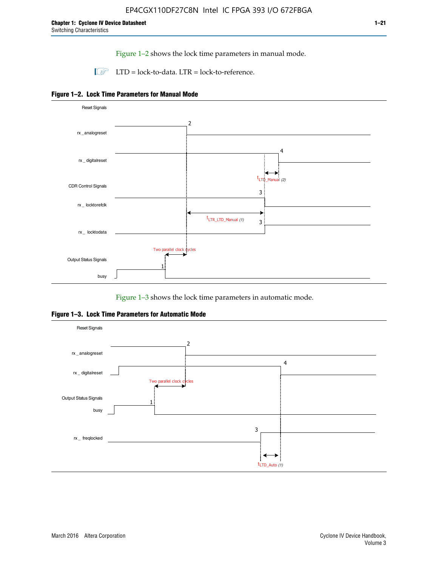Figure 1–2 shows the lock time parameters in manual mode.

 $\Box$  LTD = lock-to-data. LTR = lock-to-reference.





Figure 1–3 shows the lock time parameters in automatic mode.

**Figure 1–3. Lock Time Parameters for Automatic Mode**

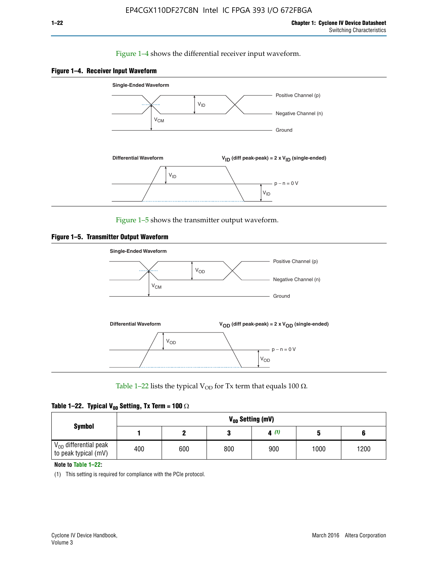#### Figure 1–4 shows the differential receiver input waveform.





Figure 1–5 shows the transmitter output waveform.





Table 1–22 lists the typical V<sub>OD</sub> for Tx term that equals 100  $\Omega$ .

|  |  | Table 1–22. Typical V <sub>0D</sub> Setting, Tx Term = 100 $\Omega$ |  |  |
|--|--|---------------------------------------------------------------------|--|--|
|--|--|---------------------------------------------------------------------|--|--|

|                                                        | V <sub>op</sub> Setting (mV) |     |     |      |      |      |  |  |  |  |
|--------------------------------------------------------|------------------------------|-----|-----|------|------|------|--|--|--|--|
| <b>Symbol</b>                                          |                              |     |     | 4(1) |      |      |  |  |  |  |
| $\rm V_{OD}$ differential peak<br>to peak typical (mV) | 400                          | 600 | 800 | 900  | 1000 | 1200 |  |  |  |  |

**Note to Table 1–22:**

(1) This setting is required for compliance with the PCIe protocol.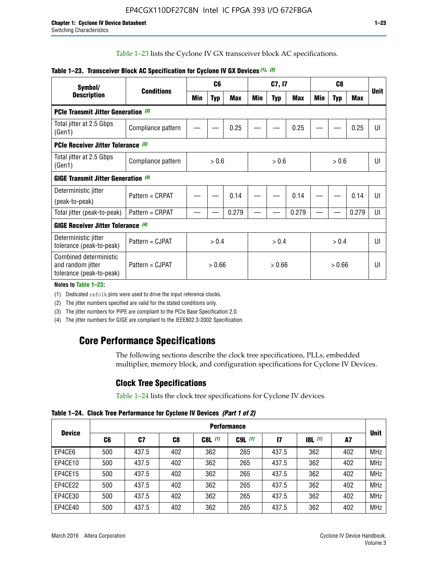Table 1–23 lists the Cyclone IV GX transceiver block AC specifications.

| Symbol/                                                                 | <b>Conditions</b>                          |       | C <sub>6</sub> |            | C7, I7 |            |        | C <sub>8</sub> |            |       | <b>Unit</b> |
|-------------------------------------------------------------------------|--------------------------------------------|-------|----------------|------------|--------|------------|--------|----------------|------------|-------|-------------|
| <b>Description</b>                                                      |                                            | Min   | Typ            | <b>Max</b> | Min    | <b>Typ</b> | Max    | Min            | <b>Typ</b> | Max   |             |
| <b>PCIe Transmit Jitter Generation (3)</b>                              |                                            |       |                |            |        |            |        |                |            |       |             |
| Total jitter at 2.5 Gbps<br>(Gen1)                                      | Compliance pattern                         |       |                | 0.25       |        |            | 0.25   |                |            | 0.25  | UI          |
| PCIe Receiver Jitter Tolerance (3)                                      |                                            |       |                |            |        |            |        |                |            |       |             |
| Total jitter at 2.5 Gbps<br>(Gen1)                                      | Compliance pattern                         | > 0.6 |                | > 0.6      |        | > 0.6      |        | UI             |            |       |             |
|                                                                         | <b>GIGE Transmit Jitter Generation (4)</b> |       |                |            |        |            |        |                |            |       |             |
| Deterministic jitter                                                    | Pattern = CRPAT                            |       |                | 0.14       |        |            | 0.14   |                |            | 0.14  | UI          |
| (peak-to-peak)                                                          |                                            |       |                |            |        |            |        |                |            |       |             |
| Total jitter (peak-to-peak)                                             | Pattern = CRPAT                            |       |                | 0.279      |        |            | 0.279  |                |            | 0.279 | UI          |
| <b>GIGE Receiver Jitter Tolerance (4)</b>                               |                                            |       |                |            |        |            |        |                |            |       |             |
| Deterministic jitter<br>tolerance (peak-to-peak)                        | Pattern = CJPAT                            | > 0.4 |                | > 0.4      |        |            | > 0.4  |                |            | UI    |             |
| Combined deterministic<br>and random jitter<br>tolerance (peak-to-peak) | Pattern = CJPAT                            |       | > 0.66         |            | > 0.66 |            | > 0.66 |                | UI         |       |             |

#### **Table 1–23. Transceiver Block AC Specification for Cyclone IV GX Devices** *(1)***,** *(2)*

**Notes to Table 1–23:**

(1) Dedicated refclk pins were used to drive the input reference clocks.

(2) The jitter numbers specified are valid for the stated conditions only.

(3) The jitter numbers for PIPE are compliant to the PCIe Base Specification 2.0.

(4) The jitter numbers for GIGE are compliant to the IEEE802.3-2002 Specification.

# **Core Performance Specifications**

The following sections describe the clock tree specifications, PLLs, embedded multiplier, memory block, and configuration specifications for Cyclone IV Devices.

# **Clock Tree Specifications**

Table 1–24 lists the clock tree specifications for Cyclone IV devices.

**Table 1–24. Clock Tree Performance for Cyclone IV Devices** *(Part 1 of 2)*

|               | <b>Performance</b> |       |     |           |             |               |                  |     |             |  |
|---------------|--------------------|-------|-----|-----------|-------------|---------------|------------------|-----|-------------|--|
| <b>Device</b> | C6                 | C7    | C8  | $C8L$ (1) | $C9L$ $(1)$ | $\mathsf{I}7$ | <b>18L</b> $(1)$ | A7  | <b>Unit</b> |  |
| EP4CE6        | 500                | 437.5 | 402 | 362       | 265         | 437.5         | 362              | 402 | <b>MHz</b>  |  |
| EP4CE10       | 500                | 437.5 | 402 | 362       | 265         | 437.5         | 362              | 402 | <b>MHz</b>  |  |
| EP4CE15       | 500                | 437.5 | 402 | 362       | 265         | 437.5         | 362              | 402 | <b>MHz</b>  |  |
| EP4CE22       | 500                | 437.5 | 402 | 362       | 265         | 437.5         | 362              | 402 | <b>MHz</b>  |  |
| EP4CE30       | 500                | 437.5 | 402 | 362       | 265         | 437.5         | 362              | 402 | <b>MHz</b>  |  |
| EP4CE40       | 500                | 437.5 | 402 | 362       | 265         | 437.5         | 362              | 402 | <b>MHz</b>  |  |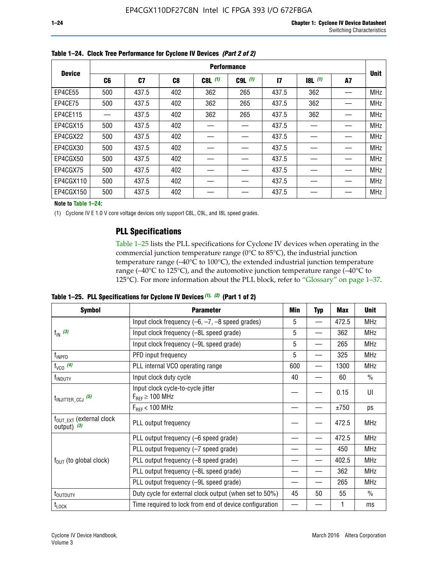|               | <b>Performance</b> |       |     |           |             |              |           |    |             |  |
|---------------|--------------------|-------|-----|-----------|-------------|--------------|-----------|----|-------------|--|
| <b>Device</b> | C6                 | C7    | C8  | $C8L$ (1) | $C9L$ $(1)$ | $\mathbf{I}$ | $18L$ (1) | A7 | <b>Unit</b> |  |
| EP4CE55       | 500                | 437.5 | 402 | 362       | 265         | 437.5        | 362       |    | <b>MHz</b>  |  |
| EP4CE75       | 500                | 437.5 | 402 | 362       | 265         | 437.5        | 362       |    | <b>MHz</b>  |  |
| EP4CE115      |                    | 437.5 | 402 | 362       | 265         | 437.5        | 362       |    | <b>MHz</b>  |  |
| EP4CGX15      | 500                | 437.5 | 402 |           |             | 437.5        |           |    | <b>MHz</b>  |  |
| EP4CGX22      | 500                | 437.5 | 402 |           |             | 437.5        |           |    | <b>MHz</b>  |  |
| EP4CGX30      | 500                | 437.5 | 402 |           |             | 437.5        |           |    | <b>MHz</b>  |  |
| EP4CGX50      | 500                | 437.5 | 402 |           |             | 437.5        |           |    | <b>MHz</b>  |  |
| EP4CGX75      | 500                | 437.5 | 402 |           |             | 437.5        |           |    | <b>MHz</b>  |  |
| EP4CGX110     | 500                | 437.5 | 402 |           |             | 437.5        |           |    | <b>MHz</b>  |  |
| EP4CGX150     | 500                | 437.5 | 402 |           |             | 437.5        |           |    | <b>MHz</b>  |  |

**Table 1–24. Clock Tree Performance for Cyclone IV Devices** *(Part 2 of 2)*

**Note to Table 1–24:**

(1) Cyclone IV E 1.0 V core voltage devices only support C8L, C9L, and I8L speed grades.

### **PLL Specifications**

Table 1–25 lists the PLL specifications for Cyclone IV devices when operating in the commercial junction temperature range (0°C to 85°C), the industrial junction temperature range (–40°C to 100°C), the extended industrial junction temperature range (–40°C to 125°C), and the automotive junction temperature range (–40°C to 125°C). For more information about the PLL block, refer to "Glossary" on page 1–37.

|  |  | Table 1–25. PLL Specifications for Cyclone IV Devices $(1)$ , $(2)$ (Part 1 of 2) |  |
|--|--|-----------------------------------------------------------------------------------|--|
|--|--|-----------------------------------------------------------------------------------|--|

| <b>Symbol</b>                                          | <b>Parameter</b>                                            | Min      | <b>Typ</b>               | <b>Max</b>                                                                                     | <b>Unit</b>   |
|--------------------------------------------------------|-------------------------------------------------------------|----------|--------------------------|------------------------------------------------------------------------------------------------|---------------|
|                                                        | Input clock frequency $(-6, -7, -8)$ speed grades)          | 5        | $\qquad \qquad$          | 472.5                                                                                          | <b>MHz</b>    |
| $f_{\text{IN}}(3)$                                     | Input clock frequency (-8L speed grade)                     | 5        |                          | 362                                                                                            | <b>MHz</b>    |
|                                                        | Input clock frequency (-9L speed grade)                     | 5        |                          | 265<br>325<br>1300<br>60<br>0.15<br>±750<br>472.5<br>472.5<br>450<br>402.5<br>362<br>265<br>55 | <b>MHz</b>    |
| f <sub>INPFD</sub>                                     | PFD input frequency                                         | 5        | $\overline{\phantom{0}}$ |                                                                                                | <b>MHz</b>    |
| $f_{VCO}$ (4)                                          | PLL internal VCO operating range                            | 600      |                          |                                                                                                | <b>MHz</b>    |
| f <sub>INDUTY</sub>                                    | Input clock duty cycle                                      | 40       |                          |                                                                                                | $\frac{0}{0}$ |
| $t_{\text{INJITTER\_CCJ}}$ (5)                         | Input clock cycle-to-cycle jitter<br>$F_{REF} \geq 100$ MHz |          |                          |                                                                                                | UI            |
|                                                        | $F_{RFF}$ < 100 MHz                                         | 45<br>50 | ps                       |                                                                                                |               |
| $f_{\text{OUT\_EXT}}$ (external clock<br>output) $(3)$ | PLL output frequency                                        |          |                          |                                                                                                | <b>MHz</b>    |
|                                                        | PLL output frequency (-6 speed grade)                       |          |                          |                                                                                                | <b>MHz</b>    |
|                                                        | PLL output frequency (-7 speed grade)                       |          |                          |                                                                                                | <b>MHz</b>    |
| $f_{OUT}$ (to global clock)                            | PLL output frequency (-8 speed grade)                       |          |                          |                                                                                                | <b>MHz</b>    |
|                                                        | PLL output frequency (-8L speed grade)                      |          |                          |                                                                                                | <b>MHz</b>    |
|                                                        | PLL output frequency (-9L speed grade)                      |          |                          |                                                                                                | <b>MHz</b>    |
| t <sub>outduty</sub>                                   | Duty cycle for external clock output (when set to 50%)      |          |                          |                                                                                                | $\frac{0}{0}$ |
| $t_{\text{LOCK}}$                                      | Time required to lock from end of device configuration      |          |                          |                                                                                                | ms            |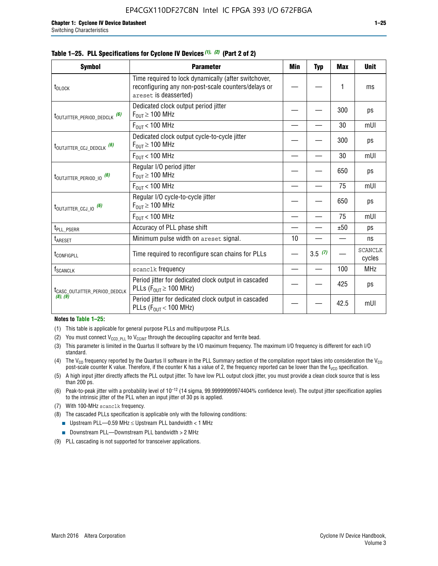| <b>Symbol</b>                                                                                                                                                                                                                                                                                                          | <b>Parameter</b>                                                                                                                     | Min                                             | <b>Typ</b> | Max | <b>Unit</b>              |
|------------------------------------------------------------------------------------------------------------------------------------------------------------------------------------------------------------------------------------------------------------------------------------------------------------------------|--------------------------------------------------------------------------------------------------------------------------------------|-------------------------------------------------|------------|-----|--------------------------|
| t <sub>DLOCK</sub>                                                                                                                                                                                                                                                                                                     | Time required to lock dynamically (after switchover,<br>reconfiguring any non-post-scale counters/delays or<br>areset is deasserted) |                                                 |            | 1   | ms                       |
|                                                                                                                                                                                                                                                                                                                        | Dedicated clock output period jitter<br>$F_{OIII} \geq 100$ MHz                                                                      |                                                 |            | 300 | ps                       |
|                                                                                                                                                                                                                                                                                                                        | $F_{OIII}$ < 100 MHz                                                                                                                 |                                                 |            | 30  | mUI                      |
| t <sub>outjitter_ccj_dedclk</sub> (6)                                                                                                                                                                                                                                                                                  | Dedicated clock output cycle-to-cycle jitter<br>$F_{OUT} \geq 100$ MHz                                                               |                                                 |            | 300 | ps                       |
|                                                                                                                                                                                                                                                                                                                        | $F_{OIII}$ < 100 MHz                                                                                                                 |                                                 |            | 30  | mUI                      |
| t <sub>outjitter_period_io</sub> (6)                                                                                                                                                                                                                                                                                   | Regular I/O period jitter<br>$F_{OUT} \geq 100$ MHz                                                                                  |                                                 |            | 650 | ps                       |
|                                                                                                                                                                                                                                                                                                                        | $F_{OUT}$ < 100 MHz                                                                                                                  | 75                                              | mUI        |     |                          |
|                                                                                                                                                                                                                                                                                                                        | Regular I/O cycle-to-cycle jitter<br>$F_{OUT} \geq 100$ MHz                                                                          |                                                 |            | 650 | ps                       |
|                                                                                                                                                                                                                                                                                                                        | $F_{OIII}$ < 100 MHz                                                                                                                 | 75<br>±50<br>10<br>3.5(7)<br>100<br>425<br>42.5 |            | mUI |                          |
| t <sub>PLL_PSERR</sub>                                                                                                                                                                                                                                                                                                 | Accuracy of PLL phase shift                                                                                                          |                                                 |            |     | ps                       |
| t <sub>ARESET</sub>                                                                                                                                                                                                                                                                                                    | Minimum pulse width on areset signal.                                                                                                |                                                 |            |     | ns                       |
| t <sub>configpll</sub>                                                                                                                                                                                                                                                                                                 | Time required to reconfigure scan chains for PLLs                                                                                    |                                                 |            |     | <b>SCANCLK</b><br>cycles |
| <b>f</b> <sub>SCANCLK</sub>                                                                                                                                                                                                                                                                                            | scanclk frequency                                                                                                                    |                                                 |            |     | <b>MHz</b>               |
| t <sub>outjitter_period_dedclk</sub> (6)<br>t <sub>outjitter_ccj_io</sub> (6)<br>Period jitter for dedicated clock output in cascaded<br>PLLs ( $F_{OUT} \ge 100$ MHz)<br>t <sub>CASC_OUTJITTER_PERIOD_DEDCLK</sub><br>(8), (9)<br>Period jitter for dedicated clock output in cascaded<br>PLLs ( $F_{OUT}$ < 100 MHz) |                                                                                                                                      |                                                 |            |     | ps                       |
|                                                                                                                                                                                                                                                                                                                        |                                                                                                                                      |                                                 | mUI        |     |                          |

#### **Table 1–25. PLL Specifications for Cyclone IV Devices** *(1), (2)* **(Part 2 of 2)**

#### **Notes to Table 1–25:**

- (1) This table is applicable for general purpose PLLs and multipurpose PLLs.
- (2) You must connect  $V_{CCD-PLL}$  to  $V_{CCINT}$  through the decoupling capacitor and ferrite bead.
- (3) This parameter is limited in the Quartus II software by the I/O maximum frequency. The maximum I/O frequency is different for each I/O standard.
- (4) The  $V_{CO}$  frequency reported by the Quartus II software in the PLL Summary section of the compilation report takes into consideration the  $V_{CO}$ post-scale counter K value. Therefore, if the counter K has a value of 2, the frequency reported can be lower than the f<sub>VCO</sub> specification.
- (5) A high input jitter directly affects the PLL output jitter. To have low PLL output clock jitter, you must provide a clean clock source that is less than 200 ps.
- (6) Peak-to-peak jitter with a probability level of 10–12 (14 sigma, 99.99999999974404% confidence level). The output jitter specification applies to the intrinsic jitter of the PLL when an input jitter of 30 ps is applied.
- (7) With 100-MHz scanclk frequency.
- (8) The cascaded PLLs specification is applicable only with the following conditions:
	- **■** Upstream PLL—0.59 MHz  $\leq$  Upstream PLL bandwidth  $<$  1 MHz
	- Downstream PLL—Downstream PLL bandwidth > 2 MHz
- (9) PLL cascading is not supported for transceiver applications.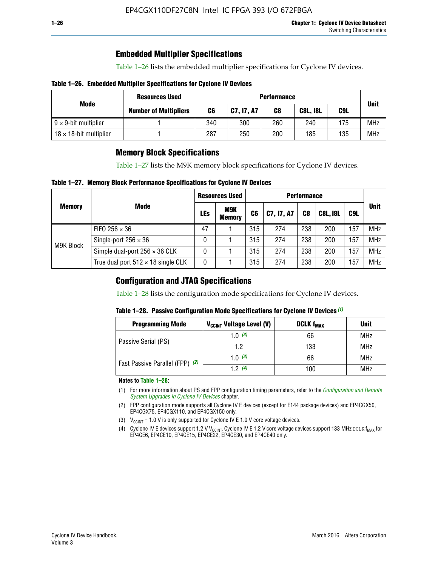### **Embedded Multiplier Specifications**

Table 1–26 lists the embedded multiplier specifications for Cyclone IV devices.

#### **Table 1–26. Embedded Multiplier Specifications for Cyclone IV Devices**

| Mode                           | <b>Resources Used</b>        |     |            | <b>Performance</b> |                 |     |             |
|--------------------------------|------------------------------|-----|------------|--------------------|-----------------|-----|-------------|
|                                | <b>Number of Multipliers</b> | C6  | C7, I7, A7 | C8                 | <b>C8L, I8L</b> | C9L | <b>Unit</b> |
| $9 \times 9$ -bit multiplier   |                              | 340 | 300        | 260                | 240             | 175 | <b>MHz</b>  |
| $18 \times 18$ -bit multiplier |                              | 287 | 250        | 200                | 185             | 135 | <b>MHz</b>  |

### **Memory Block Specifications**

Table 1–27 lists the M9K memory block specifications for Cyclone IV devices.

#### **Table 1–27. Memory Block Performance Specifications for Cyclone IV Devices**

|               |                                           | <b>Resources Used</b> |                      | <b>Performance</b> |            |                |                 |     |             |  |
|---------------|-------------------------------------------|-----------------------|----------------------|--------------------|------------|----------------|-----------------|-----|-------------|--|
| <b>Memory</b> | <b>Mode</b>                               | <b>LEs</b>            | M9K<br><b>Memory</b> | C <sub>6</sub>     | C7, I7, A7 | C <sub>8</sub> | <b>C8L, I8L</b> | C9L | <b>Unit</b> |  |
| M9K Block     | FIFO 256 $\times$ 36                      | 47                    |                      | 315                | 274        | 238            | 200             | 157 | <b>MHz</b>  |  |
|               | Single-port $256 \times 36$               | 0                     |                      | 315                | 274        | 238            | 200             | 157 | <b>MHz</b>  |  |
|               | Simple dual-port $256 \times 36$ CLK      | 0                     |                      | 315                | 274        | 238            | 200             | 157 | <b>MHz</b>  |  |
|               | True dual port $512 \times 18$ single CLK | 0                     |                      | 315                | 274        | 238            | 200             | 157 | <b>MHz</b>  |  |

### **Configuration and JTAG Specifications**

Table 1–28 lists the configuration mode specifications for Cyclone IV devices.

#### **Table 1–28. Passive Configuration Mode Specifications for Cyclone IV Devices** *(1)*

| <b>Programming Mode</b>         | V <sub>CCINT</sub> Voltage Level (V) | <b>DCLK f<sub>MAX</sub></b> | <b>Unit</b> |
|---------------------------------|--------------------------------------|-----------------------------|-------------|
| Passive Serial (PS)             | 1.0 $(3)$                            | 66                          | MHz         |
|                                 | 1.2                                  | 133                         | MHz         |
| Fast Passive Parallel (FPP) (2) | 1.0 $(3)$                            | 66                          | <b>MHz</b>  |
|                                 | 12(4)                                | 100                         | <b>MHz</b>  |

#### **Notes to Table 1–28:**

- (1) For more information about PS and FPP configuration timing parameters, refer to the *[Configuration and Remote](http://www.altera.com/literature/hb/cyclone-iv/cyiv-51008.pdf)  [System Upgrades in Cyclone IV Devices](http://www.altera.com/literature/hb/cyclone-iv/cyiv-51008.pdf)* chapter.
- (2) FPP configuration mode supports all Cyclone IV E devices (except for E144 package devices) and EP4CGX50, EP4CGX75, EP4CGX110, and EP4CGX150 only.
- (3)  $V_{CCMT}$  = 1.0 V is only supported for Cyclone IV E 1.0 V core voltage devices.
- (4) Cyclone IV E devices support 1.2 V V<sub>CCINT</sub>. Cyclone IV E 1.2 V core voltage devices support 133 MHz DCLK f<sub>MAX</sub> for EP4CE6, EP4CE10, EP4CE15, EP4CE22, EP4CE30, and EP4CE40 only.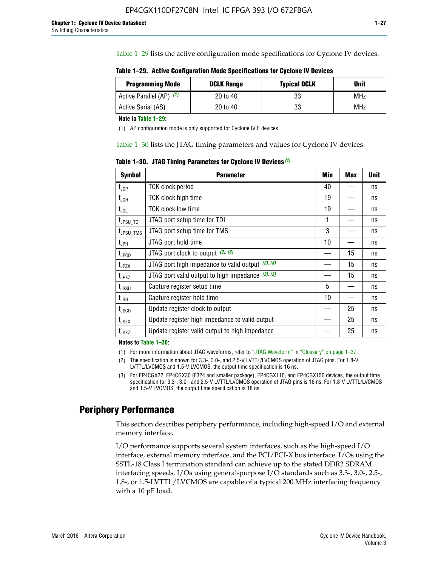Table 1–29 lists the active configuration mode specifications for Cyclone IV devices.

**Table 1–29. Active Configuration Mode Specifications for Cyclone IV Devices**

| <b>Programming Mode</b>  | <b>DCLK Range</b> | <b>Typical DCLK</b> | <b>Unit</b> |
|--------------------------|-------------------|---------------------|-------------|
| Active Parallel (AP) (1) | 20 to 40          | 33                  | MHz         |
| Active Serial (AS)       | 20 to 40          | 33                  | MHz         |

**Note to Table 1–29:**

(1) AP configuration mode is only supported for Cyclone IV E devices.

Table 1–30 lists the JTAG timing parameters and values for Cyclone IV devices.

**Table 1–30. JTAG Timing Parameters for Cyclone IV Devices** *(1)*

| Symbol                       | <b>Parameter</b>                                       | <b>Min</b> | <b>Max</b> | <b>Unit</b> |
|------------------------------|--------------------------------------------------------|------------|------------|-------------|
| t <sub>JCP</sub>             | <b>TCK clock period</b>                                | 40         |            | ns          |
| t <sub>JCH</sub>             | <b>TCK clock high time</b>                             | 19         |            | ns          |
| $t_{JCL}$                    | TCK clock low time                                     | 19         |            | ns          |
| t <sub>JPSU_TDI</sub>        | JTAG port setup time for TDI                           | 1          |            | ns          |
| t <sub>JPSU_TMS</sub>        | JTAG port setup time for TMS                           | 3          |            | ns          |
| t <sub>JPH</sub>             | JTAG port hold time                                    | 10         |            | ns          |
| t <sub>JPCO</sub>            | JTAG port clock to output $(2)$ , $(3)$                |            | 15         | ns          |
| t <sub>JPZX</sub>            | JTAG port high impedance to valid output $(2)$ , $(3)$ |            | 15         | ns          |
| t <sub>JPXZ</sub>            | JTAG port valid output to high impedance $(2)$ , $(3)$ |            | 15         | ns          |
| ${\rm t}_{\rm JSSU}$         | Capture register setup time                            | 5          |            | ns          |
| $\mathsf{t}_{\mathsf{JSH}}$  | Capture register hold time                             | 10         |            | ns          |
| $t_{\rm JSCO}$               | Update register clock to output                        |            | 25         | ns          |
| $t_{\footnotesize \rm JSZX}$ | Update register high impedance to valid output         |            | 25         | ns          |
| t <sub>JSXZ</sub>            | Update register valid output to high impedance         |            | 25         | ns          |

**Notes to Table 1–30:**

(1) For more information about JTAG waveforms, refer to "JTAG Waveform" in "Glossary" on page 1–37.

(2) The specification is shown for 3.3-, 3.0-, and 2.5-V LVTTL/LVCMOS operation of JTAG pins. For 1.8-V LVTTL/LVCMOS and 1.5-V LVCMOS, the output time specification is 16 ns.

(3) For EP4CGX22, EP4CGX30 (F324 and smaller package), EP4CGX110, and EP4CGX150 devices, the output time specification for 3.3-, 3.0-, and 2.5-V LVTTL/LVCMOS operation of JTAG pins is 16 ns. For 1.8-V LVTTL/LVCMOS and 1.5-V LVCMOS, the output time specification is 18 ns.

# **Periphery Performance**

This section describes periphery performance, including high-speed I/O and external memory interface.

I/O performance supports several system interfaces, such as the high-speed I/O interface, external memory interface, and the PCI/PCI-X bus interface. I/Os using the SSTL-18 Class I termination standard can achieve up to the stated DDR2 SDRAM interfacing speeds. I/Os using general-purpose I/O standards such as 3.3-, 3.0-, 2.5-, 1.8-, or 1.5-LVTTL/LVCMOS are capable of a typical 200 MHz interfacing frequency with a 10 pF load.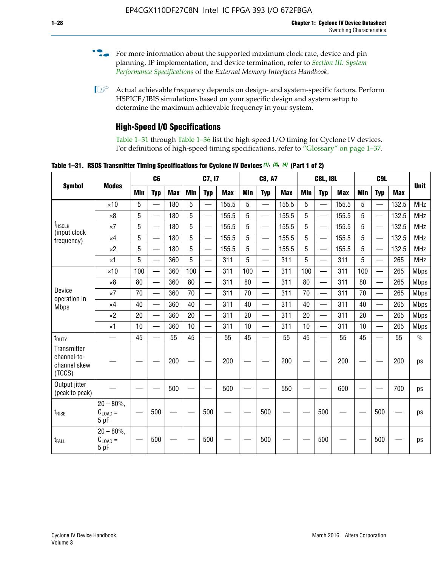- For more information about the supported maximum clock rate, device and pin planning, IP implementation, and device termination, refer to *[Section III: System](http://www.altera.com/literature/hb/external-memory/emi_intro_specs.pdf)  [Performance Specifications](http://www.altera.com/literature/hb/external-memory/emi_intro_specs.pdf)* of the *External Memory Interfaces Handbook*.
- **1 Actual achievable frequency depends on design- and system-specific factors. Perform** HSPICE/IBIS simulations based on your specific design and system setup to determine the maximum achievable frequency in your system.

# **High-Speed I/O Specifications**

Table 1–31 through Table 1–36 list the high-speed I/O timing for Cyclone IV devices. For definitions of high-speed timing specifications, refer to "Glossary" on page 1–37.

**Table 1–31. RSDS Transmitter Timing Specifications for Cyclone IV Devices** *(1)***,** *(2)***,** *(4)* **(Part 1 of 2)**

| <b>Symbol</b>                                        |                                     |     | C6                       |            |            | C7, I7                   |            |                 | <b>C8, A7</b>            |            |            | <b>C8L, I8L</b>          |            |     | C <sub>9</sub> L         |            |             |
|------------------------------------------------------|-------------------------------------|-----|--------------------------|------------|------------|--------------------------|------------|-----------------|--------------------------|------------|------------|--------------------------|------------|-----|--------------------------|------------|-------------|
|                                                      | <b>Modes</b>                        | Min | <b>Typ</b>               | <b>Max</b> | <b>Min</b> | <b>Typ</b>               | <b>Max</b> | <b>Min</b>      | <b>Typ</b>               | <b>Max</b> | <b>Min</b> | <b>Typ</b>               | <b>Max</b> | Min | <b>Typ</b>               | <b>Max</b> | <b>Unit</b> |
|                                                      | $\times$ 10                         | 5   | $\overline{\phantom{0}}$ | 180        | 5          | —                        | 155.5      | 5               | $\overline{\phantom{0}}$ | 155.5      | 5          |                          | 155.5      | 5   |                          | 132.5      | <b>MHz</b>  |
|                                                      | $\times 8$                          | 5   |                          | 180        | 5          |                          | 155.5      | $5\phantom{.0}$ | $\overline{\phantom{0}}$ | 155.5      | 5          |                          | 155.5      | 5   |                          | 132.5      | <b>MHz</b>  |
| f <sub>HSCLK</sub><br>(input clock                   | $\times 7$                          | 5   | $\overline{\phantom{0}}$ | 180        | 5          |                          | 155.5      | 5               | $\overline{\phantom{0}}$ | 155.5      | 5          |                          | 155.5      | 5   |                          | 132.5      | <b>MHz</b>  |
| frequency)                                           | $\times$ 4                          | 5   | $\overline{\phantom{0}}$ | 180        | 5          | $\overline{\phantom{0}}$ | 155.5      | 5               | $\equiv$                 | 155.5      | 5          | $\overline{\phantom{0}}$ | 155.5      | 5   | $\overline{\phantom{0}}$ | 132.5      | <b>MHz</b>  |
|                                                      | $\times 2$                          | 5   | $\equiv$                 | 180        | 5          |                          | 155.5      | 5               | $\equiv$                 | 155.5      | 5          | $\equiv$                 | 155.5      | 5   | $\overline{\phantom{0}}$ | 132.5      | <b>MHz</b>  |
|                                                      | $\times$ 1                          | 5   |                          | 360        | 5          |                          | 311        | 5               | $\overline{\phantom{0}}$ | 311        | 5          | $\overline{\phantom{0}}$ | 311        | 5   |                          | 265        | <b>MHz</b>  |
|                                                      | $\times$ 10                         | 100 | $\overline{\phantom{0}}$ | 360        | 100        |                          | 311        | 100             | $\overline{\phantom{0}}$ | 311        | 100        | $\overline{\phantom{0}}$ | 311        | 100 |                          | 265        | <b>Mbps</b> |
|                                                      | $\times 8$                          | 80  |                          | 360        | 80         |                          | 311        | 80              | $\overline{\phantom{0}}$ | 311        | 80         | $\overline{\phantom{0}}$ | 311        | 80  | $\overline{\phantom{0}}$ | 265        | <b>Mbps</b> |
| Device<br>operation in                               | $\times 7$                          | 70  | $\overline{\phantom{0}}$ | 360        | 70         |                          | 311        | 70              | $\overline{\phantom{0}}$ | 311        | 70         | $\overline{\phantom{0}}$ | 311        | 70  | $\overline{\phantom{0}}$ | 265        | <b>Mbps</b> |
| <b>Mbps</b>                                          | $\times$ 4                          | 40  |                          | 360        | 40         |                          | 311        | 40              |                          | 311        | 40         | $\overline{\phantom{0}}$ | 311        | 40  | $\overline{\phantom{0}}$ | 265        | <b>Mbps</b> |
|                                                      | $\times 2$                          | 20  |                          | 360        | 20         | $\equiv$                 | 311        | 20              | $\overline{\phantom{0}}$ | 311        | 20         |                          | 311        | 20  | $\equiv$                 | 265        | <b>Mbps</b> |
|                                                      | $\times$ 1                          | 10  |                          | 360        | 10         |                          | 311        | 10              |                          | 311        | 10         | $\overline{\phantom{0}}$ | 311        | 10  | $\overline{\phantom{0}}$ | 265        | <b>Mbps</b> |
| t <sub>DUTY</sub>                                    | —                                   | 45  | $\overline{\phantom{0}}$ | 55         | 45         |                          | 55         | 45              | $\overline{\phantom{0}}$ | 55         | 45         |                          | 55         | 45  |                          | 55         | $\%$        |
| Transmitter<br>channel-to-<br>channel skew<br>(TCCS) |                                     |     |                          | 200        |            |                          | 200        |                 |                          | 200        |            |                          | 200        |     |                          | 200        | ps          |
| Output jitter<br>(peak to peak)                      |                                     |     |                          | 500        |            |                          | 500        |                 |                          | 550        |            |                          | 600        |     |                          | 700        | ps          |
| $t_{\text{RISE}}$                                    | $20 - 80\%$<br>$C_{LOAD} =$<br>5 pF |     | 500                      |            |            | 500                      |            |                 | 500                      |            |            | 500                      |            |     | 500                      |            | ps          |
| t <sub>FALL</sub>                                    | $20 - 80\%$<br>$C_{LOAD} =$<br>5 pF |     | 500                      |            |            | 500                      |            |                 | 500                      |            |            | 500                      |            |     | 500                      |            | ps          |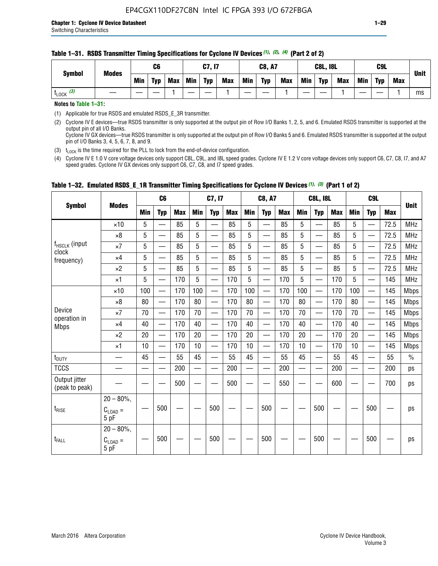#### **Table 1–31. RSDS Transmitter Timing Specifications for Cyclone IV Devices** *(1)***,** *(2)***,** *(4)* **(Part 2 of 2)**

**Notes to Table 1–31:**

(1) Applicable for true RSDS and emulated RSDS\_E\_3R transmitter.

(2) Cyclone IV E devices—true RSDS transmitter is only supported at the output pin of Row I/O Banks 1, 2, 5, and 6. Emulated RSDS transmitter is supported at the output pin of all I/O Banks. Cyclone IV GX devices—true RSDS transmitter is only supported at the output pin of Row I/O Banks 5 and 6. Emulated RSDS transmitter is supported at the output

pin of I/O Banks 3, 4, 5, 6, 7, 8, and 9.

(3)  $t_{\text{LOCK}}$  is the time required for the PLL to lock from the end-of-device configuration.

(4) Cyclone IV E 1.0 V core voltage devices only support C8L, C9L, and I8L speed grades. Cyclone IV E 1.2 V core voltage devices only support C6, C7, C8, I7, and A7 speed grades. Cyclone IV GX devices only support C6, C7, C8, and I7 speed grades.

| <b>Symbol</b>                   |                                       |            | C <sub>6</sub>           |            |                          | C7, I7                   |            |            | <b>C8, A7</b>            |            |            | <b>C8L, I8L</b>          |            |     | C <sub>9</sub> L                          |            | <b>Unit</b>   |
|---------------------------------|---------------------------------------|------------|--------------------------|------------|--------------------------|--------------------------|------------|------------|--------------------------|------------|------------|--------------------------|------------|-----|-------------------------------------------|------------|---------------|
|                                 | <b>Modes</b>                          | <b>Min</b> | <b>Typ</b>               | <b>Max</b> | <b>Min</b>               | <b>Typ</b>               | <b>Max</b> | <b>Min</b> | <b>Typ</b>               | <b>Max</b> | <b>Min</b> | <b>Typ</b>               | <b>Max</b> | Min | <b>Typ</b>                                | <b>Max</b> |               |
|                                 | $\times$ 10                           | 5          |                          | 85         | 5                        |                          | 85         | 5          |                          | 85         | 5          | —                        | 85         | 5   |                                           | 72.5       | <b>MHz</b>    |
|                                 | $\times 8$                            | 5          | $\overline{\phantom{0}}$ | 85         | 5                        | $\overline{\phantom{0}}$ | 85         | 5          | $\overline{\phantom{0}}$ | 85         | 5          | —                        | 85         | 5   |                                           | 72.5       | <b>MHz</b>    |
| f <sub>HSCLK</sub> (input       | $\times 7$                            | 5          | —                        | 85         | 5                        | $\overline{\phantom{0}}$ | 85         | 5          | $\overline{\phantom{0}}$ | 85         | 5          | $\overline{\phantom{0}}$ | 85         | 5   | $\qquad \qquad$                           | 72.5       | <b>MHz</b>    |
| clock<br>frequency)             | $\times$ 4                            | 5          | $\overline{\phantom{0}}$ | 85         | 5                        | $\overline{\phantom{0}}$ | 85         | 5          | $\overline{\phantom{0}}$ | 85         | 5          | $\overline{\phantom{0}}$ | 85         | 5   |                                           | 72.5       | <b>MHz</b>    |
|                                 | $\times 2$                            | 5          | $\equiv$                 | 85         | 5                        | $\overline{\phantom{0}}$ | 85         | 5          | $\equiv$                 | 85         | 5          | $\overline{\phantom{0}}$ | 85         | 5   | $\qquad \qquad$                           | 72.5       | <b>MHz</b>    |
|                                 | $\times$ 1                            | 5          | $\overline{\phantom{0}}$ | 170        | 5                        |                          | 170        | 5          |                          | 170        | 5          | $\overline{\phantom{0}}$ | 170        | 5   |                                           | 145        | <b>MHz</b>    |
|                                 | $\times$ 10                           | 100        | $\overline{\phantom{0}}$ | 170        | 100                      |                          | 170        | 100        | $\overline{\phantom{0}}$ | 170        | 100        | $\overline{\phantom{0}}$ | 170        | 100 |                                           | 145        | <b>Mbps</b>   |
|                                 | $\times 8$                            | 80         | $\overline{\phantom{0}}$ | 170        | 80                       | $\overline{\phantom{0}}$ | 170        | 80         | $\overline{\phantom{0}}$ | 170        | 80         | —                        | 170        | 80  |                                           | 145        | <b>Mbps</b>   |
| Device                          | $\times 7$                            | 70         | $\overline{\phantom{0}}$ | 170        | 70                       | $\overline{\phantom{0}}$ | 170        | 70         | $\equiv$                 | 170        | 70         | $\overline{\phantom{0}}$ | 170        | 70  | $\qquad \qquad \overline{\qquad \qquad }$ | 145        | <b>Mbps</b>   |
| operation in<br><b>Mbps</b>     | $\times 4$                            | 40         |                          | 170        | 40                       | $\overline{\phantom{0}}$ | 170        | 40         | $\overline{\phantom{0}}$ | 170        | 40         | $\overline{\phantom{0}}$ | 170        | 40  |                                           | 145        | <b>Mbps</b>   |
|                                 | $\times 2$                            | 20         |                          | 170        | 20                       |                          | 170        | 20         | $\overline{\phantom{m}}$ | 170        | 20         | $\overline{\phantom{0}}$ | 170        | 20  |                                           | 145        | <b>Mbps</b>   |
|                                 | $\times$ 1                            | 10         | $\overline{\phantom{0}}$ | 170        | 10                       |                          | 170        | 10         | $\overline{\phantom{0}}$ | 170        | 10         | $\overline{\phantom{0}}$ | 170        | 10  |                                           | 145        | <b>Mbps</b>   |
| $t_{\text{DUTY}}$               |                                       | 45         | $\equiv$                 | 55         | 45                       | $\equiv$                 | 55         | 45         |                          | 55         | 45         | $\overline{\phantom{0}}$ | 55         | 45  |                                           | 55         | $\frac{0}{0}$ |
| <b>TCCS</b>                     |                                       |            | —                        | 200        | $\overline{\phantom{0}}$ |                          | 200        | —          |                          | 200        | —          | —                        | 200        |     |                                           | 200        | ps            |
| Output jitter<br>(peak to peak) |                                       |            |                          | 500        |                          |                          | 500        |            |                          | 550        |            |                          | 600        |     |                                           | 700        | ps            |
| $t_{\text{RISE}}$               | $20 - 80\%$ ,<br>$C_{LOAD} =$<br>5 pF |            | 500                      |            |                          | 500                      |            |            | 500                      |            |            | 500                      |            |     | 500                                       |            | ps            |
| t <sub>FALL</sub>               | $20 - 80\%$ .<br>$C_{LOAD} =$<br>5 pF |            | 500                      |            |                          | 500                      |            |            | 500                      |            |            | 500                      |            |     | 500                                       |            | ps            |

#### **Table 1–32. Emulated RSDS\_E\_1R Transmitter Timing Specifications for Cyclone IV Devices** *(1), (3)* **(Part 1 of 2)**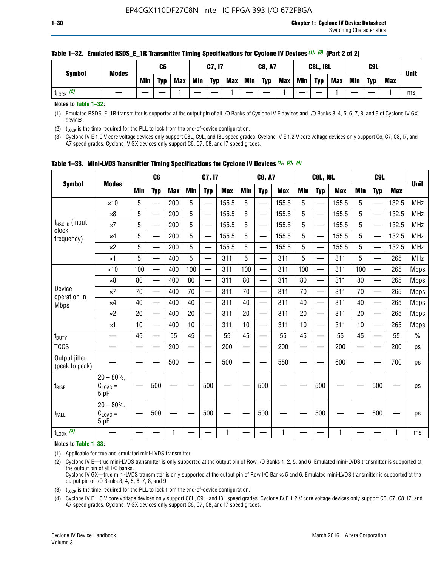| <b>Symbol</b>        | <b>Modes</b> |     | C6         |            |            | C7, I7     |            |            | <b>C8, A7</b> |            |            | <b>C8L, I8L</b> |            |     | C <sub>9</sub> L |     | <b>Unit</b> |
|----------------------|--------------|-----|------------|------------|------------|------------|------------|------------|---------------|------------|------------|-----------------|------------|-----|------------------|-----|-------------|
|                      |              | Min | <b>Typ</b> | <b>Max</b> | <b>Min</b> | <b>Typ</b> | <b>Max</b> | <b>Min</b> | <b>Typ</b>    | <b>Max</b> | <b>Min</b> | <b>Typ</b>      | <b>Max</b> | Min | <b>Typ</b>       | Max |             |
| (2)<br><b>L</b> LOCK |              |     |            |            |            |            |            |            |               |            |            |                 |            |     |                  |     | ms          |

#### **Table 1–32. Emulated RSDS\_E\_1R Transmitter Timing Specifications for Cyclone IV Devices** *(1), (3)* **(Part 2 of 2)**

**Notes to Table 1–32:**

(1) Emulated RSDS\_E\_1R transmitter is supported at the output pin of all I/O Banks of Cyclone IV E devices and I/O Banks 3, 4, 5, 6, 7, 8, and 9 of Cyclone IV GX devices.

(2)  $t_{\text{LOCK}}$  is the time required for the PLL to lock from the end-of-device configuration.

(3) Cyclone IV E 1.0 V core voltage devices only support C8L, C9L, and I8L speed grades. Cyclone IV E 1.2 V core voltage devices only support C6, C7, C8, I7, and A7 speed grades. Cyclone IV GX devices only support C6, C7, C8, and I7 speed grades.

| <b>Symbol</b>                   |                                           |     | C <sub>6</sub>           |            |                          | C7, I7                   |            |            | <b>C8, A7</b>            |              |            | <b>C8L, I8L</b>          |            |            | C <sub>9</sub> L         |            | <b>Unit</b>   |
|---------------------------------|-------------------------------------------|-----|--------------------------|------------|--------------------------|--------------------------|------------|------------|--------------------------|--------------|------------|--------------------------|------------|------------|--------------------------|------------|---------------|
|                                 | <b>Modes</b>                              | Min | <b>Typ</b>               | <b>Max</b> | <b>Min</b>               | <b>Typ</b>               | <b>Max</b> | <b>Min</b> | <b>Typ</b>               | <b>Max</b>   | <b>Min</b> | <b>Typ</b>               | <b>Max</b> | <b>Min</b> | <b>Typ</b>               | <b>Max</b> |               |
|                                 | $\times$ 10                               | 5   |                          | 200        | 5                        | —                        | 155.5      | 5          | $\overline{\phantom{0}}$ | 155.5        | 5          | $\overline{\phantom{0}}$ | 155.5      | 5          | $\overline{\phantom{0}}$ | 132.5      | <b>MHz</b>    |
|                                 | $\times 8$                                | 5   |                          | 200        | 5                        | $\overline{\phantom{0}}$ | 155.5      | 5          | —                        | 155.5        | 5          |                          | 155.5      | 5          |                          | 132.5      | <b>MHz</b>    |
| f <sub>HSCLK</sub> (input       | $\times 7$                                | 5   |                          | 200        | 5                        | ÷,                       | 155.5      | 5          | —                        | 155.5        | 5          |                          | 155.5      | 5          |                          | 132.5      | <b>MHz</b>    |
| clock<br>frequency)             | $\times$ 4                                | 5   | $\overline{\phantom{0}}$ | 200        | 5                        | —                        | 155.5      | 5          | $\overline{\phantom{0}}$ | 155.5        | 5          |                          | 155.5      | 5          | $\overline{\phantom{0}}$ | 132.5      | <b>MHz</b>    |
|                                 | $\times 2$                                | 5   | $\overline{\phantom{0}}$ | 200        | 5                        | $\overline{\phantom{0}}$ | 155.5      | 5          | $\overline{\phantom{0}}$ | 155.5        | 5          | $\overline{\phantom{0}}$ | 155.5      | 5          |                          | 132.5      | <b>MHz</b>    |
|                                 | $\times$ 1                                | 5   | $\overline{\phantom{0}}$ | 400        | 5                        |                          | 311        | 5          | —                        | 311          | 5          | $\overline{\phantom{0}}$ | 311        | 5          |                          | 265        | <b>MHz</b>    |
|                                 | $\times$ 10                               | 100 |                          | 400        | 100                      | $\overline{\phantom{0}}$ | 311        | 100        | $\overline{\phantom{0}}$ | 311          | 100        | $\overline{\phantom{0}}$ | 311        | 100        |                          | 265        | <b>Mbps</b>   |
|                                 | $\times 8$                                | 80  | $\overline{\phantom{0}}$ | 400        | 80                       | $\overline{\phantom{0}}$ | 311        | 80         | $\overline{\phantom{0}}$ | 311          | 80         | $\overline{\phantom{0}}$ | 311        | 80         |                          | 265        | <b>Mbps</b>   |
| Device                          | $\times 7$                                | 70  |                          | 400        | 70                       |                          | 311        | 70         | $\overline{\phantom{0}}$ | 311          | 70         |                          | 311        | 70         |                          | 265        | <b>Mbps</b>   |
| operation in<br><b>Mbps</b>     | $\times 4$                                | 40  | $\overline{\phantom{0}}$ | 400        | 40                       |                          | 311        | 40         | $\overline{\phantom{0}}$ | 311          | 40         | —                        | 311        | 40         |                          | 265        | <b>Mbps</b>   |
|                                 | $\times 2$                                | 20  |                          | 400        | 20                       | —                        | 311        | 20         | $\overline{\phantom{0}}$ | 311          | 20         | $\overline{\phantom{0}}$ | 311        | 20         |                          | 265        | <b>Mbps</b>   |
|                                 | ×1                                        | 10  | $\overline{\phantom{0}}$ | 400        | 10                       | $\overline{\phantom{0}}$ | 311        | 10         | $\overline{\phantom{0}}$ | 311          | 10         | —                        | 311        | 10         |                          | 265        | <b>Mbps</b>   |
| t <sub>DUTY</sub>               |                                           | 45  |                          | 55         | 45                       | $\overline{\phantom{0}}$ | 55         | 45         | $\overline{\phantom{0}}$ | 55           | 45         | $\overline{\phantom{0}}$ | 55         | 45         |                          | 55         | $\frac{0}{0}$ |
| <b>TCCS</b>                     |                                           |     |                          | 200        | $\overline{\phantom{0}}$ |                          | 200        |            |                          | 200          | —          |                          | 200        |            |                          | 200        | ps            |
| Output jitter<br>(peak to peak) |                                           |     |                          | 500        |                          |                          | 500        |            |                          | 550          |            |                          | 600        |            |                          | 700        | ps            |
| $t_{\sf RISE}$                  | $20 - 80\%$ ,<br>$C_{LOAD} =$<br>5 pF     |     | 500                      |            |                          | 500                      |            |            | 500                      |              |            | 500                      |            |            | 500                      |            | ps            |
| t <sub>FALL</sub>               | $20 - 80\%$<br>$\rm C_{LOAD}$ $=$<br>5 pF |     | 500                      |            |                          | 500                      |            |            | 500                      |              |            | 500                      |            |            | 500                      |            | ps            |
| $t_{\text{LOCK}}$ (3)           |                                           |     |                          | 1          |                          |                          | 1          |            |                          | $\mathbf{1}$ |            |                          | 1          |            |                          | 1          | ms            |

**Table 1–33. Mini-LVDS Transmitter Timing Specifications for Cyclone IV Devices** *(1)***,** *(2)***,** *(4)*

**Notes to Table 1–33:**

(1) Applicable for true and emulated mini-LVDS transmitter.

(2) Cyclone IV E—true mini-LVDS transmitter is only supported at the output pin of Row I/O Banks 1, 2, 5, and 6. Emulated mini-LVDS transmitter is supported at the output pin of all I/O banks.

Cyclone IV GX—true mini-LVDS transmitter is only supported at the output pin of Row I/O Banks 5 and 6. Emulated mini-LVDS transmitter is supported at the output pin of I/O Banks 3, 4, 5, 6, 7, 8, and 9.

(3)  $t_{\text{LOCK}}$  is the time required for the PLL to lock from the end-of-device configuration.

(4) Cyclone IV E 1.0 V core voltage devices only support C8L, C9L, and I8L speed grades. Cyclone IV E 1.2 V core voltage devices only support C6, C7, C8, I7, and A7 speed grades. Cyclone IV GX devices only support C6, C7, C8, and I7 speed grades.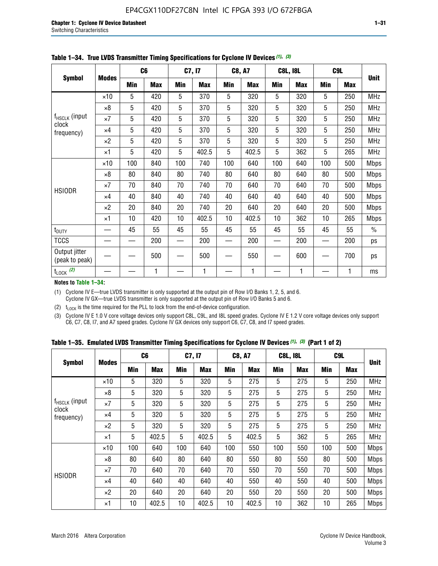|                                 |              |     | C <sub>6</sub> |     | C7, I7     |            | <b>C8, A7</b> |            | <b>C8L, I8L</b> |            | C <sub>9</sub> L |               |
|---------------------------------|--------------|-----|----------------|-----|------------|------------|---------------|------------|-----------------|------------|------------------|---------------|
| <b>Symbol</b>                   | <b>Modes</b> | Min | <b>Max</b>     | Min | <b>Max</b> | <b>Min</b> | <b>Max</b>    | <b>Min</b> | <b>Max</b>      | <b>Min</b> | <b>Max</b>       | <b>Unit</b>   |
|                                 | $\times$ 10  | 5   | 420            | 5   | 370        | 5          | 320           | 5          | 320             | 5          | 250              | <b>MHz</b>    |
|                                 | $\times 8$   | 5   | 420            | 5   | 370        | 5          | 320           | 5          | 320             | 5          | 250              | <b>MHz</b>    |
| f <sub>HSCLK</sub> (input       | $\times 7$   | 5   | 420            | 5   | 370        | 5          | 320           | 5          | 320             | 5          | 250              | <b>MHz</b>    |
| clock<br>frequency)             | $\times 4$   | 5   | 420            | 5   | 370        | 5          | 320           | 5          | 320             | 5          | 250              | MHz           |
|                                 | $\times 2$   | 5   | 420            | 5   | 370        | 5          | 320           | 5          | 320             | 5          | 250              | <b>MHz</b>    |
|                                 | $\times$ 1   | 5   | 420            | 5   | 402.5      | 5          | 402.5         | 5          | 362             | 5          | 265              | <b>MHz</b>    |
|                                 | $\times$ 10  | 100 | 840            | 100 | 740        | 100        | 640           | 100        | 640             | 100        | 500              | <b>Mbps</b>   |
|                                 | $\times 8$   | 80  | 840            | 80  | 740        | 80         | 640           | 80         | 640             | 80         | 500              | Mbps          |
| <b>HSIODR</b>                   | $\times 7$   | 70  | 840            | 70  | 740        | 70         | 640           | 70         | 640             | 70         | 500              | <b>Mbps</b>   |
|                                 | $\times 4$   | 40  | 840            | 40  | 740        | 40         | 640           | 40         | 640             | 40         | 500              | <b>Mbps</b>   |
|                                 | $\times 2$   | 20  | 840            | 20  | 740        | 20         | 640           | 20         | 640             | 20         | 500              | <b>Mbps</b>   |
|                                 | $\times$ 1   | 10  | 420            | 10  | 402.5      | 10         | 402.5         | 10         | 362             | 10         | 265              | <b>Mbps</b>   |
| t <sub>DUTY</sub>               |              | 45  | 55             | 45  | 55         | 45         | 55            | 45         | 55              | 45         | 55               | $\frac{0}{0}$ |
| <b>TCCS</b>                     |              |     | 200            |     | 200        |            | 200           |            | 200             |            | 200              | ps            |
| Output jitter<br>(peak to peak) |              |     | 500            |     | 500        |            | 550           |            | 600             |            | 700              | ps            |
| $t_{\text{LOCK}}$ (2)           |              |     | 1              |     | 1          |            | 1             |            | 1               |            | 1                | ms            |

**Table 1–34. True LVDS Transmitter Timing Specifications for Cyclone IV Devices** *(1)***,** *(3)*

**Notes to Table 1–34:**

(1) Cyclone IV E—true LVDS transmitter is only supported at the output pin of Row I/O Banks 1, 2, 5, and 6. Cyclone IV GX—true LVDS transmitter is only supported at the output pin of Row I/O Banks 5 and 6.

(2)  $t_{\text{LOCK}}$  is the time required for the PLL to lock from the end-of-device configuration.

(3) Cyclone IV E 1.0 V core voltage devices only support C8L, C9L, and I8L speed grades. Cyclone IV E 1.2 V core voltage devices only support C6, C7, C8, I7, and A7 speed grades. Cyclone IV GX devices only support C6, C7, C8, and I7 speed grades.

|  |  |  |  | Table 1–35. Emulated LVDS Transmitter Timing Specifications for Cyclone IV Devices <sup>(1),</sup> <sup>(3)</sup> (Part 1 of 2) |  |  |
|--|--|--|--|---------------------------------------------------------------------------------------------------------------------------------|--|--|
|--|--|--|--|---------------------------------------------------------------------------------------------------------------------------------|--|--|

|                                                                             |              | C <sub>6</sub> |            | C7, I7     |            | <b>C8, A7</b> |            | <b>C8L, I8L</b> |            | C <sub>9L</sub> |            |             |
|-----------------------------------------------------------------------------|--------------|----------------|------------|------------|------------|---------------|------------|-----------------|------------|-----------------|------------|-------------|
| <b>Symbol</b><br>$f_{HSCLK}$ (input<br>clock<br>frequency)<br><b>HSIODR</b> | <b>Modes</b> | Min            | <b>Max</b> | <b>Min</b> | <b>Max</b> | <b>Min</b>    | <b>Max</b> | <b>Min</b>      | <b>Max</b> | <b>Min</b>      | <b>Max</b> | <b>Unit</b> |
|                                                                             | $\times$ 10  | 5              | 320        | 5          | 320        | 5             | 275        | 5               | 275        | 5               | 250        | <b>MHz</b>  |
|                                                                             | $\times 8$   | 5              | 320        | 5          | 320        | 5             | 275        | 5               | 275        | 5               | 250        | <b>MHz</b>  |
|                                                                             | $\times 7$   | 5              | 320        | 5          | 320        | 5             | 275        | 5               | 275        | 5               | 250        | <b>MHz</b>  |
|                                                                             | $\times$ 4   | 5              | 320        | 5          | 320        | 5             | 275        | 5               | 275        | 5               | 250        | <b>MHz</b>  |
|                                                                             | $\times 2$   | 5              | 320        | 5          | 320        | 5             | 275        | 5               | 275        | 5               | 250        | <b>MHz</b>  |
|                                                                             | $\times$ 1   | 5              | 402.5      | 5          | 402.5      | 5             | 402.5      | 5               | 362        | 5               | 265        | <b>MHz</b>  |
|                                                                             | $\times$ 10  | 100            | 640        | 100        | 640        | 100           | 550        | 100             | 550        | 100             | 500        | <b>Mbps</b> |
|                                                                             | $\times 8$   | 80             | 640        | 80         | 640        | 80            | 550        | 80              | 550        | 80              | 500        | <b>Mbps</b> |
|                                                                             | $\times 7$   | 70             | 640        | 70         | 640        | 70            | 550        | 70              | 550        | 70              | 500        | <b>Mbps</b> |
|                                                                             | $\times$ 4   | 40             | 640        | 40         | 640        | 40            | 550        | 40              | 550        | 40              | 500        | <b>Mbps</b> |
|                                                                             | $\times 2$   | 20             | 640        | 20         | 640        | 20            | 550        | 20              | 550        | 20              | 500        | <b>Mbps</b> |
|                                                                             | ×1           | 10             | 402.5      | 10         | 402.5      | 10            | 402.5      | 10              | 362        | 10              | 265        | <b>Mbps</b> |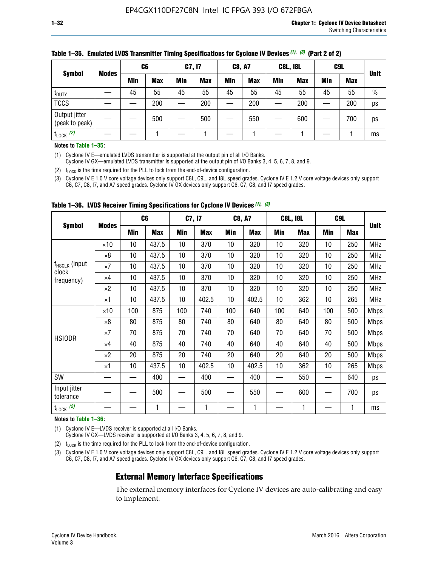|                                 |              | C <sub>6</sub> |            | C7, I7 |            | <b>C8, A7</b> |            | <b>C8L, I8L</b> |            |     | C <sub>9</sub> L |               |
|---------------------------------|--------------|----------------|------------|--------|------------|---------------|------------|-----------------|------------|-----|------------------|---------------|
| <b>Symbol</b>                   | <b>Modes</b> | Min            | <b>Max</b> | Min    | <b>Max</b> | <b>Min</b>    | <b>Max</b> | <b>Min</b>      | <b>Max</b> | Min | <b>Max</b>       | <b>Unit</b>   |
| t <sub>DUTY</sub>               |              | 45             | 55         | 45     | 55         | 45            | 55         | 45              | 55         | 45  | 55               | $\frac{0}{0}$ |
| <b>TCCS</b>                     |              |                | 200        |        | 200        |               | 200        |                 | 200        |     | 200              | ps            |
| Output jitter<br>(peak to peak) |              |                | 500        |        | 500        |               | 550        |                 | 600        | —   | 700              | ps            |
| $t_{\text{LOCK}}$ (2)           |              |                |            |        |            |               |            |                 |            |     |                  | ms            |

#### **Table 1–35. Emulated LVDS Transmitter Timing Specifications for Cyclone IV Devices** *(1)***,** *(3)* **(Part 2 of 2)**

#### **Notes to Table 1–35:**

(1) Cyclone IV E—emulated LVDS transmitter is supported at the output pin of all I/O Banks.

Cyclone IV GX—emulated LVDS transmitter is supported at the output pin of I/O Banks 3, 4, 5, 6, 7, 8, and 9.

(2)  $t_{\text{LOCK}}$  is the time required for the PLL to lock from the end-of-device configuration.

(3) Cyclone IV E 1.0 V core voltage devices only support C8L, C9L, and I8L speed grades. Cyclone IV E 1.2 V core voltage devices only support C6, C7, C8, I7, and A7 speed grades. Cyclone IV GX devices only support C6, C7, C8, and I7 speed grades.

| <b>Symbol</b>                      |              |     | C <sub>6</sub> | C7, I7          |            | <b>C8, A7</b> |            |     | <b>C8L, I8L</b> | C <sub>9</sub> L |            |             |
|------------------------------------|--------------|-----|----------------|-----------------|------------|---------------|------------|-----|-----------------|------------------|------------|-------------|
|                                    | <b>Modes</b> | Min | <b>Max</b>     | <b>Min</b>      | <b>Max</b> | Min           | <b>Max</b> | Min | <b>Max</b>      | Min              | <b>Max</b> | <b>Unit</b> |
|                                    | $\times$ 10  | 10  | 437.5          | 10 <sup>°</sup> | 370        | 10            | 320        | 10  | 320             | 10               | 250        | <b>MHz</b>  |
|                                    | $\times 8$   | 10  | 437.5          | 10              | 370        | 10            | 320        | 10  | 320             | 10               | 250        | <b>MHz</b>  |
| f <sub>HSCLK</sub> (input<br>clock | $\times 7$   | 10  | 437.5          | 10              | 370        | 10            | 320        | 10  | 320             | 10               | 250        | <b>MHz</b>  |
| frequency)                         | $\times 4$   | 10  | 437.5          | 10              | 370        | 10            | 320        | 10  | 320             | 10               | 250        | <b>MHz</b>  |
|                                    | $\times 2$   | 10  | 437.5          | 10              | 370        | 10            | 320        | 10  | 320             | 10               | 250        | <b>MHz</b>  |
|                                    | ×1           | 10  | 437.5          | 10              | 402.5      | 10            | 402.5      | 10  | 362             | 10               | 265        | <b>MHz</b>  |
|                                    | $\times$ 10  | 100 | 875            | 100             | 740        | 100           | 640        | 100 | 640             | 100              | 500        | <b>Mbps</b> |
|                                    | $\times 8$   | 80  | 875            | 80              | 740        | 80            | 640        | 80  | 640             | 80               | 500        | <b>Mbps</b> |
| <b>HSIODR</b>                      | $\times 7$   | 70  | 875            | 70              | 740        | 70            | 640        | 70  | 640             | 70               | 500        | <b>Mbps</b> |
|                                    | $\times 4$   | 40  | 875            | 40              | 740        | 40            | 640        | 40  | 640             | 40               | 500        | <b>Mbps</b> |
|                                    | $\times 2$   | 20  | 875            | 20              | 740        | 20            | 640        | 20  | 640             | 20               | 500        | <b>Mbps</b> |
|                                    | ×1           | 10  | 437.5          | 10              | 402.5      | 10            | 402.5      | 10  | 362             | 10               | 265        | <b>Mbps</b> |
| SW                                 |              |     | 400            |                 | 400        |               | 400        |     | 550             |                  | 640        | ps          |
| Input jitter<br>tolerance          |              |     | 500            |                 | 500        |               | 550        |     | 600             |                  | 700        | ps          |
| $t_{\text{LOCK}}$ (2)              |              |     | 1              |                 | 1          |               | 1          |     | 1               |                  | 1          | ms          |

**Table 1–36. LVDS Receiver Timing Specifications for Cyclone IV Devices** *(1)***,** *(3)*

#### **Notes to Table 1–36:**

(1) Cyclone IV E—LVDS receiver is supported at all I/O Banks.

Cyclone IV GX—LVDS receiver is supported at I/O Banks 3, 4, 5, 6, 7, 8, and 9.

(2)  $t_{\text{LOCK}}$  is the time required for the PLL to lock from the end-of-device configuration.

(3) Cyclone IV E 1.0 V core voltage devices only support C8L, C9L, and I8L speed grades. Cyclone IV E 1.2 V core voltage devices only support C6, C7, C8, I7, and A7 speed grades. Cyclone IV GX devices only support C6, C7, C8, and I7 speed grades.

#### **External Memory Interface Specifications**

The external memory interfaces for Cyclone IV devices are auto-calibrating and easy to implement.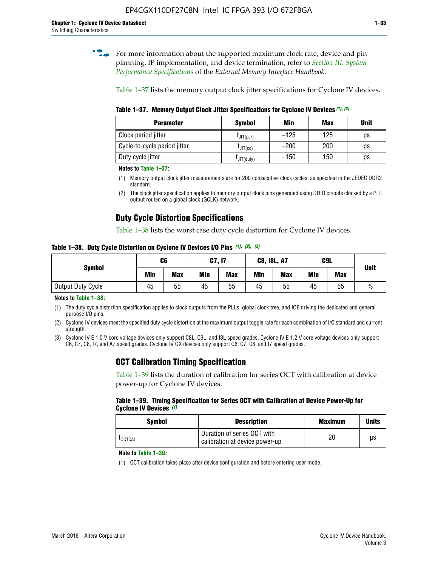**for more information about the supported maximum clock rate, device and pin** planning, IP implementation, and device termination, refer to *[Section III: System](http://www.altera.com/literature/hb/external-memory/emi_intro_specs.pdf)  [Performance Specifications](http://www.altera.com/literature/hb/external-memory/emi_intro_specs.pdf)* of the *External Memory Interface Handbook*.

Table 1–37 lists the memory output clock jitter specifications for Cyclone IV devices.

**Table 1–37. Memory Output Clock Jitter Specifications for Cyclone IV Devices** *(1)***,** *(2)*

| <b>Parameter</b>             | <b>Symbol</b>  | Min    | Max | <b>Unit</b> |
|------------------------------|----------------|--------|-----|-------------|
| Clock period jitter          | $L$ JIT(per)   | $-125$ | 125 | ps          |
| Cycle-to-cycle period jitter | $L$ JIT $(cc)$ | $-200$ | 200 | ps          |
| Duty cycle jitter            | LJIT(duty)     | $-150$ | 150 | рs          |

**Notes to Table 1–37:**

- (1) Memory output clock jitter measurements are for 200 consecutive clock cycles, as specified in the JEDEC DDR2 standard.
- (2) The clock jitter specification applies to memory output clock pins generated using DDIO circuits clocked by a PLL output routed on a global clock (GCLK) network.

# **Duty Cycle Distortion Specifications**

Table 1–38 lists the worst case duty cycle distortion for Cyclone IV devices.

**Table 1–38. Duty Cycle Distortion on Cyclone IV Devices I/O Pins** *(1)***,** *(2), (3)*

| <b>Symbol</b>     | C <sub>6</sub> |            | C7, I7     |            | <b>C8, I8L, A7</b> |            |            | C9L        | <b>Unit</b>   |
|-------------------|----------------|------------|------------|------------|--------------------|------------|------------|------------|---------------|
|                   | Min            | <b>Max</b> | <b>Min</b> | <b>Max</b> | Min                | <b>Max</b> | <b>Min</b> | <b>Max</b> |               |
| Output Duty Cycle | 45             | 55         | 45         | 55         | 45                 | 55         | 45         | 55         | $\frac{0}{0}$ |

**Notes to Table 1–38:**

(1) The duty cycle distortion specification applies to clock outputs from the PLLs, global clock tree, and IOE driving the dedicated and general purpose I/O pins.

(2) Cyclone IV devices meet the specified duty cycle distortion at the maximum output toggle rate for each combination of I/O standard and current strength.

(3) Cyclone IV E 1.0 V core voltage devices only support C8L, C9L, and I8L speed grades. Cyclone IV E 1.2 V core voltage devices only support C6, C7, C8, I7, and A7 speed grades. Cyclone IV GX devices only support C6, C7, C8, and I7 speed grades.

# **OCT Calibration Timing Specification**

Table 1–39 lists the duration of calibration for series OCT with calibration at device power-up for Cyclone IV devices.

#### **Table 1–39. Timing Specification for Series OCT with Calibration at Device Power-Up for Cyclone IV Devices** *(1)*

| Symbol  | <b>Description</b>                                            | <b>Maximum</b> | <b>Units</b> |
|---------|---------------------------------------------------------------|----------------|--------------|
| LOCTCAL | Duration of series OCT with<br>calibration at device power-up | 20             | μs           |

#### **Note to Table 1–39***:*

(1) OCT calibration takes place after device configuration and before entering user mode.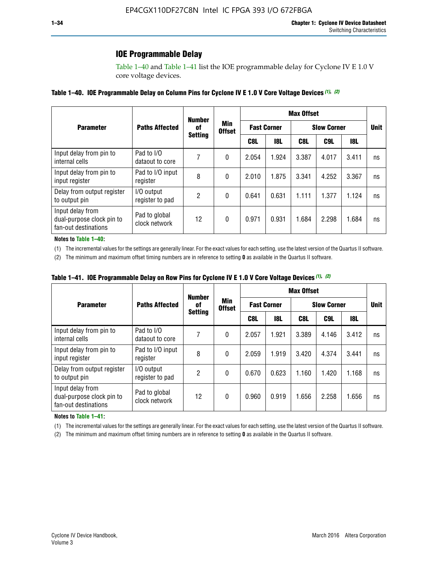### **IOE Programmable Delay**

Table 1–40 and Table 1–41 list the IOE programmable delay for Cyclone IV E 1.0 V core voltage devices.

#### **Table 1–40. IOE Programmable Delay on Column Pins for Cyclone IV E 1.0 V Core Voltage Devices** *(1)***,** *(2)*

|                                                                       |                                | <b>Number</b>  |                      |                    |            | <b>Max Offset</b> |                    |       | <b>Unit</b><br>ns<br>ns<br>ns<br>ns |
|-----------------------------------------------------------------------|--------------------------------|----------------|----------------------|--------------------|------------|-------------------|--------------------|-------|-------------------------------------|
| <b>Parameter</b>                                                      | <b>Paths Affected</b>          | 0f             | Min<br><b>Offset</b> | <b>Fast Corner</b> |            |                   | <b>Slow Corner</b> |       |                                     |
|                                                                       |                                | <b>Setting</b> |                      | C8L                | <b>18L</b> | C8L               | C9L                | 18L   |                                     |
| Input delay from pin to<br>internal cells                             | Pad to I/O<br>dataout to core  |                | 0                    | 2.054              | 1.924      | 3.387             | 4.017              | 3.411 |                                     |
| Input delay from pin to<br>input register                             | Pad to I/O input<br>register   | 8              | 0                    | 2.010              | 1.875      | 3.341             | 4.252              | 3.367 |                                     |
| Delay from output register<br>to output pin                           | I/O output<br>register to pad  | 2              | 0                    | 0.641              | 0.631      | 1.111             | 1.377              | 1.124 |                                     |
| Input delay from<br>dual-purpose clock pin to<br>fan-out destinations | Pad to global<br>clock network | 12             | 0                    | 0.971              | 0.931      | 1.684             | 2.298              | 1.684 |                                     |

#### **Notes to Table 1–40:**

(1) The incremental values for the settings are generally linear. For the exact values for each setting, use the latest version of the Quartus II software.

(2) The minimum and maximum offset timing numbers are in reference to setting **0** as available in the Quartus II software.

| Table 1–41. IOE Programmable Delay on Row Pins for Cyclone IV E 1.0 V Core Voltage Devices (1), (2) |  |  |
|-----------------------------------------------------------------------------------------------------|--|--|
|-----------------------------------------------------------------------------------------------------|--|--|

|                                                                       |                                | <b>Number</b>  |                      |       |                    | <b>Max Offset</b> |                    |       |             |
|-----------------------------------------------------------------------|--------------------------------|----------------|----------------------|-------|--------------------|-------------------|--------------------|-------|-------------|
| <b>Parameter</b>                                                      | <b>Paths Affected</b>          | 0f             | Min<br><b>Offset</b> |       | <b>Fast Corner</b> |                   | <b>Slow Corner</b> |       | <b>Unit</b> |
|                                                                       |                                | <b>Setting</b> |                      | C8L   | <b>18L</b>         | C8L               | C9L                | 18L   |             |
| Input delay from pin to<br>internal cells                             | Pad to I/O<br>dataout to core  |                | 0                    | 2.057 | 1.921              | 3.389             | 4.146              | 3.412 | ns          |
| Input delay from pin to<br>input register                             | Pad to I/O input<br>register   | 8              | 0                    | 2.059 | 1.919              | 3.420             | 4.374              | 3.441 | ns          |
| Delay from output register<br>to output pin                           | I/O output<br>register to pad  | 2              | 0                    | 0.670 | 0.623              | 1.160             | 1.420              | 1.168 | ns          |
| Input delay from<br>dual-purpose clock pin to<br>fan-out destinations | Pad to global<br>clock network | 12             | 0                    | 0.960 | 0.919              | 1.656             | 2.258              | 1.656 | ns          |

#### **Notes to Table 1–41:**

(1) The incremental values for the settings are generally linear. For the exact values for each setting, use the latest version of the Quartus II software.

(2) The minimum and maximum offset timing numbers are in reference to setting **0** as available in the Quartus II software.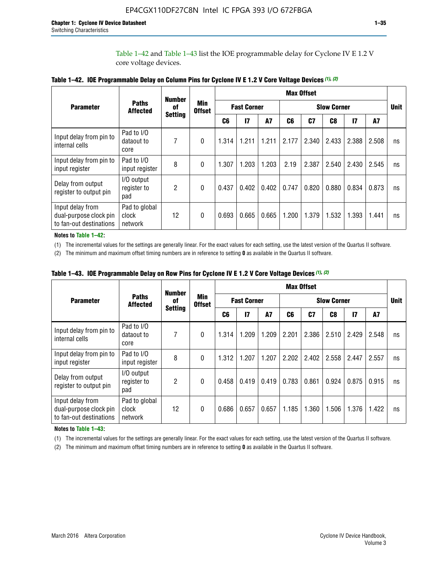Table 1–42 and Table 1–43 list the IOE programmable delay for Cyclone IV E 1.2 V core voltage devices.

|                                                                       |                                   | <b>Number</b>  |                             |       |                    |           |                    | <b>Max Offset</b> |                |               |       |             |
|-----------------------------------------------------------------------|-----------------------------------|----------------|-----------------------------|-------|--------------------|-----------|--------------------|-------------------|----------------|---------------|-------|-------------|
| <b>Parameter</b>                                                      | <b>Paths</b><br><b>Affected</b>   | of             | <b>Min</b><br><b>Offset</b> |       | <b>Fast Corner</b> |           | <b>Slow Corner</b> |                   |                |               |       | <b>Unit</b> |
|                                                                       |                                   | <b>Setting</b> |                             | C6    | $\overline{17}$    | <b>A7</b> | C6                 | C7                | C <sub>8</sub> | $\mathsf{I}7$ | A7    |             |
| Input delay from pin to<br>internal cells                             | Pad to I/O<br>dataout to<br>core  | 7              | $\mathbf{0}$                | 1.314 | 1.211              | 1.211     | 2.177              | 2.340             | 2.433          | 2.388         | 2.508 | ns          |
| Input delay from pin to<br>input register                             | Pad to I/O<br>input register      | 8              | $\theta$                    | 1.307 | 1.203              | 1.203     | 2.19               | 2.387             | 2.540          | 2.430         | 2.545 | ns          |
| Delay from output<br>register to output pin                           | I/O output<br>register to<br>pad  | 2              | 0                           | 0.437 | 0.402              | 0.402     | 0.747              | 0.820             | 0.880          | 0.834         | 0.873 | ns          |
| Input delay from<br>dual-purpose clock pin<br>to fan-out destinations | Pad to global<br>clock<br>network | 12             | 0                           | 0.693 | 0.665              | 0.665     | 1.200              | 1.379             | 1.532          | 1.393         | 1.441 | ns          |

**Notes to Table 1–42:**

(1) The incremental values for the settings are generally linear. For the exact values for each setting, use the latest version of the Quartus II software.

(2) The minimum and maximum offset timing numbers are in reference to setting **0** as available in the Quartus II software.

|                                                                       |                                   | <b>Number</b>  |                             |       |                    |           |                    | <b>Max Offset</b> |       |               |       |             |
|-----------------------------------------------------------------------|-----------------------------------|----------------|-----------------------------|-------|--------------------|-----------|--------------------|-------------------|-------|---------------|-------|-------------|
| <b>Parameter</b>                                                      | <b>Paths</b><br><b>Affected</b>   | 0f             | <b>Min</b><br><b>Offset</b> |       | <b>Fast Corner</b> |           | <b>Slow Corner</b> |                   |       |               |       | <b>Unit</b> |
|                                                                       |                                   | <b>Setting</b> |                             | C6    | $\mathbf{I}$       | <b>A7</b> | C6                 | C7                | C8    | $\mathsf{I}7$ | A7    |             |
| Input delay from pin to<br>internal cells                             | Pad to I/O<br>dataout to<br>core  | 7              | $\Omega$                    | 1.314 | 1.209              | 1.209     | 2.201              | 2.386             | 2.510 | 2.429         | 2.548 | ns          |
| Input delay from pin to<br>input register                             | Pad to I/O<br>input register      | 8              | $\Omega$                    | 1.312 | 1.207              | 1.207     | 2.202              | 2.402             | 2.558 | 2.447         | 2.557 | ns          |
| Delay from output<br>register to output pin                           | I/O output<br>register to<br>pad  | 2              | $\Omega$                    | 0.458 | 0.419              | 0.419     | 0.783              | 0.861             | 0.924 | 0.875         | 0.915 | ns          |
| Input delay from<br>dual-purpose clock pin<br>to fan-out destinations | Pad to global<br>clock<br>network | 12             | $\Omega$                    | 0.686 | 0.657              | 0.657     | 1.185              | 1.360             | 1.506 | 1.376         | 1.422 | ns          |

**Table 1–43. IOE Programmable Delay on Row Pins for Cyclone IV E 1.2 V Core Voltage Devices** *(1)***,** *(2)*

#### **Notes to Table 1–43:**

(1) The incremental values for the settings are generally linear. For the exact values for each setting, use the latest version of the Quartus II software.

(2) The minimum and maximum offset timing numbers are in reference to setting **0** as available in the Quartus II software.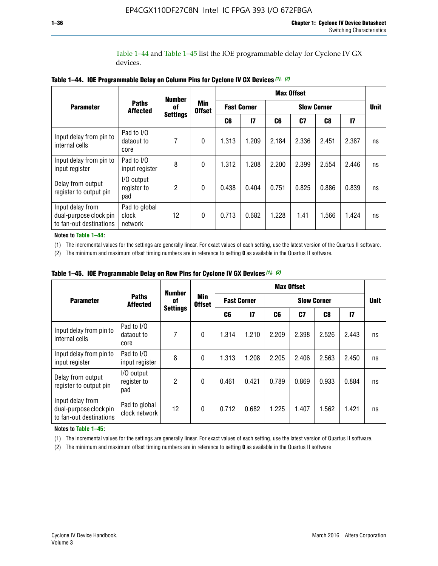Table 1–44 and Table 1–45 list the IOE programmable delay for Cyclone IV GX devices.

|                                                                       |                                   | <b>Number</b>   |                             |       |                    |       | <b>Max Offset</b>  |       |       |             |
|-----------------------------------------------------------------------|-----------------------------------|-----------------|-----------------------------|-------|--------------------|-------|--------------------|-------|-------|-------------|
| <b>Parameter</b>                                                      | <b>Paths</b><br><b>Affected</b>   | 0f              | <b>Min</b><br><b>Offset</b> |       | <b>Fast Corner</b> |       | <b>Slow Corner</b> |       |       | <b>Unit</b> |
|                                                                       |                                   | <b>Settings</b> |                             | C6    | $\mathsf{I}7$      | C6    | C7                 | C8    | 17    |             |
| Input delay from pin to<br>internal cells                             | Pad to I/O<br>dataout to<br>core  | 7               | $\mathbf{0}$                | 1.313 | 1.209              | 2.184 | 2.336              | 2.451 | 2.387 | ns          |
| Input delay from pin to<br>input register                             | Pad to I/O<br>input register      | 8               | $\mathbf{0}$                | 1.312 | 1.208              | 2.200 | 2.399              | 2.554 | 2.446 | ns          |
| Delay from output<br>register to output pin                           | I/O output<br>register to<br>pad  | $\mathfrak{p}$  | $\mathbf{0}$                | 0.438 | 0.404              | 0.751 | 0.825              | 0.886 | 0.839 | ns          |
| Input delay from<br>dual-purpose clock pin<br>to fan-out destinations | Pad to global<br>clock<br>network | 12              | $\mathbf{0}$                | 0.713 | 0.682              | 1.228 | 1.41               | 1.566 | 1.424 | ns          |

**Table 1–44. IOE Programmable Delay on Column Pins for Cyclone IV GX Devices** *(1)***,** *(2)*

**Notes to Table 1–44:**

(1) The incremental values for the settings are generally linear. For exact values of each setting, use the latest version of the Quartus II software.

(2) The minimum and maximum offset timing numbers are in reference to setting **0** as available in the Quartus II software.

|                                                                       |                                  | <b>Number</b>   |                             |       |                    |          | <b>Max Offset</b> |                    |               |             |  |
|-----------------------------------------------------------------------|----------------------------------|-----------------|-----------------------------|-------|--------------------|----------|-------------------|--------------------|---------------|-------------|--|
| <b>Parameter</b>                                                      | <b>Paths</b><br><b>Affected</b>  | 0f              | <b>Min</b><br><b>Offset</b> |       | <b>Fast Corner</b> |          |                   | <b>Slow Corner</b> |               | <b>Unit</b> |  |
|                                                                       |                                  | <b>Settings</b> |                             | C6    | 17                 | C7<br>C6 |                   | C8                 | $\mathsf{I}7$ |             |  |
| Input delay from pin to<br>internal cells                             | Pad to I/O<br>dataout to<br>core | 7               | $\mathbf{0}$                | 1.314 | 1.210              | 2.209    | 2.398             | 2.526              | 2.443         | ns          |  |
| Input delay from pin to<br>input register                             | Pad to I/O<br>input register     | 8               | $\mathbf{0}$                | 1.313 | 1.208              | 2.205    | 2.406             | 2.563              | 2.450         | ns          |  |
| Delay from output<br>register to output pin                           | I/O output<br>register to<br>pad | $\overline{2}$  | $\mathbf{0}$                | 0.461 | 0.421              | 0.789    | 0.869             | 0.933              | 0.884         | ns          |  |
| Input delay from<br>dual-purpose clock pin<br>to fan-out destinations | Pad to global<br>clock network   | 12              | $\mathbf{0}$                | 0.712 | 0.682              | 1.225    | 1.407             | 1.562              | 1.421         | ns          |  |

**Table 1–45. IOE Programmable Delay on Row Pins for Cyclone IV GX Devices** *(1)***,** *(2)*

#### **Notes to Table 1–45:**

(1) The incremental values for the settings are generally linear. For exact values of each setting, use the latest version of Quartus II software.

(2) The minimum and maximum offset timing numbers are in reference to setting **0** as available in the Quartus II software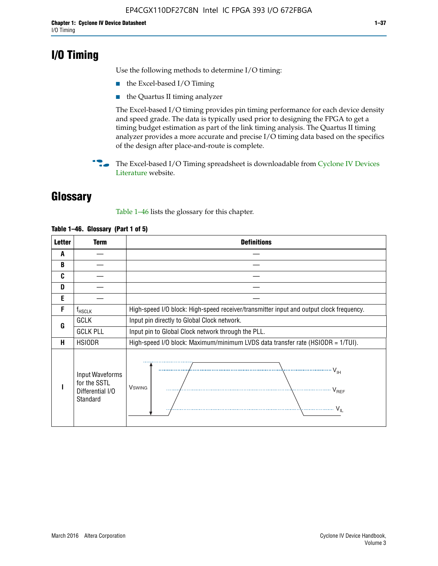# **I/O Timing**

Use the following methods to determine I/O timing:

- the Excel-based I/O Timing
- the Quartus II timing analyzer

The Excel-based I/O timing provides pin timing performance for each device density and speed grade. The data is typically used prior to designing the FPGA to get a timing budget estimation as part of the link timing analysis. The Quartus II timing analyzer provides a more accurate and precise I/O timing data based on the specifics of the design after place-and-route is complete.

**For The Excel-based I/O Timing spreadsheet is downloadable from Cyclone IV Devices** [Literature](http://www.altera.com/literature/lit-cyclone-iv.jsp) website.

# **Glossary**

Table 1–46 lists the glossary for this chapter.

| <b>Letter</b> | <b>Term</b>                                                     | <b>Definitions</b>                                                                                                                               |  |  |  |  |  |  |  |  |
|---------------|-----------------------------------------------------------------|--------------------------------------------------------------------------------------------------------------------------------------------------|--|--|--|--|--|--|--|--|
| A             |                                                                 |                                                                                                                                                  |  |  |  |  |  |  |  |  |
| B             |                                                                 |                                                                                                                                                  |  |  |  |  |  |  |  |  |
| C             |                                                                 |                                                                                                                                                  |  |  |  |  |  |  |  |  |
| D             |                                                                 |                                                                                                                                                  |  |  |  |  |  |  |  |  |
| E             |                                                                 |                                                                                                                                                  |  |  |  |  |  |  |  |  |
| F             | $f_{\sf HSCLK}$                                                 | High-speed I/O block: High-speed receiver/transmitter input and output clock frequency.                                                          |  |  |  |  |  |  |  |  |
| G             | <b>GCLK</b>                                                     | Input pin directly to Global Clock network.                                                                                                      |  |  |  |  |  |  |  |  |
|               | <b>GCLK PLL</b>                                                 | Input pin to Global Clock network through the PLL.                                                                                               |  |  |  |  |  |  |  |  |
| н             | <b>HSIODR</b>                                                   | High-speed I/O block: Maximum/minimum LVDS data transfer rate (HSIODR = 1/TUI).                                                                  |  |  |  |  |  |  |  |  |
|               | Input Waveforms<br>for the SSTL<br>Differential I/O<br>Standard | $\frac{1}{\sqrt{1+\frac{1}{2}}}\left\{ \frac{1}{\sqrt{1+\frac{1}{2}}}\right\}$<br><b>V</b> swing<br>$\cdots$ $V_{REF}$<br>\<br>$\sim V_{\rm IL}$ |  |  |  |  |  |  |  |  |

#### **Table 1–46. Glossary (Part 1 of 5)**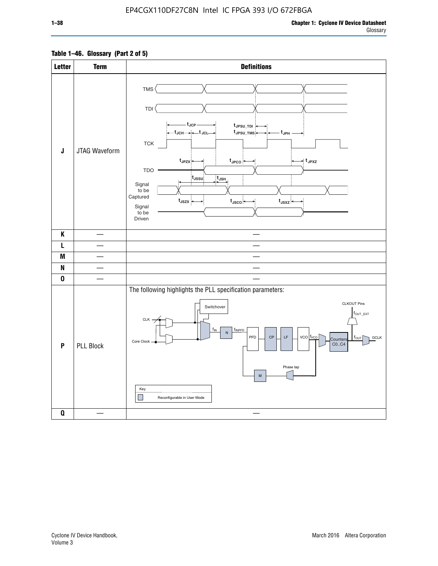### **Table 1–46. Glossary (Part 2 of 5)**

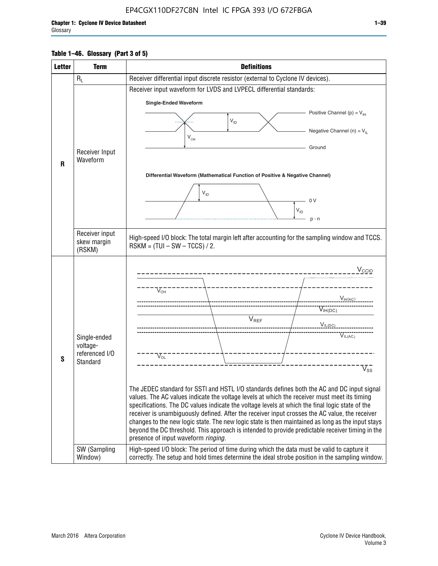#### **Table 1–46. Glossary (Part 3 of 5)**

| <b>Letter</b> | <b>Term</b>                                                            | <b>Definitions</b>                                                                                                                                                                                                                                                                                                                                                                                                                                                                                                                                                                                                                                                                                                                                                                                                                                                                                               |
|---------------|------------------------------------------------------------------------|------------------------------------------------------------------------------------------------------------------------------------------------------------------------------------------------------------------------------------------------------------------------------------------------------------------------------------------------------------------------------------------------------------------------------------------------------------------------------------------------------------------------------------------------------------------------------------------------------------------------------------------------------------------------------------------------------------------------------------------------------------------------------------------------------------------------------------------------------------------------------------------------------------------|
|               | $R_L$                                                                  | Receiver differential input discrete resistor (external to Cyclone IV devices).                                                                                                                                                                                                                                                                                                                                                                                                                                                                                                                                                                                                                                                                                                                                                                                                                                  |
|               |                                                                        | Receiver input waveform for LVDS and LVPECL differential standards:                                                                                                                                                                                                                                                                                                                                                                                                                                                                                                                                                                                                                                                                                                                                                                                                                                              |
|               |                                                                        | <b>Single-Ended Waveform</b>                                                                                                                                                                                                                                                                                                                                                                                                                                                                                                                                                                                                                                                                                                                                                                                                                                                                                     |
|               |                                                                        | Positive Channel (p) = $V_{\text{H}}$                                                                                                                                                                                                                                                                                                                                                                                                                                                                                                                                                                                                                                                                                                                                                                                                                                                                            |
|               |                                                                        | $\mathsf{V}_{\mathsf{ID}}$                                                                                                                                                                                                                                                                                                                                                                                                                                                                                                                                                                                                                                                                                                                                                                                                                                                                                       |
|               |                                                                        | Negative Channel (n) = $V_{\parallel}$<br>V <sub>CM</sub>                                                                                                                                                                                                                                                                                                                                                                                                                                                                                                                                                                                                                                                                                                                                                                                                                                                        |
|               | Receiver Input                                                         | Ground                                                                                                                                                                                                                                                                                                                                                                                                                                                                                                                                                                                                                                                                                                                                                                                                                                                                                                           |
| R             | Waveform                                                               |                                                                                                                                                                                                                                                                                                                                                                                                                                                                                                                                                                                                                                                                                                                                                                                                                                                                                                                  |
|               |                                                                        | Differential Waveform (Mathematical Function of Positive & Negative Channel)                                                                                                                                                                                                                                                                                                                                                                                                                                                                                                                                                                                                                                                                                                                                                                                                                                     |
|               |                                                                        |                                                                                                                                                                                                                                                                                                                                                                                                                                                                                                                                                                                                                                                                                                                                                                                                                                                                                                                  |
|               |                                                                        | $V_{ID}$<br>0V                                                                                                                                                                                                                                                                                                                                                                                                                                                                                                                                                                                                                                                                                                                                                                                                                                                                                                   |
|               |                                                                        | $V_{ID}$                                                                                                                                                                                                                                                                                                                                                                                                                                                                                                                                                                                                                                                                                                                                                                                                                                                                                                         |
|               |                                                                        | $p - n$                                                                                                                                                                                                                                                                                                                                                                                                                                                                                                                                                                                                                                                                                                                                                                                                                                                                                                          |
|               | Receiver input<br>skew margin                                          | High-speed I/O block: The total margin left after accounting for the sampling window and TCCS.                                                                                                                                                                                                                                                                                                                                                                                                                                                                                                                                                                                                                                                                                                                                                                                                                   |
|               | (RSKM)                                                                 | $RSKM = (TUI - SW - TCCS) / 2.$                                                                                                                                                                                                                                                                                                                                                                                                                                                                                                                                                                                                                                                                                                                                                                                                                                                                                  |
| S             | Single-ended<br>voltage-<br>referenced I/O<br>Standard<br>SW (Sampling | $V_{CCIO}$<br>$V_{\text{\tiny OH}}^-$<br>$V_{H(AC)}$<br>$V_{IH(DC)}$<br>V <sub>REF</sub><br>$V_{\text{IL(DC)}}$<br>VIL(AC)<br>$V_{\text{OL}}$<br>$\rm V_{ss}^-$<br>The JEDEC standard for SSTI and HSTL I/O standards defines both the AC and DC input signal<br>values. The AC values indicate the voltage levels at which the receiver must meet its timing<br>specifications. The DC values indicate the voltage levels at which the final logic state of the<br>receiver is unambiguously defined. After the receiver input crosses the AC value, the receiver<br>changes to the new logic state. The new logic state is then maintained as long as the input stays<br>beyond the DC threshold. This approach is intended to provide predictable receiver timing in the<br>presence of input waveform ringing.<br>High-speed I/O block: The period of time during which the data must be valid to capture it |
|               | Window)                                                                | correctly. The setup and hold times determine the ideal strobe position in the sampling window.                                                                                                                                                                                                                                                                                                                                                                                                                                                                                                                                                                                                                                                                                                                                                                                                                  |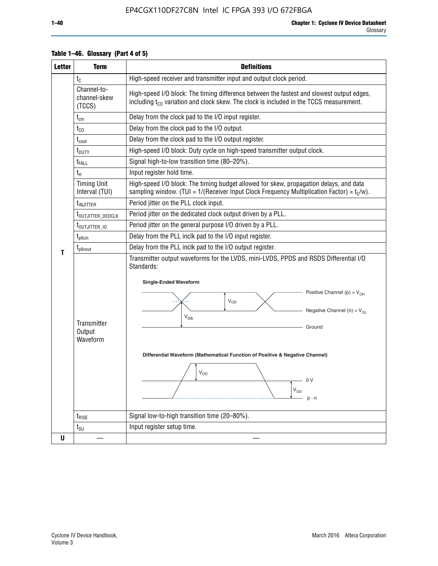| <b>Letter</b> | <b>Term</b>                                                                                   | <b>Definitions</b>                                                                                                                                                                                                                                                                                                                                                                |  |  |  |  |  |  |  |  |  |
|---------------|-----------------------------------------------------------------------------------------------|-----------------------------------------------------------------------------------------------------------------------------------------------------------------------------------------------------------------------------------------------------------------------------------------------------------------------------------------------------------------------------------|--|--|--|--|--|--|--|--|--|
|               | $t_{\rm C}$                                                                                   | High-speed receiver and transmitter input and output clock period.                                                                                                                                                                                                                                                                                                                |  |  |  |  |  |  |  |  |  |
|               | Channel-to-<br>channel-skew<br>(TCCS)                                                         | High-speed I/O block: The timing difference between the fastest and slowest output edges,<br>including t <sub>co</sub> variation and clock skew. The clock is included in the TCCS measurement.                                                                                                                                                                                   |  |  |  |  |  |  |  |  |  |
|               | $t_{\text{cin}}$                                                                              | Delay from the clock pad to the I/O input register.                                                                                                                                                                                                                                                                                                                               |  |  |  |  |  |  |  |  |  |
|               | $t_{CO}$                                                                                      | Delay from the clock pad to the I/O output.                                                                                                                                                                                                                                                                                                                                       |  |  |  |  |  |  |  |  |  |
|               | $t_{\text{cout}}$                                                                             | Delay from the clock pad to the I/O output register.                                                                                                                                                                                                                                                                                                                              |  |  |  |  |  |  |  |  |  |
|               | $t_{\text{DUTY}}$                                                                             | High-speed I/O block: Duty cycle on high-speed transmitter output clock.                                                                                                                                                                                                                                                                                                          |  |  |  |  |  |  |  |  |  |
|               | t <sub>FALL</sub>                                                                             | Signal high-to-low transition time (80-20%).                                                                                                                                                                                                                                                                                                                                      |  |  |  |  |  |  |  |  |  |
|               | $t_H$                                                                                         | Input register hold time.                                                                                                                                                                                                                                                                                                                                                         |  |  |  |  |  |  |  |  |  |
|               | <b>Timing Unit</b><br>Interval (TUI)                                                          | High-speed I/O block: The timing budget allowed for skew, propagation delays, and data<br>sampling window. (TUI = $1/($ Receiver Input Clock Frequency Multiplication Factor) = $tC/w$ ).                                                                                                                                                                                         |  |  |  |  |  |  |  |  |  |
|               | t <sub>injitter</sub>                                                                         | Period jitter on the PLL clock input.                                                                                                                                                                                                                                                                                                                                             |  |  |  |  |  |  |  |  |  |
|               | Period jitter on the dedicated clock output driven by a PLL.<br>t <sub>outjitter_dedclk</sub> |                                                                                                                                                                                                                                                                                                                                                                                   |  |  |  |  |  |  |  |  |  |
|               | t <sub>outjitter_io</sub>                                                                     | Period jitter on the general purpose I/O driven by a PLL.                                                                                                                                                                                                                                                                                                                         |  |  |  |  |  |  |  |  |  |
|               | $t_{\text{pllcin}}$                                                                           | Delay from the PLL inclk pad to the I/O input register.                                                                                                                                                                                                                                                                                                                           |  |  |  |  |  |  |  |  |  |
| т             | $t_{\text{pll}$ cout                                                                          | Delay from the PLL inclk pad to the I/O output register.                                                                                                                                                                                                                                                                                                                          |  |  |  |  |  |  |  |  |  |
|               | Transmitter<br>Output<br>Waveform                                                             | Transmitter output waveforms for the LVDS, mini-LVDS, PPDS and RSDS Differential I/O<br>Standards:<br><b>Single-Ended Waveform</b><br>Positive Channel (p) = $V_{OH}$<br>VOD<br>Negative Channel (n) = $V_{OL}$<br>$V_{OS}$<br>Ground<br>Differential Waveform (Mathematical Function of Positive & Negative Channel)<br>$\mathsf{V}_{\mathsf{OD}}$<br>0 V<br>$V_{OD}$<br>$p - n$ |  |  |  |  |  |  |  |  |  |
|               | $t_{\text{RISE}}$                                                                             | Signal low-to-high transition time (20-80%).                                                                                                                                                                                                                                                                                                                                      |  |  |  |  |  |  |  |  |  |
|               | $t_{\scriptstyle\text{SU}}$                                                                   | Input register setup time.                                                                                                                                                                                                                                                                                                                                                        |  |  |  |  |  |  |  |  |  |
| U             |                                                                                               |                                                                                                                                                                                                                                                                                                                                                                                   |  |  |  |  |  |  |  |  |  |

#### **Table 1–46. Glossary (Part 4 of 5)**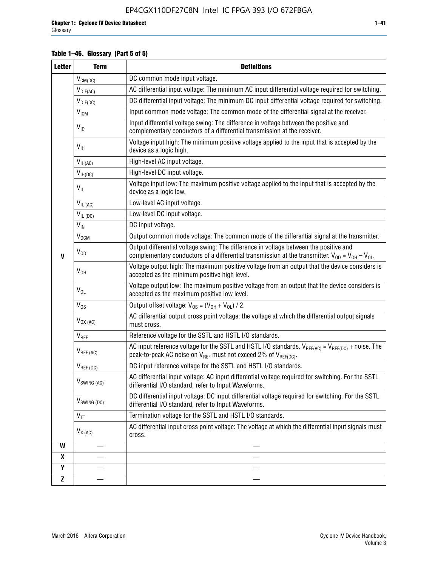### **Table 1–46. Glossary (Part 5 of 5)**

| <b>Letter</b> | <b>Term</b>                                                                                                                                                                  | <b>Definitions</b>                                                                                                                                                                                |  |  |  |  |  |  |  |
|---------------|------------------------------------------------------------------------------------------------------------------------------------------------------------------------------|---------------------------------------------------------------------------------------------------------------------------------------------------------------------------------------------------|--|--|--|--|--|--|--|
|               | $V_{CM(DC)}$                                                                                                                                                                 | DC common mode input voltage.                                                                                                                                                                     |  |  |  |  |  |  |  |
|               | $V_{DIF(AC)}$                                                                                                                                                                | AC differential input voltage: The minimum AC input differential voltage required for switching.                                                                                                  |  |  |  |  |  |  |  |
|               | $V_{DIF(DC)}$                                                                                                                                                                | DC differential input voltage: The minimum DC input differential voltage required for switching.                                                                                                  |  |  |  |  |  |  |  |
|               | <b>V<sub>ICM</sub></b>                                                                                                                                                       | Input common mode voltage: The common mode of the differential signal at the receiver.                                                                                                            |  |  |  |  |  |  |  |
|               | Input differential voltage swing: The difference in voltage between the positive and<br>$V_{ID}$<br>complementary conductors of a differential transmission at the receiver. |                                                                                                                                                                                                   |  |  |  |  |  |  |  |
|               | $V_{\text{IH}}$                                                                                                                                                              | Voltage input high: The minimum positive voltage applied to the input that is accepted by the<br>device as a logic high.                                                                          |  |  |  |  |  |  |  |
|               | $V_{IH(AC)}$                                                                                                                                                                 | High-level AC input voltage.                                                                                                                                                                      |  |  |  |  |  |  |  |
|               | $V_{IH(DC)}$                                                                                                                                                                 | High-level DC input voltage.                                                                                                                                                                      |  |  |  |  |  |  |  |
|               | $V_{IL}$                                                                                                                                                                     | Voltage input low: The maximum positive voltage applied to the input that is accepted by the<br>device as a logic low.                                                                            |  |  |  |  |  |  |  |
|               | $V_{IL(AC)}$                                                                                                                                                                 | Low-level AC input voltage.                                                                                                                                                                       |  |  |  |  |  |  |  |
|               | $V_{IL(DC)}$                                                                                                                                                                 | Low-level DC input voltage.                                                                                                                                                                       |  |  |  |  |  |  |  |
|               | $V_{IN}$                                                                                                                                                                     | DC input voltage.                                                                                                                                                                                 |  |  |  |  |  |  |  |
|               | V <sub>OCM</sub>                                                                                                                                                             | Output common mode voltage: The common mode of the differential signal at the transmitter.                                                                                                        |  |  |  |  |  |  |  |
| $\mathbf{V}$  | $V_{OD}$                                                                                                                                                                     | Output differential voltage swing: The difference in voltage between the positive and<br>complementary conductors of a differential transmission at the transmitter. $V_{OD} = V_{OH} - V_{OL}$ . |  |  |  |  |  |  |  |
|               | $V_{OH}$                                                                                                                                                                     | Voltage output high: The maximum positive voltage from an output that the device considers is<br>accepted as the minimum positive high level.                                                     |  |  |  |  |  |  |  |
|               | $V_{OL}$                                                                                                                                                                     | Voltage output low: The maximum positive voltage from an output that the device considers is<br>accepted as the maximum positive low level.                                                       |  |  |  |  |  |  |  |
|               | $V_{OS}$                                                                                                                                                                     | Output offset voltage: $V_{OS} = (V_{OH} + V_{OL}) / 2$ .                                                                                                                                         |  |  |  |  |  |  |  |
|               | $V_{OX (AC)}$                                                                                                                                                                | AC differential output cross point voltage: the voltage at which the differential output signals<br>must cross.                                                                                   |  |  |  |  |  |  |  |
|               | $V_{REF}$                                                                                                                                                                    | Reference voltage for the SSTL and HSTL I/O standards.                                                                                                                                            |  |  |  |  |  |  |  |
|               | $V_{REF\,(AC)}$                                                                                                                                                              | AC input reference voltage for the SSTL and HSTL I/O standards. $V_{REF(AC)} = V_{REF(DC)} +$ noise. The<br>peak-to-peak AC noise on $V_{REF}$ must not exceed 2% of $V_{REF(DC)}$ .              |  |  |  |  |  |  |  |
|               | $V_{REF(DC)}$                                                                                                                                                                | DC input reference voltage for the SSTL and HSTL I/O standards.                                                                                                                                   |  |  |  |  |  |  |  |
|               | $V_{\textrm{SWING (AC)}}$                                                                                                                                                    | AC differential input voltage: AC input differential voltage required for switching. For the SSTL<br>differential I/O standard, refer to Input Waveforms.                                         |  |  |  |  |  |  |  |
|               | V <sub>SWING (DC)</sub>                                                                                                                                                      | DC differential input voltage: DC input differential voltage required for switching. For the SSTL<br>differential I/O standard, refer to Input Waveforms.                                         |  |  |  |  |  |  |  |
|               | $V_{TT}$                                                                                                                                                                     | Termination voltage for the SSTL and HSTL I/O standards.                                                                                                                                          |  |  |  |  |  |  |  |
|               | $V_{X(AC)}$                                                                                                                                                                  | AC differential input cross point voltage: The voltage at which the differential input signals must<br>cross.                                                                                     |  |  |  |  |  |  |  |
| W             |                                                                                                                                                                              |                                                                                                                                                                                                   |  |  |  |  |  |  |  |
| X             |                                                                                                                                                                              |                                                                                                                                                                                                   |  |  |  |  |  |  |  |
| Y             |                                                                                                                                                                              |                                                                                                                                                                                                   |  |  |  |  |  |  |  |
| $\mathbf{Z}$  |                                                                                                                                                                              |                                                                                                                                                                                                   |  |  |  |  |  |  |  |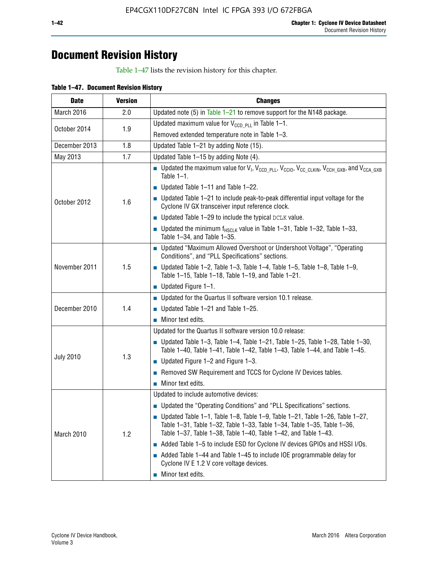# **Document Revision History**

Table 1–47 lists the revision history for this chapter.

| <b>Date</b>      | <b>Version</b> | <b>Changes</b>                                                                                                                                                                                                                            |
|------------------|----------------|-------------------------------------------------------------------------------------------------------------------------------------------------------------------------------------------------------------------------------------------|
| March 2016       | 2.0            | Updated note (5) in Table $1-21$ to remove support for the N148 package.                                                                                                                                                                  |
| October 2014     | 1.9            | Updated maximum value for $V_{CCD, PL}$ in Table 1-1.                                                                                                                                                                                     |
|                  |                | Removed extended temperature note in Table 1-3.                                                                                                                                                                                           |
| December 2013    | 1.8            | Updated Table 1-21 by adding Note (15).                                                                                                                                                                                                   |
| May 2013         | 1.7            | Updated Table 1-15 by adding Note (4).                                                                                                                                                                                                    |
| October 2012     | 1.6            | Dpdated the maximum value for $V_1$ , $V_{CCD\_PLL}$ , $V_{CC10}$ , $V_{CC\_CLKIN}$ , $V_{CCH\_GXB}$ , and $V_{CCA\_GXB}$<br>Table $1-1$ .                                                                                                |
|                  |                | $\blacksquare$ Updated Table 1-11 and Table 1-22.                                                                                                                                                                                         |
|                  |                | $\blacksquare$ Updated Table 1-21 to include peak-to-peak differential input voltage for the<br>Cyclone IV GX transceiver input reference clock.                                                                                          |
|                  |                | $\blacksquare$ Updated Table 1-29 to include the typical DCLK value.                                                                                                                                                                      |
|                  |                | <b>Updated the minimum f<sub>HSCLK</sub></b> value in Table 1-31, Table 1-32, Table 1-33,<br>Table 1-34, and Table 1-35.                                                                                                                  |
| November 2011    | 1.5            | • Updated "Maximum Allowed Overshoot or Undershoot Voltage", "Operating<br>Conditions", and "PLL Specifications" sections.                                                                                                                |
|                  |                | Updated Table 1-2, Table 1-3, Table 1-4, Table 1-5, Table 1-8, Table 1-9,<br>Table 1-15, Table 1-18, Table 1-19, and Table 1-21.                                                                                                          |
|                  |                | ■ Updated Figure $1-1$ .                                                                                                                                                                                                                  |
| December 2010    | 1.4            | • Updated for the Quartus II software version 10.1 release.                                                                                                                                                                               |
|                  |                | $\blacksquare$ Updated Table 1-21 and Table 1-25.                                                                                                                                                                                         |
|                  |                | $\blacksquare$ Minor text edits.                                                                                                                                                                                                          |
|                  | 1.3            | Updated for the Quartus II software version 10.0 release:                                                                                                                                                                                 |
| <b>July 2010</b> |                | Updated Table 1-3, Table 1-4, Table 1-21, Table 1-25, Table 1-28, Table 1-30,<br>Table 1-40, Table 1-41, Table 1-42, Table 1-43, Table 1-44, and Table 1-45.                                                                              |
|                  |                | ■ Updated Figure $1-2$ and Figure $1-3$ .                                                                                                                                                                                                 |
|                  |                | Removed SW Requirement and TCCS for Cyclone IV Devices tables.                                                                                                                                                                            |
|                  |                | $\blacksquare$ Minor text edits.                                                                                                                                                                                                          |
|                  | 1.2            | Updated to include automotive devices:                                                                                                                                                                                                    |
| March 2010       |                | • Updated the "Operating Conditions" and "PLL Specifications" sections.                                                                                                                                                                   |
|                  |                | $\blacksquare$ Updated Table 1-1, Table 1-8, Table 1-9, Table 1-21, Table 1-26, Table 1-27,<br>Table 1-31, Table 1-32, Table 1-33, Table 1-34, Table 1-35, Table 1-36,<br>Table 1-37, Table 1-38, Table 1-40, Table 1-42, and Table 1-43. |
|                  |                | Added Table 1-5 to include ESD for Cyclone IV devices GPIOs and HSSI I/Os.                                                                                                                                                                |
|                  |                | Added Table 1-44 and Table 1-45 to include IOE programmable delay for<br>Cyclone IV E 1.2 V core voltage devices.                                                                                                                         |
|                  |                | Minor text edits.                                                                                                                                                                                                                         |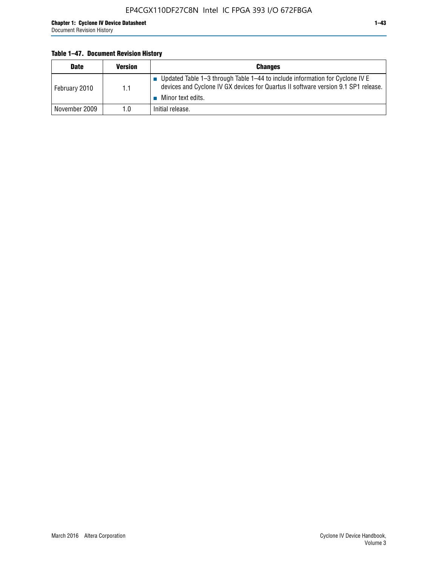#### **Table 1–47. Document Revision History**

| <b>Date</b>   | <b>Version</b> | <b>Changes</b>                                                                                                                                                                          |
|---------------|----------------|-----------------------------------------------------------------------------------------------------------------------------------------------------------------------------------------|
| February 2010 | 1.1            | Updated Table 1-3 through Table 1-44 to include information for Cyclone IV E<br>devices and Cyclone IV GX devices for Quartus II software version 9.1 SP1 release.<br>Minor text edits. |
| November 2009 | 1.0            | Initial release.                                                                                                                                                                        |